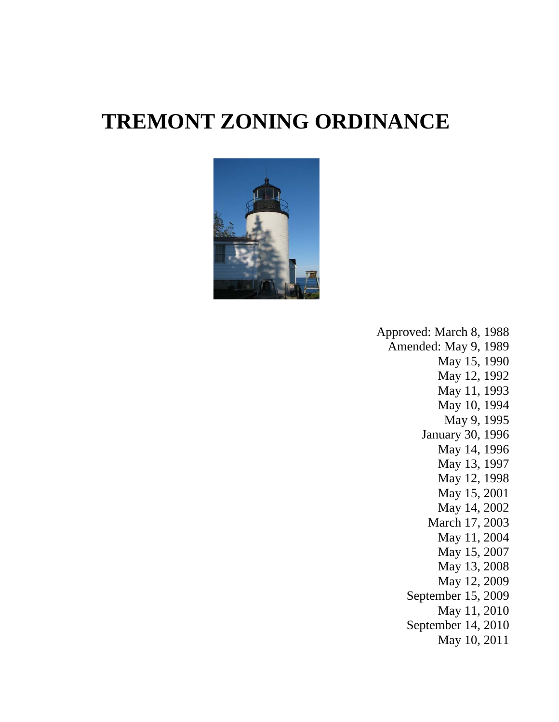# **TREMONT ZONING ORDINANCE**



Approved: March 8, 1988 Amended: May 9, 1989 May 15, 1990 May 12, 1992 May 11, 1993 May 10, 1994 May 9, 1995 January 30, 1996 May 14, 1996 May 13, 1997 May 12, 1998 May 15, 2001 May 14, 2002 March 17, 2003 May 11, 2004 May 15, 2007 May 13, 2008 May 12, 2009 September 15, 2009 May 11, 2010 September 14, 2010 May 10, 2011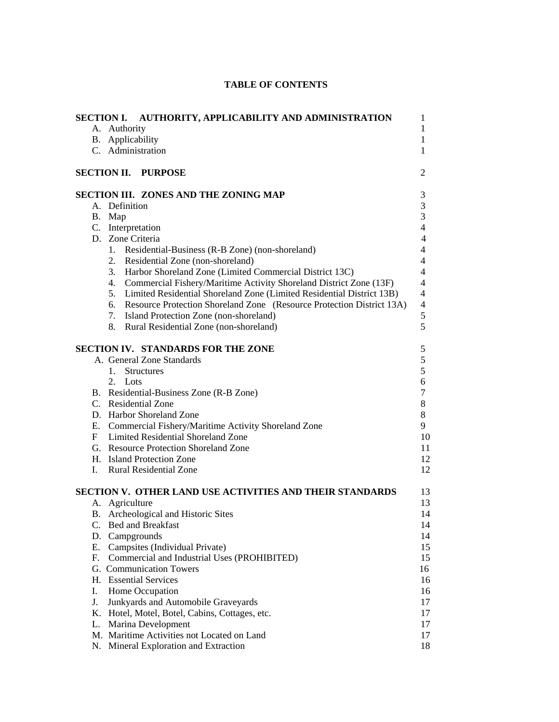|    |                                  | SECTION I. AUTHORITY, APPLICABILITY AND ADMINISTRATION                                         | 1<br>1              |
|----|----------------------------------|------------------------------------------------------------------------------------------------|---------------------|
|    | A. Authority<br>B. Applicability |                                                                                                | 1                   |
|    | C. Administration                |                                                                                                | 1                   |
|    |                                  |                                                                                                |                     |
|    |                                  | <b>SECTION II. PURPOSE</b>                                                                     | 2                   |
|    |                                  | SECTION III. ZONES AND THE ZONING MAP                                                          | 3                   |
|    | A. Definition                    |                                                                                                | 3                   |
|    | B. Map                           |                                                                                                | 3                   |
|    | C. Interpretation                |                                                                                                | 4                   |
|    | D. Zone Criteria                 |                                                                                                | 4                   |
|    |                                  | 1. Residential-Business (R-B Zone) (non-shoreland)                                             | 4                   |
|    |                                  | 2. Residential Zone (non-shoreland)                                                            | 4                   |
|    |                                  | 3. Harbor Shoreland Zone (Limited Commercial District 13C)                                     | $\overline{4}$      |
|    |                                  | 4. Commercial Fishery/Maritime Activity Shoreland District Zone (13F)                          | $\overline{4}$      |
|    |                                  | 5. Limited Residential Shoreland Zone (Limited Residential District 13B)                       | 4                   |
|    |                                  | 6. Resource Protection Shoreland Zone (Resource Protection District 13A)                       | $\overline{4}$<br>5 |
|    |                                  | 7. Island Protection Zone (non-shoreland)                                                      |                     |
|    |                                  | 8. Rural Residential Zone (non-shoreland)                                                      | 5                   |
|    |                                  | SECTION IV. STANDARDS FOR THE ZONE                                                             | 5                   |
|    |                                  | A. General Zone Standards                                                                      | 5<br>5              |
|    | 1. Structures                    |                                                                                                |                     |
|    | 2. Lots                          |                                                                                                | 6<br>7              |
|    |                                  | B. Residential-Business Zone (R-B Zone)                                                        |                     |
|    |                                  | C. Residential Zone                                                                            |                     |
|    |                                  | D. Harbor Shoreland Zone                                                                       | 9                   |
|    |                                  | E. Commercial Fishery/Maritime Activity Shoreland Zone<br>F Limited Residential Shoreland Zone |                     |
|    |                                  | G. Resource Protection Shoreland Zone                                                          |                     |
|    |                                  | H. Island Protection Zone                                                                      |                     |
|    |                                  | I. Rural Residential Zone                                                                      | 12<br>12            |
|    |                                  |                                                                                                |                     |
|    |                                  | <b>SECTION V. OTHER LAND USE ACTIVITIES AND THEIR STANDARDS</b>                                |                     |
|    | A. Agriculture                   |                                                                                                | 14                  |
|    |                                  | B. Archeological and Historic Sites                                                            |                     |
|    |                                  | C. Bed and Breakfast                                                                           |                     |
|    | D. Campgrounds                   |                                                                                                |                     |
|    |                                  | E. Campsites (Individual Private)                                                              |                     |
|    |                                  | F. Commercial and Industrial Uses (PROHIBITED)                                                 |                     |
|    |                                  | G. Communication Towers                                                                        | 16                  |
|    |                                  | H. Essential Services                                                                          |                     |
| I. |                                  | Home Occupation                                                                                |                     |
| J. |                                  | Junkyards and Automobile Graveyards                                                            |                     |
|    |                                  | K. Hotel, Motel, Botel, Cabins, Cottages, etc.                                                 |                     |
|    |                                  | L. Marina Development                                                                          |                     |
|    |                                  | M. Maritime Activities not Located on Land                                                     |                     |
|    |                                  | N. Mineral Exploration and Extraction                                                          |                     |

# **TABLE OF CONTENTS**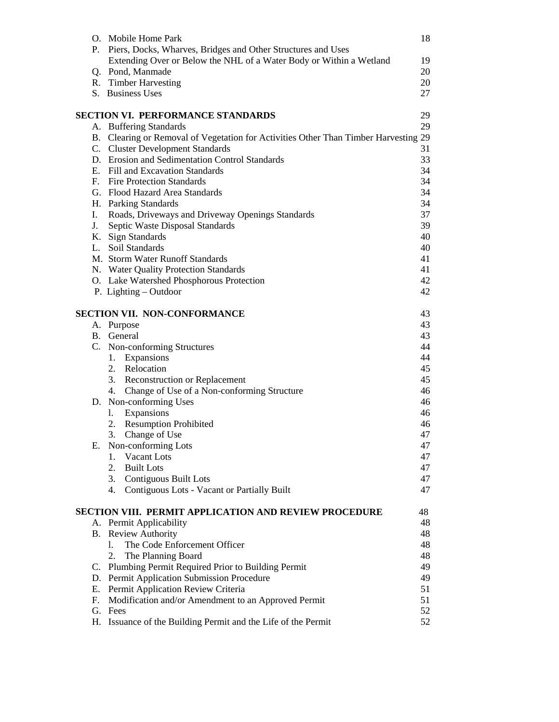|    | O. Mobile Home Park                                                                 | 18 |
|----|-------------------------------------------------------------------------------------|----|
|    | P. Piers, Docks, Wharves, Bridges and Other Structures and Uses                     |    |
|    | Extending Over or Below the NHL of a Water Body or Within a Wetland                 | 19 |
|    | Q. Pond, Manmade                                                                    | 20 |
|    | R. Timber Harvesting                                                                | 20 |
|    | S. Business Uses                                                                    | 27 |
|    | <b>SECTION VI. PERFORMANCE STANDARDS</b>                                            | 29 |
|    | A. Buffering Standards                                                              | 29 |
|    | B. Clearing or Removal of Vegetation for Activities Other Than Timber Harvesting 29 |    |
|    | C. Cluster Development Standards                                                    | 31 |
|    | D. Erosion and Sedimentation Control Standards                                      | 33 |
|    | E. Fill and Excavation Standards                                                    | 34 |
|    | F. Fire Protection Standards                                                        | 34 |
|    | G. Flood Hazard Area Standards                                                      | 34 |
|    | H. Parking Standards                                                                | 34 |
| Ι. | Roads, Driveways and Driveway Openings Standards                                    | 37 |
| J. | Septic Waste Disposal Standards                                                     | 39 |
|    | K. Sign Standards                                                                   | 40 |
|    | L. Soil Standards                                                                   | 40 |
|    | M. Storm Water Runoff Standards                                                     | 41 |
|    | N. Water Quality Protection Standards                                               | 41 |
|    | O. Lake Watershed Phosphorous Protection                                            | 42 |
|    | P. Lighting – Outdoor                                                               | 42 |
|    | <b>SECTION VII. NON-CONFORMANCE</b>                                                 | 43 |
|    | A. Purpose                                                                          | 43 |
|    | B. General                                                                          | 43 |
|    | C. Non-conforming Structures                                                        | 44 |
|    | 1. Expansions                                                                       | 44 |
|    | 2. Relocation                                                                       | 45 |
|    | 3. Reconstruction or Replacement                                                    | 45 |
|    | 4. Change of Use of a Non-conforming Structure                                      | 46 |
|    | D. Non-conforming Uses                                                              | 46 |
|    | 1. Expansions                                                                       | 46 |
|    | 2. Resumption Prohibited                                                            | 46 |
|    | 3.<br>Change of Use                                                                 | 47 |
|    | E. Non-conforming Lots                                                              | 47 |
|    | Vacant Lots<br>1.                                                                   | 47 |
|    | 2. Built Lots                                                                       | 47 |
|    | 3. Contiguous Built Lots                                                            | 47 |
|    | 4. Contiguous Lots - Vacant or Partially Built                                      | 47 |
|    | <b>SECTION VIII. PERMIT APPLICATION AND REVIEW PROCEDURE</b>                        | 48 |
|    | A. Permit Applicability                                                             | 48 |
|    | <b>B.</b> Review Authority                                                          | 48 |
|    | The Code Enforcement Officer<br>1.                                                  | 48 |
|    | The Planning Board<br>2.                                                            | 48 |
|    | C. Plumbing Permit Required Prior to Building Permit                                | 49 |
|    | D. Permit Application Submission Procedure                                          | 49 |
|    | E. Permit Application Review Criteria                                               | 51 |
|    | F. Modification and/or Amendment to an Approved Permit                              | 51 |
|    | G. Fees                                                                             | 52 |
|    | H. Issuance of the Building Permit and the Life of the Permit                       | 52 |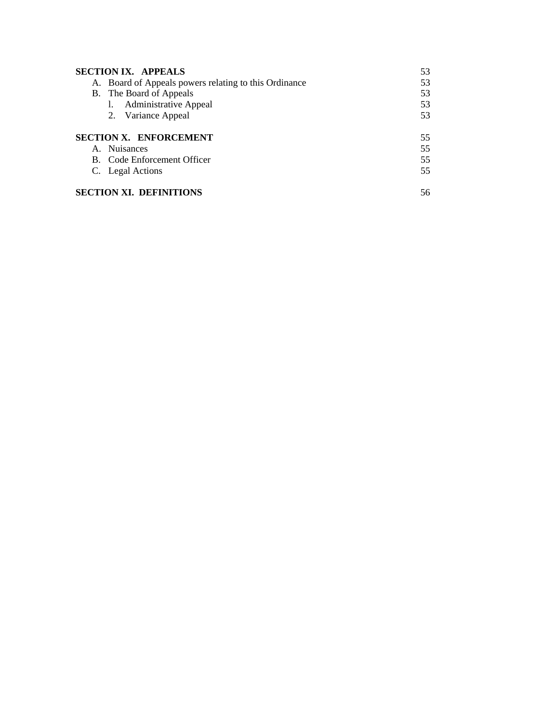| <b>SECTION IX. APPEALS</b><br>53                                  |
|-------------------------------------------------------------------|
| A. Board of Appeals powers relating to this Ordinance<br>53       |
| 53<br>B. The Board of Appeals                                     |
| <b>Administrative Appeal</b><br>53                                |
| 53<br>2. Variance Appeal                                          |
| 55<br>55<br>B. Code Enforcement Officer<br>55<br>C. Legal Actions |
| <b>SECTION XI. DEFINITIONS</b><br>56                              |
|                                                                   |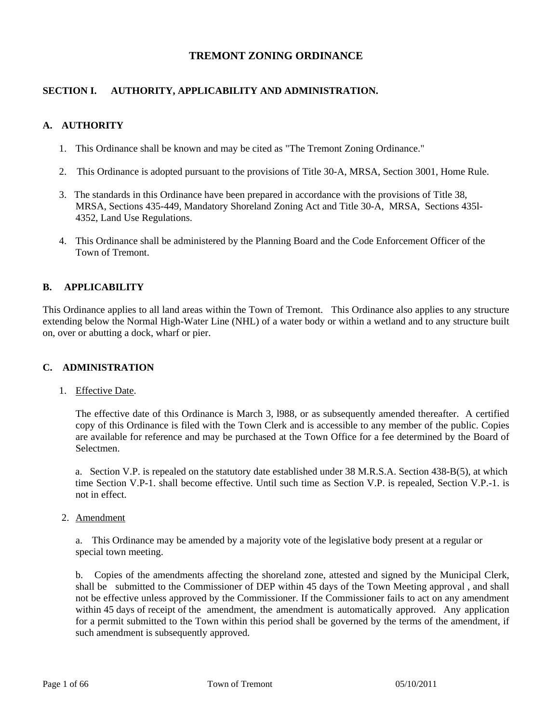# **TREMONT ZONING ORDINANCE**

# **SECTION I. AUTHORITY, APPLICABILITY AND ADMINISTRATION.**

# **A. AUTHORITY**

- 1. This Ordinance shall be known and may be cited as "The Tremont Zoning Ordinance."
- 2. This Ordinance is adopted pursuant to the provisions of Title 30-A, MRSA, Section 3001, Home Rule.
- 3. The standards in this Ordinance have been prepared in accordance with the provisions of Title 38, MRSA, Sections 435-449, Mandatory Shoreland Zoning Act and Title 30-A, MRSA, Sections 435l- 4352, Land Use Regulations.
- 4. This Ordinance shall be administered by the Planning Board and the Code Enforcement Officer of the Town of Tremont.

# **B. APPLICABILITY**

This Ordinance applies to all land areas within the Town of Tremont. This Ordinance also applies to any structure extending below the Normal High-Water Line (NHL) of a water body or within a wetland and to any structure built on, over or abutting a dock, wharf or pier.

#### **C. ADMINISTRATION**

# 1. Effective Date.

 The effective date of this Ordinance is March 3, l988, or as subsequently amended thereafter. A certified copy of this Ordinance is filed with the Town Clerk and is accessible to any member of the public. Copies are available for reference and may be purchased at the Town Office for a fee determined by the Board of Selectmen.

 a. Section V.P. is repealed on the statutory date established under 38 M.R.S.A. Section 438-B(5), at which time Section V.P-1. shall become effective. Until such time as Section V.P. is repealed, Section V.P.-1. is not in effect.

2. Amendment

 a. This Ordinance may be amended by a majority vote of the legislative body present at a regular or special town meeting.

b. Copies of the amendments affecting the shoreland zone, attested and signed by the Municipal Clerk, shall be submitted to the Commissioner of DEP within 45 days of the Town Meeting approval , and shall not be effective unless approved by the Commissioner. If the Commissioner fails to act on any amendment within 45 days of receipt of the amendment, the amendment is automatically approved. Any application for a permit submitted to the Town within this period shall be governed by the terms of the amendment, if such amendment is subsequently approved.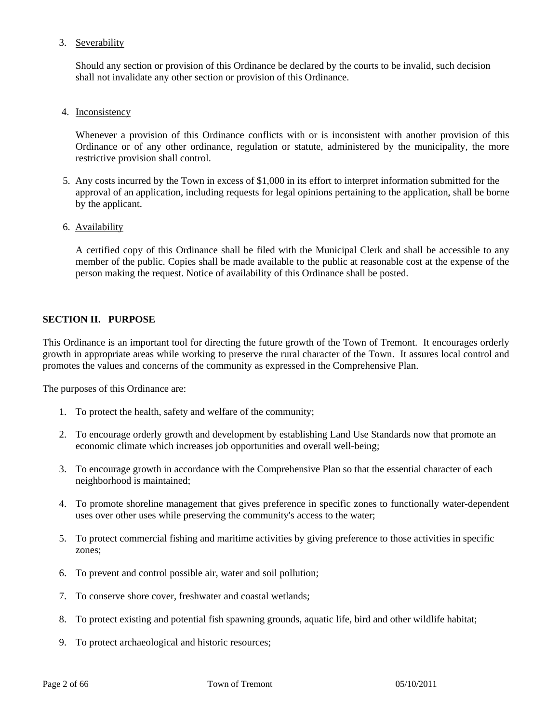# 3. Severability

 Should any section or provision of this Ordinance be declared by the courts to be invalid, such decision shall not invalidate any other section or provision of this Ordinance.

4. Inconsistency

Whenever a provision of this Ordinance conflicts with or is inconsistent with another provision of this Ordinance or of any other ordinance, regulation or statute, administered by the municipality, the more restrictive provision shall control.

- 5. Any costs incurred by the Town in excess of \$1,000 in its effort to interpret information submitted for the approval of an application, including requests for legal opinions pertaining to the application, shall be borne by the applicant.
- 6. Availability

A certified copy of this Ordinance shall be filed with the Municipal Clerk and shall be accessible to any member of the public. Copies shall be made available to the public at reasonable cost at the expense of the person making the request. Notice of availability of this Ordinance shall be posted.

# **SECTION II. PURPOSE**

This Ordinance is an important tool for directing the future growth of the Town of Tremont. It encourages orderly growth in appropriate areas while working to preserve the rural character of the Town. It assures local control and promotes the values and concerns of the community as expressed in the Comprehensive Plan.

The purposes of this Ordinance are:

- 1. To protect the health, safety and welfare of the community;
- 2. To encourage orderly growth and development by establishing Land Use Standards now that promote an economic climate which increases job opportunities and overall well-being;
- 3. To encourage growth in accordance with the Comprehensive Plan so that the essential character of each neighborhood is maintained;
- 4. To promote shoreline management that gives preference in specific zones to functionally water-dependent uses over other uses while preserving the community's access to the water;
- 5. To protect commercial fishing and maritime activities by giving preference to those activities in specific zones;
- 6. To prevent and control possible air, water and soil pollution;
- 7. To conserve shore cover, freshwater and coastal wetlands;
- 8. To protect existing and potential fish spawning grounds, aquatic life, bird and other wildlife habitat;
- 9. To protect archaeological and historic resources;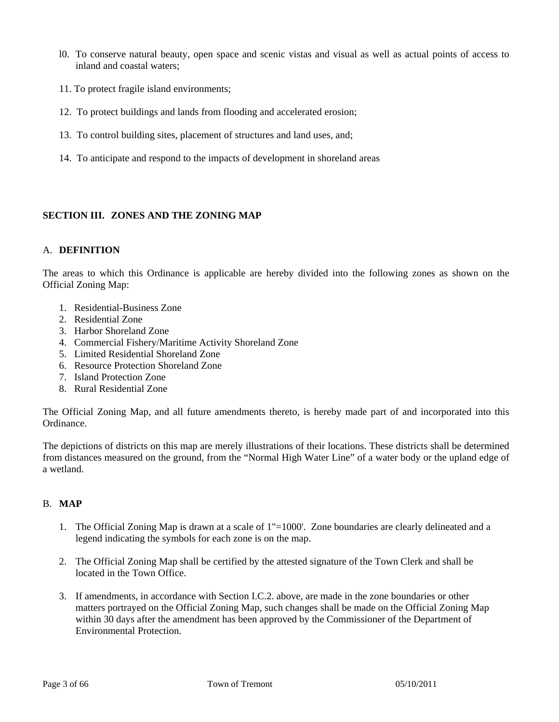- l0. To conserve natural beauty, open space and scenic vistas and visual as well as actual points of access to inland and coastal waters;
- 11. To protect fragile island environments;
- 12. To protect buildings and lands from flooding and accelerated erosion;
- 13. To control building sites, placement of structures and land uses, and;
- 14. To anticipate and respond to the impacts of development in shoreland areas

# **SECTION III. ZONES AND THE ZONING MAP**

# A. **DEFINITION**

The areas to which this Ordinance is applicable are hereby divided into the following zones as shown on the Official Zoning Map:

- 1. Residential-Business Zone
- 2. Residential Zone
- 3. Harbor Shoreland Zone
- 4. Commercial Fishery/Maritime Activity Shoreland Zone
- 5. Limited Residential Shoreland Zone
- 6. Resource Protection Shoreland Zone
- 7. Island Protection Zone
- 8. Rural Residential Zone

The Official Zoning Map, and all future amendments thereto, is hereby made part of and incorporated into this Ordinance.

The depictions of districts on this map are merely illustrations of their locations. These districts shall be determined from distances measured on the ground, from the "Normal High Water Line" of a water body or the upland edge of a wetland.

# B. **MAP**

- 1. The Official Zoning Map is drawn at a scale of 1"=1000'. Zone boundaries are clearly delineated and a legend indicating the symbols for each zone is on the map.
- 2. The Official Zoning Map shall be certified by the attested signature of the Town Clerk and shall be located in the Town Office.
- 3. If amendments, in accordance with Section I.C.2. above, are made in the zone boundaries or other matters portrayed on the Official Zoning Map, such changes shall be made on the Official Zoning Map within 30 days after the amendment has been approved by the Commissioner of the Department of Environmental Protection.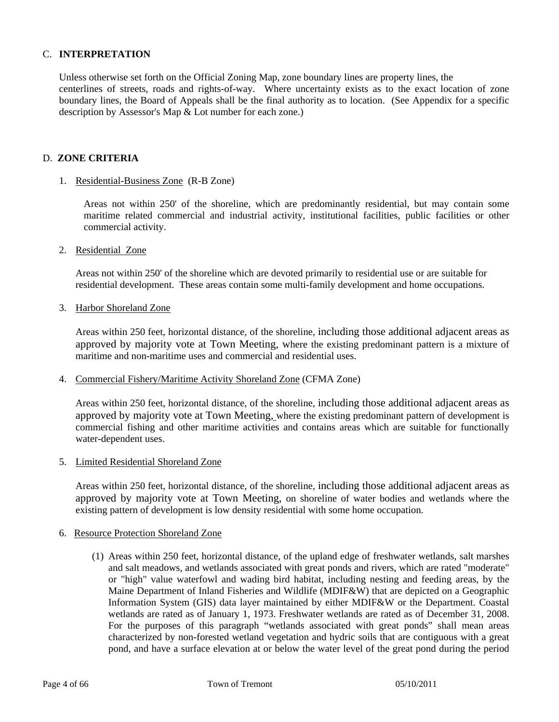#### C. **INTERPRETATION**

 Unless otherwise set forth on the Official Zoning Map, zone boundary lines are property lines, the centerlines of streets, roads and rights-of-way. Where uncertainty exists as to the exact location of zone boundary lines, the Board of Appeals shall be the final authority as to location. (See Appendix for a specific description by Assessor's Map & Lot number for each zone.)

#### D. **ZONE CRITERIA**

#### 1. Residential-Business Zone (R-B Zone)

 Areas not within 250' of the shoreline, which are predominantly residential, but may contain some maritime related commercial and industrial activity, institutional facilities, public facilities or other commercial activity.

2. Residential Zone

 Areas not within 250' of the shoreline which are devoted primarily to residential use or are suitable for residential development. These areas contain some multi-family development and home occupations.

3. Harbor Shoreland Zone

Areas within 250 feet, horizontal distance, of the shoreline, including those additional adjacent areas as approved by majority vote at Town Meeting, where the existing predominant pattern is a mixture of maritime and non-maritime uses and commercial and residential uses.

#### 4. Commercial Fishery/Maritime Activity Shoreland Zone (CFMA Zone)

Areas within 250 feet, horizontal distance, of the shoreline, including those additional adjacent areas as approved by majority vote at Town Meeting, where the existing predominant pattern of development is commercial fishing and other maritime activities and contains areas which are suitable for functionally water-dependent uses.

#### 5. Limited Residential Shoreland Zone

Areas within 250 feet, horizontal distance, of the shoreline, including those additional adjacent areas as approved by majority vote at Town Meeting, on shoreline of water bodies and wetlands where the existing pattern of development is low density residential with some home occupation.

#### 6. Resource Protection Shoreland Zone

(1) Areas within 250 feet, horizontal distance, of the upland edge of freshwater wetlands, salt marshes and salt meadows, and wetlands associated with great ponds and rivers, which are rated "moderate" or "high" value waterfowl and wading bird habitat, including nesting and feeding areas, by the Maine Department of Inland Fisheries and Wildlife (MDIF&W) that are depicted on a Geographic Information System (GIS) data layer maintained by either MDIF&W or the Department. Coastal wetlands are rated as of January 1, 1973. Freshwater wetlands are rated as of December 31, 2008. For the purposes of this paragraph "wetlands associated with great ponds" shall mean areas characterized by non-forested wetland vegetation and hydric soils that are contiguous with a great pond, and have a surface elevation at or below the water level of the great pond during the period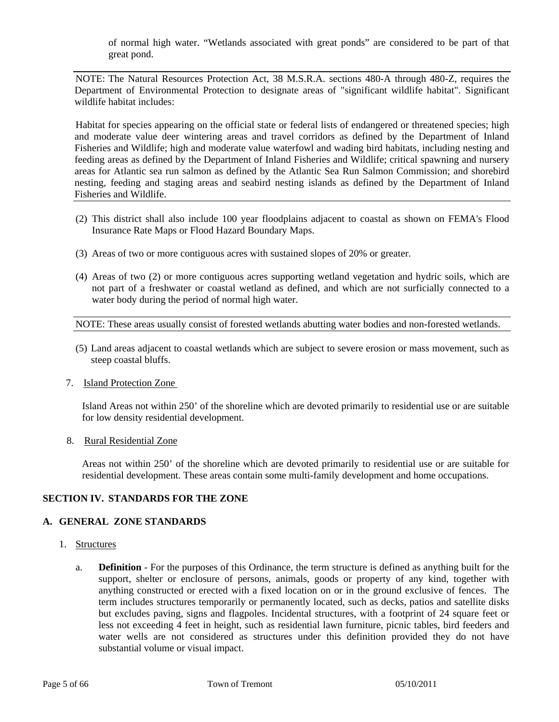of normal high water. "Wetlands associated with great ponds" are considered to be part of that great pond.

NOTE: The Natural Resources Protection Act, 38 M.S.R.A. sections 480-A through 480-Z, requires the Department of Environmental Protection to designate areas of "significant wildlife habitat". Significant wildlife habitat includes:

Habitat for species appearing on the official state or federal lists of endangered or threatened species; high and moderate value deer wintering areas and travel corridors as defined by the Department of Inland Fisheries and Wildlife; high and moderate value waterfowl and wading bird habitats, including nesting and feeding areas as defined by the Department of Inland Fisheries and Wildlife; critical spawning and nursery areas for Atlantic sea run salmon as defined by the Atlantic Sea Run Salmon Commission; and shorebird nesting, feeding and staging areas and seabird nesting islands as defined by the Department of Inland Fisheries and Wildlife.

- (2) This district shall also include 100 year floodplains adjacent to coastal as shown on FEMA's Flood Insurance Rate Maps or Flood Hazard Boundary Maps.
- (3) Areas of two or more contiguous acres with sustained slopes of 20% or greater.
- (4) Areas of two (2) or more contiguous acres supporting wetland vegetation and hydric soils, which are not part of a freshwater or coastal wetland as defined, and which are not surficially connected to a water body during the period of normal high water.

NOTE: These areas usually consist of forested wetlands abutting water bodies and non-forested wetlands.

- (5) Land areas adjacent to coastal wetlands which are subject to severe erosion or mass movement, such as steep coastal bluffs.
- 7. Island Protection Zone

 Island Areas not within 250' of the shoreline which are devoted primarily to residential use or are suitable for low density residential development.

8. Rural Residential Zone

Areas not within 250' of the shoreline which are devoted primarily to residential use or are suitable for residential development. These areas contain some multi-family development and home occupations.

# **SECTION IV. STANDARDS FOR THE ZONE**

# **A. GENERAL ZONE STANDARDS**

- 1. Structures
	- a. **Definition** For the purposes of this Ordinance, the term structure is defined as anything built for the support, shelter or enclosure of persons, animals, goods or property of any kind, together with anything constructed or erected with a fixed location on or in the ground exclusive of fences. The term includes structures temporarily or permanently located, such as decks, patios and satellite disks but excludes paving, signs and flagpoles. Incidental structures, with a footprint of 24 square feet or less not exceeding 4 feet in height, such as residential lawn furniture, picnic tables, bird feeders and water wells are not considered as structures under this definition provided they do not have substantial volume or visual impact.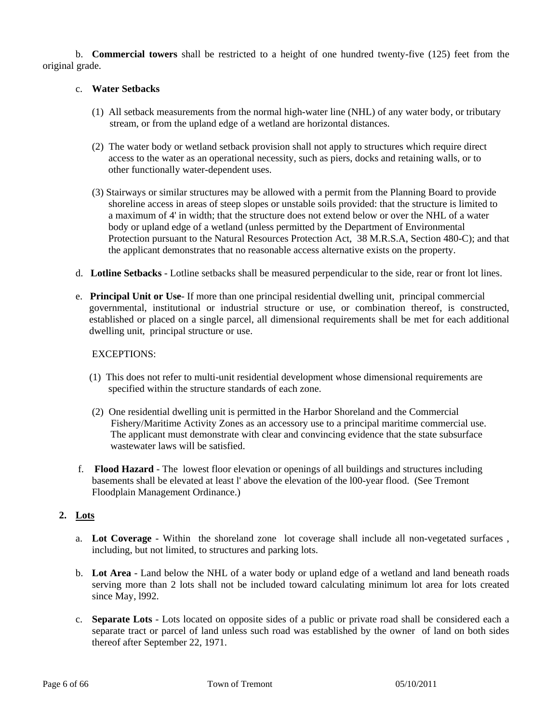b. **Commercial towers** shall be restricted to a height of one hundred twenty-five (125) feet from the original grade.

# c. **Water Setbacks**

- (1) All setback measurements from the normal high-water line (NHL) of any water body, or tributary stream, or from the upland edge of a wetland are horizontal distances.
- (2) The water body or wetland setback provision shall not apply to structures which require direct access to the water as an operational necessity, such as piers, docks and retaining walls, or to other functionally water-dependent uses.
- (3) Stairways or similar structures may be allowed with a permit from the Planning Board to provide shoreline access in areas of steep slopes or unstable soils provided: that the structure is limited to a maximum of 4' in width; that the structure does not extend below or over the NHL of a water body or upland edge of a wetland (unless permitted by the Department of Environmental Protection pursuant to the Natural Resources Protection Act, 38 M.R.S.A, Section 480-C); and that the applicant demonstrates that no reasonable access alternative exists on the property.
- d. **Lotline Setbacks** Lotline setbacks shall be measured perpendicular to the side, rear or front lot lines.
- e. **Principal Unit or Use** If more than one principal residential dwelling unit, principal commercial governmental, institutional or industrial structure or use, or combination thereof, is constructed, established or placed on a single parcel, all dimensional requirements shall be met for each additional dwelling unit, principal structure or use.

# EXCEPTIONS:

- (1) This does not refer to multi-unit residential development whose dimensional requirements are specified within the structure standards of each zone.
- (2) One residential dwelling unit is permitted in the Harbor Shoreland and the Commercial Fishery/Maritime Activity Zones as an accessory use to a principal maritime commercial use. The applicant must demonstrate with clear and convincing evidence that the state subsurface wastewater laws will be satisfied.
- f. **Flood Hazard**  The lowest floor elevation or openings of all buildings and structures including basements shall be elevated at least l' above the elevation of the l00-year flood. (See Tremont Floodplain Management Ordinance.)

# **2. Lots**

- a. **Lot Coverage** Within the shoreland zone lot coverage shall include all non-vegetated surfaces , including, but not limited, to structures and parking lots.
- b. **Lot Area** Land below the NHL of a water body or upland edge of a wetland and land beneath roads serving more than 2 lots shall not be included toward calculating minimum lot area for lots created since May, l992.
- c. **Separate Lots** Lots located on opposite sides of a public or private road shall be considered each a separate tract or parcel of land unless such road was established by the owner of land on both sides thereof after September 22, 1971.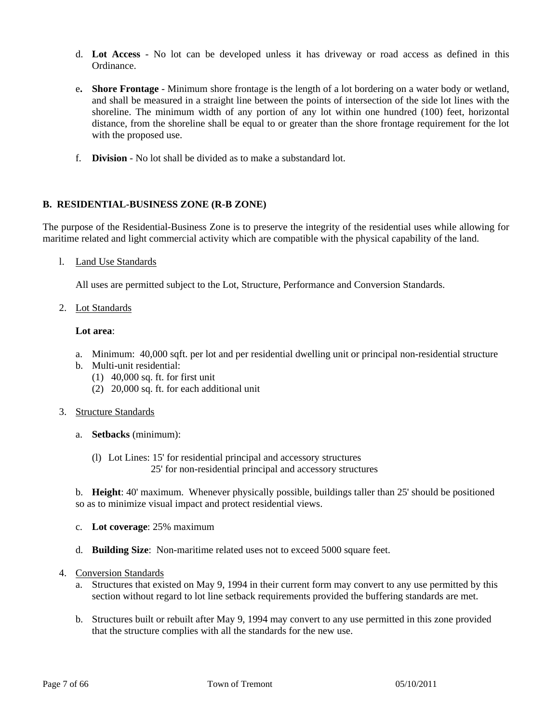- d. **Lot Access** No lot can be developed unless it has driveway or road access as defined in this Ordinance.
- e**. Shore Frontage** Minimum shore frontage is the length of a lot bordering on a water body or wetland, and shall be measured in a straight line between the points of intersection of the side lot lines with the shoreline. The minimum width of any portion of any lot within one hundred (100) feet, horizontal distance, from the shoreline shall be equal to or greater than the shore frontage requirement for the lot with the proposed use.
- f. **Division** No lot shall be divided as to make a substandard lot.

# **B. RESIDENTIAL-BUSINESS ZONE (R-B ZONE)**

The purpose of the Residential-Business Zone is to preserve the integrity of the residential uses while allowing for maritime related and light commercial activity which are compatible with the physical capability of the land.

l. Land Use Standards

All uses are permitted subject to the Lot, Structure, Performance and Conversion Standards.

2. Lot Standards

# **Lot area**:

- a. Minimum: 40,000 sqft. per lot and per residential dwelling unit or principal non-residential structure
- b. Multi-unit residential:
	- (1) 40,000 sq. ft. for first unit
	- (2) 20,000 sq. ft. for each additional unit
- 3. Structure Standards
	- a. **Setbacks** (minimum):
		- (l) Lot Lines: 15' for residential principal and accessory structures 25' for non-residential principal and accessory structures

 b. **Height**: 40' maximum. Whenever physically possible, buildings taller than 25' should be positioned so as to minimize visual impact and protect residential views.

- c. **Lot coverage**: 25% maximum
- d. **Building Size**: Non-maritime related uses not to exceed 5000 square feet.
- 4. Conversion Standards
	- a. Structures that existed on May 9, 1994 in their current form may convert to any use permitted by this section without regard to lot line setback requirements provided the buffering standards are met.
	- b. Structures built or rebuilt after May 9, 1994 may convert to any use permitted in this zone provided that the structure complies with all the standards for the new use.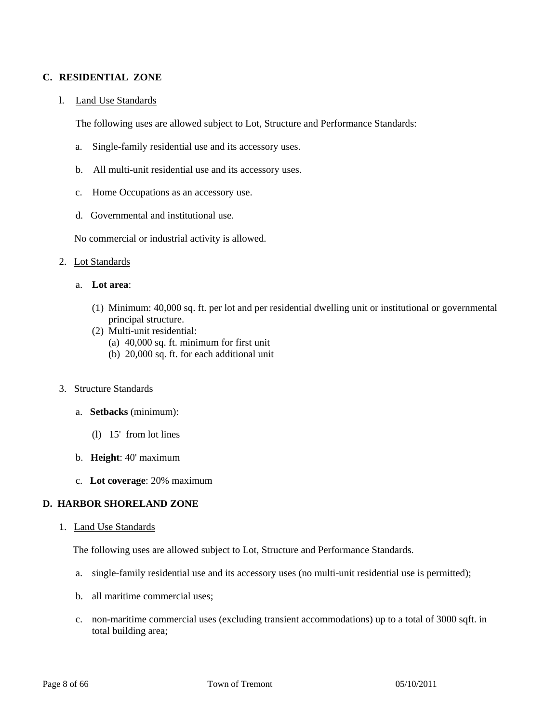# **C. RESIDENTIAL ZONE**

#### l. Land Use Standards

The following uses are allowed subject to Lot, Structure and Performance Standards:

- a. Single-family residential use and its accessory uses.
- b. All multi-unit residential use and its accessory uses.
- c. Home Occupations as an accessory use.
- d. Governmental and institutional use.

No commercial or industrial activity is allowed.

#### 2. Lot Standards

- a. **Lot area**:
	- (1) Minimum: 40,000 sq. ft. per lot and per residential dwelling unit or institutional or governmental principal structure.
	- (2) Multi-unit residential:
		- (a) 40,000 sq. ft. minimum for first unit
		- (b) 20,000 sq. ft. for each additional unit

#### 3. Structure Standards

- a. **Setbacks** (minimum):
	- (l) 15' from lot lines
- b. **Height**: 40' maximum
- c. **Lot coverage**: 20% maximum

# **D. HARBOR SHORELAND ZONE**

#### 1. Land Use Standards

The following uses are allowed subject to Lot, Structure and Performance Standards.

- a. single-family residential use and its accessory uses (no multi-unit residential use is permitted);
- b. all maritime commercial uses;
- c. non-maritime commercial uses (excluding transient accommodations) up to a total of 3000 sqft. in total building area;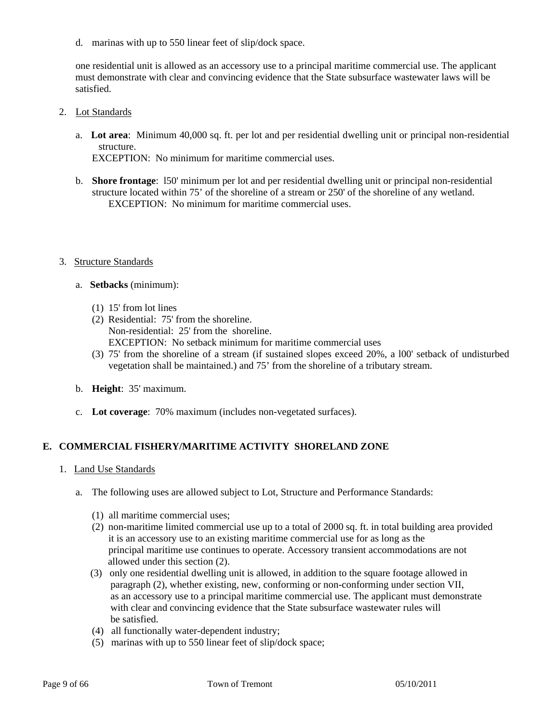d. marinas with up to 550 linear feet of slip/dock space.

 one residential unit is allowed as an accessory use to a principal maritime commercial use. The applicant must demonstrate with clear and convincing evidence that the State subsurface wastewater laws will be satisfied.

- 2. Lot Standards
	- a. **Lot area**: Minimum 40,000 sq. ft. per lot and per residential dwelling unit or principal non-residential structure.

EXCEPTION: No minimum for maritime commercial uses.

 b. **Shore frontage**: l50' minimum per lot and per residential dwelling unit or principal non-residential structure located within 75' of the shoreline of a stream or 250' of the shoreline of any wetland. EXCEPTION: No minimum for maritime commercial uses.

#### 3. Structure Standards

- a. **Setbacks** (minimum):
	- (1) 15' from lot lines
	- (2) Residential: 75' from the shoreline. Non-residential: 25' from the shoreline. EXCEPTION: No setback minimum for maritime commercial uses
	- (3) 75' from the shoreline of a stream (if sustained slopes exceed 20%, a l00' setback of undisturbed vegetation shall be maintained.) and 75' from the shoreline of a tributary stream.
- b. **Height**: 35' maximum.
- c. **Lot coverage**: 70% maximum (includes non-vegetated surfaces).

# **E. COMMERCIAL FISHERY/MARITIME ACTIVITY SHORELAND ZONE**

- 1. Land Use Standards
	- a. The following uses are allowed subject to Lot, Structure and Performance Standards:
		- (1) all maritime commercial uses;
		- (2) non-maritime limited commercial use up to a total of 2000 sq. ft. in total building area provided it is an accessory use to an existing maritime commercial use for as long as the principal maritime use continues to operate. Accessory transient accommodations are not allowed under this section (2).
		- (3) only one residential dwelling unit is allowed, in addition to the square footage allowed in paragraph (2), whether existing, new, conforming or non-conforming under section VII, as an accessory use to a principal maritime commercial use. The applicant must demonstrate with clear and convincing evidence that the State subsurface wastewater rules will be satisfied.
		- (4) all functionally water-dependent industry;
		- (5) marinas with up to 550 linear feet of slip/dock space;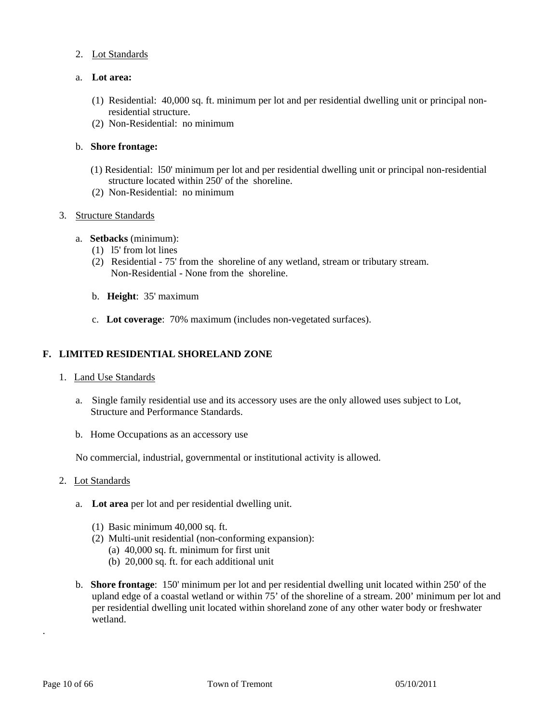- 2. Lot Standards
- a. **Lot area:** 
	- (1) Residential: 40,000 sq. ft. minimum per lot and per residential dwelling unit or principal non residential structure.
	- (2) Non-Residential: no minimum

# b. **Shore frontage:**

- (1) Residential: l50' minimum per lot and per residential dwelling unit or principal non-residential structure located within 250' of the shoreline.
- (2) Non-Residential: no minimum

# 3. Structure Standards

- a. **Setbacks** (minimum):
	- (1) l5' from lot lines
	- (2) Residential 75' from the shoreline of any wetland, stream or tributary stream. Non-Residential - None from the shoreline.
	- b. **Height**: 35' maximum
	- c. **Lot coverage**: 70% maximum (includes non-vegetated surfaces).

# **F. LIMITED RESIDENTIAL SHORELAND ZONE**

# 1. Land Use Standards

- a. Single family residential use and its accessory uses are the only allowed uses subject to Lot, Structure and Performance Standards.
- b. Home Occupations as an accessory use

No commercial, industrial, governmental or institutional activity is allowed.

- 2. Lot Standards
	- a. **Lot area** per lot and per residential dwelling unit.
		- (1) Basic minimum 40,000 sq. ft.
		- (2) Multi-unit residential (non-conforming expansion):
			- (a) 40,000 sq. ft. minimum for first unit
			- (b) 20,000 sq. ft. for each additional unit
	- b. **Shore frontage**: 150' minimum per lot and per residential dwelling unit located within 250' of the upland edge of a coastal wetland or within 75' of the shoreline of a stream. 200' minimum per lot and per residential dwelling unit located within shoreland zone of any other water body or freshwater wetland.

.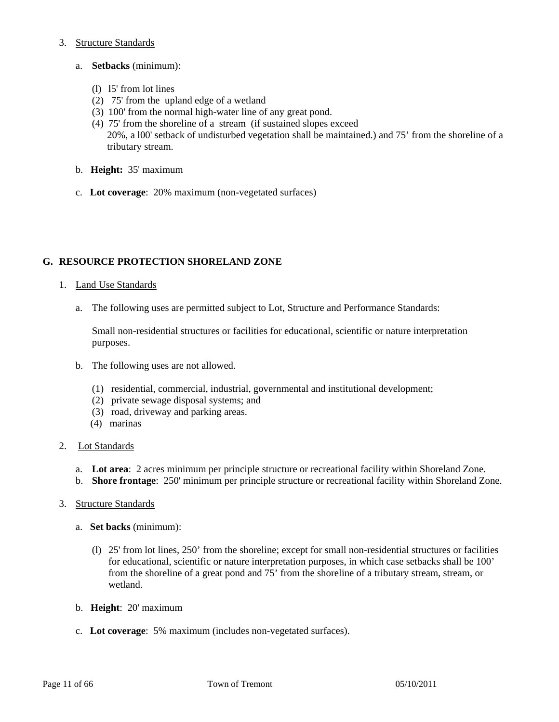# 3. Structure Standards

- a. **Setbacks** (minimum):
	- (l) l5' from lot lines
	- (2) 75' from the upland edge of a wetland
	- (3) 100' from the normal high-water line of any great pond.
	- (4) 75' from the shoreline of a stream (if sustained slopes exceed 20%, a l00' setback of undisturbed vegetation shall be maintained.) and 75' from the shoreline of a tributary stream.
- b. **Height:** 35' maximum
- c. **Lot coverage**: 20% maximum (non-vegetated surfaces)

# **G. RESOURCE PROTECTION SHORELAND ZONE**

- 1. Land Use Standards
	- a. The following uses are permitted subject to Lot, Structure and Performance Standards:

Small non-residential structures or facilities for educational, scientific or nature interpretation purposes.

- b. The following uses are not allowed.
	- (1) residential, commercial, industrial, governmental and institutional development;
	- (2) private sewage disposal systems; and
	- (3) road, driveway and parking areas.
	- (4) marinas

# 2. Lot Standards

- a. **Lot area**: 2 acres minimum per principle structure or recreational facility within Shoreland Zone.
- b. **Shore frontage**: 250' minimum per principle structure or recreational facility within Shoreland Zone.
- 3. Structure Standards
	- a. **Set backs** (minimum):
		- (l) 25' from lot lines, 250' from the shoreline; except for small non-residential structures or facilities for educational, scientific or nature interpretation purposes, in which case setbacks shall be 100' from the shoreline of a great pond and 75' from the shoreline of a tributary stream, stream, or wetland.
	- b. **Height**: 20' maximum
	- c. **Lot coverage**: 5% maximum (includes non-vegetated surfaces).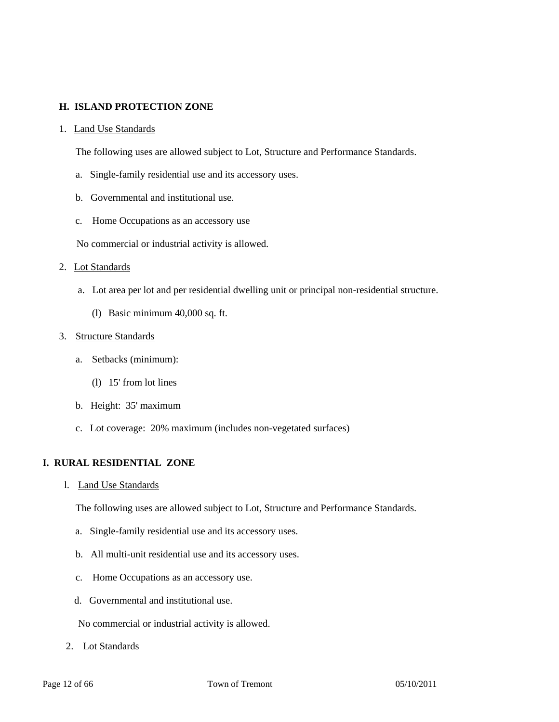# **H. ISLAND PROTECTION ZONE**

#### 1. Land Use Standards

The following uses are allowed subject to Lot, Structure and Performance Standards.

- a. Single-family residential use and its accessory uses.
- b. Governmental and institutional use.
- c. Home Occupations as an accessory use

No commercial or industrial activity is allowed.

#### 2. Lot Standards

- a. Lot area per lot and per residential dwelling unit or principal non-residential structure.
	- (l) Basic minimum 40,000 sq. ft.

#### 3. Structure Standards

- a. Setbacks (minimum):
	- (l) 15' from lot lines
- b. Height: 35' maximum
- c. Lot coverage: 20% maximum (includes non-vegetated surfaces)

# **I. RURAL RESIDENTIAL ZONE**

l. Land Use Standards

The following uses are allowed subject to Lot, Structure and Performance Standards.

- a. Single-family residential use and its accessory uses.
- b. All multi-unit residential use and its accessory uses.
- c. Home Occupations as an accessory use.
- d. Governmental and institutional use.

No commercial or industrial activity is allowed.

2. Lot Standards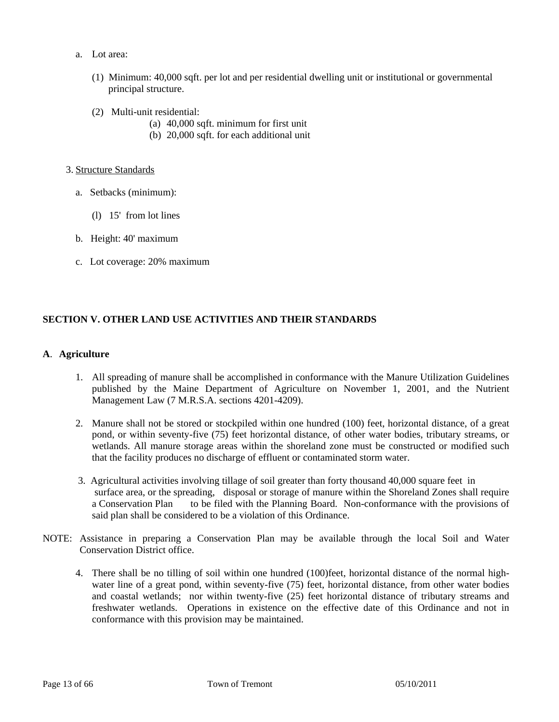- a. Lot area:
	- (1) Minimum: 40,000 sqft. per lot and per residential dwelling unit or institutional or governmental principal structure.
	- (2) Multi-unit residential:
		- (a) 40,000 sqft. minimum for first unit
		- (b) 20,000 sqft. for each additional unit

#### 3. Structure Standards

- a. Setbacks (minimum):
	- (l) 15' from lot lines
- b. Height: 40' maximum
- c. Lot coverage: 20% maximum

# **SECTION V. OTHER LAND USE ACTIVITIES AND THEIR STANDARDS**

# **A**. **Agriculture**

- 1. All spreading of manure shall be accomplished in conformance with the Manure Utilization Guidelines published by the Maine Department of Agriculture on November 1, 2001, and the Nutrient Management Law (7 M.R.S.A. sections 4201-4209).
- 2. Manure shall not be stored or stockpiled within one hundred (100) feet, horizontal distance, of a great pond, or within seventy-five (75) feet horizontal distance, of other water bodies, tributary streams, or wetlands. All manure storage areas within the shoreland zone must be constructed or modified such that the facility produces no discharge of effluent or contaminated storm water.
- 3. Agricultural activities involving tillage of soil greater than forty thousand 40,000 square feet in surface area, or the spreading, disposal or storage of manure within the Shoreland Zones shall require a Conservation Plan to be filed with the Planning Board. Non-conformance with the provisions of said plan shall be considered to be a violation of this Ordinance.
- NOTE: Assistance in preparing a Conservation Plan may be available through the local Soil and Water Conservation District office.
	- 4. There shall be no tilling of soil within one hundred (100)feet, horizontal distance of the normal highwater line of a great pond, within seventy-five (75) feet, horizontal distance, from other water bodies and coastal wetlands; nor within twenty-five (25) feet horizontal distance of tributary streams and freshwater wetlands. Operations in existence on the effective date of this Ordinance and not in conformance with this provision may be maintained.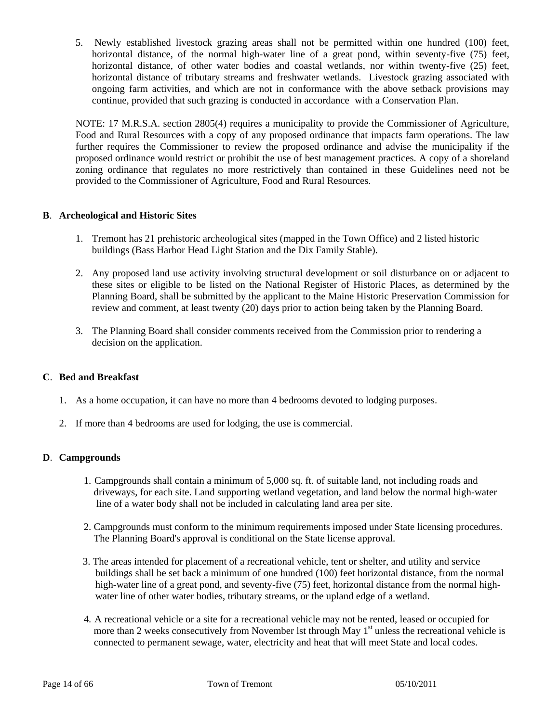5. Newly established livestock grazing areas shall not be permitted within one hundred (100) feet, horizontal distance, of the normal high-water line of a great pond, within seventy-five (75) feet, horizontal distance, of other water bodies and coastal wetlands, nor within twenty-five (25) feet, horizontal distance of tributary streams and freshwater wetlands. Livestock grazing associated with ongoing farm activities, and which are not in conformance with the above setback provisions may continue, provided that such grazing is conducted in accordance with a Conservation Plan.

NOTE: 17 M.R.S.A. section 2805(4) requires a municipality to provide the Commissioner of Agriculture, Food and Rural Resources with a copy of any proposed ordinance that impacts farm operations. The law further requires the Commissioner to review the proposed ordinance and advise the municipality if the proposed ordinance would restrict or prohibit the use of best management practices. A copy of a shoreland zoning ordinance that regulates no more restrictively than contained in these Guidelines need not be provided to the Commissioner of Agriculture, Food and Rural Resources.

# **B**. **Archeological and Historic Sites**

- 1. Tremont has 21 prehistoric archeological sites (mapped in the Town Office) and 2 listed historic buildings (Bass Harbor Head Light Station and the Dix Family Stable).
- 2. Any proposed land use activity involving structural development or soil disturbance on or adjacent to these sites or eligible to be listed on the National Register of Historic Places, as determined by the Planning Board, shall be submitted by the applicant to the Maine Historic Preservation Commission for review and comment, at least twenty (20) days prior to action being taken by the Planning Board.
- 3. The Planning Board shall consider comments received from the Commission prior to rendering a decision on the application.

# **C**. **Bed and Breakfast**

- 1. As a home occupation, it can have no more than 4 bedrooms devoted to lodging purposes.
- 2. If more than 4 bedrooms are used for lodging, the use is commercial.

# **D**. **Campgrounds**

- 1. Campgrounds shall contain a minimum of 5,000 sq. ft. of suitable land, not including roads and driveways, for each site. Land supporting wetland vegetation, and land below the normal high-water line of a water body shall not be included in calculating land area per site.
- 2. Campgrounds must conform to the minimum requirements imposed under State licensing procedures. The Planning Board's approval is conditional on the State license approval.
- 3. The areas intended for placement of a recreational vehicle, tent or shelter, and utility and service buildings shall be set back a minimum of one hundred (100) feet horizontal distance, from the normal high-water line of a great pond, and seventy-five (75) feet, horizontal distance from the normal high water line of other water bodies, tributary streams, or the upland edge of a wetland.
- 4. A recreational vehicle or a site for a recreational vehicle may not be rented, leased or occupied for more than 2 weeks consecutively from November lst through May  $1<sup>st</sup>$  unless the recreational vehicle is connected to permanent sewage, water, electricity and heat that will meet State and local codes.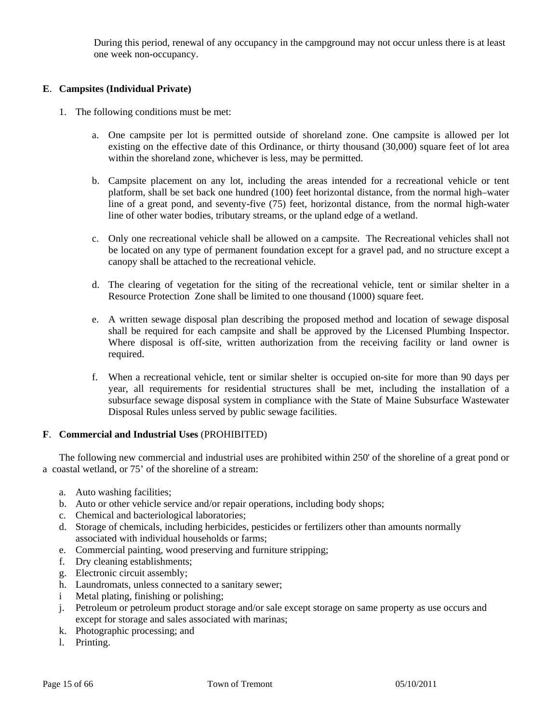During this period, renewal of any occupancy in the campground may not occur unless there is at least one week non-occupancy.

# **E**. **Campsites (Individual Private)**

- 1. The following conditions must be met:
	- a. One campsite per lot is permitted outside of shoreland zone. One campsite is allowed per lot existing on the effective date of this Ordinance, or thirty thousand (30,000) square feet of lot area within the shoreland zone, whichever is less, may be permitted.
	- b. Campsite placement on any lot, including the areas intended for a recreational vehicle or tent platform, shall be set back one hundred (100) feet horizontal distance, from the normal high–water line of a great pond, and seventy-five (75) feet, horizontal distance, from the normal high-water line of other water bodies, tributary streams, or the upland edge of a wetland.
	- c. Only one recreational vehicle shall be allowed on a campsite. The Recreational vehicles shall not be located on any type of permanent foundation except for a gravel pad, and no structure except a canopy shall be attached to the recreational vehicle.
	- d. The clearing of vegetation for the siting of the recreational vehicle, tent or similar shelter in a Resource Protection Zone shall be limited to one thousand (1000) square feet.
	- e. A written sewage disposal plan describing the proposed method and location of sewage disposal shall be required for each campsite and shall be approved by the Licensed Plumbing Inspector. Where disposal is off-site, written authorization from the receiving facility or land owner is required.
	- f. When a recreational vehicle, tent or similar shelter is occupied on-site for more than 90 days per year, all requirements for residential structures shall be met, including the installation of a subsurface sewage disposal system in compliance with the State of Maine Subsurface Wastewater Disposal Rules unless served by public sewage facilities.

# **F**. **Commercial and Industrial Uses** (PROHIBITED)

 The following new commercial and industrial uses are prohibited within 250' of the shoreline of a great pond or a coastal wetland, or 75' of the shoreline of a stream:

- a. Auto washing facilities;
- b. Auto or other vehicle service and/or repair operations, including body shops;
- c. Chemical and bacteriological laboratories;
- d. Storage of chemicals, including herbicides, pesticides or fertilizers other than amounts normally associated with individual households or farms;
- e. Commercial painting, wood preserving and furniture stripping;
- f. Dry cleaning establishments;
- g. Electronic circuit assembly;
- h. Laundromats, unless connected to a sanitary sewer;
- i Metal plating, finishing or polishing;
- j. Petroleum or petroleum product storage and/or sale except storage on same property as use occurs and except for storage and sales associated with marinas;
- k. Photographic processing; and
- l. Printing.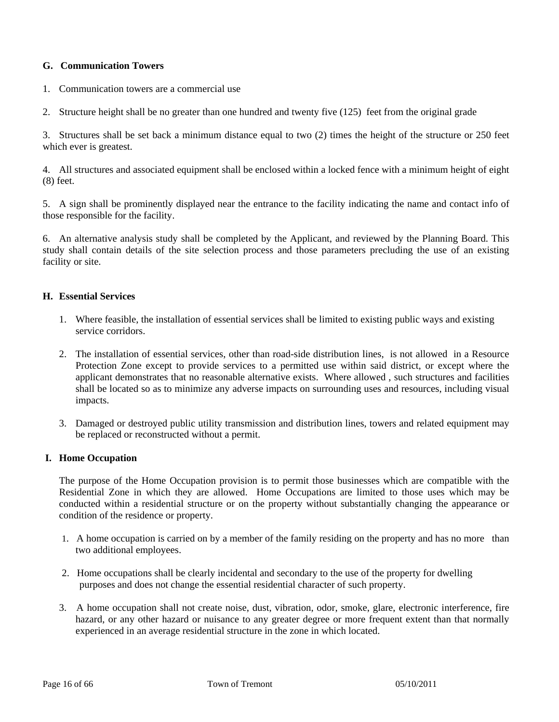# **G. Communication Towers**

- 1. Communication towers are a commercial use
- 2. Structure height shall be no greater than one hundred and twenty five (125) feet from the original grade

3. Structures shall be set back a minimum distance equal to two (2) times the height of the structure or 250 feet which ever is greatest.

4. All structures and associated equipment shall be enclosed within a locked fence with a minimum height of eight (8) feet.

5. A sign shall be prominently displayed near the entrance to the facility indicating the name and contact info of those responsible for the facility.

6. An alternative analysis study shall be completed by the Applicant, and reviewed by the Planning Board. This study shall contain details of the site selection process and those parameters precluding the use of an existing facility or site.

# **H. Essential Services**

- 1. Where feasible, the installation of essential services shall be limited to existing public ways and existing service corridors.
- 2. The installation of essential services, other than road-side distribution lines, is not allowed in a Resource Protection Zone except to provide services to a permitted use within said district, or except where the applicant demonstrates that no reasonable alternative exists. Where allowed , such structures and facilities shall be located so as to minimize any adverse impacts on surrounding uses and resources, including visual impacts.
- 3. Damaged or destroyed public utility transmission and distribution lines, towers and related equipment may be replaced or reconstructed without a permit.

# **I. Home Occupation**

 The purpose of the Home Occupation provision is to permit those businesses which are compatible with the Residential Zone in which they are allowed. Home Occupations are limited to those uses which may be conducted within a residential structure or on the property without substantially changing the appearance or condition of the residence or property.

- 1. A home occupation is carried on by a member of the family residing on the property and has no more than two additional employees.
- 2. Home occupations shall be clearly incidental and secondary to the use of the property for dwelling purposes and does not change the essential residential character of such property.
- 3. A home occupation shall not create noise, dust, vibration, odor, smoke, glare, electronic interference, fire hazard, or any other hazard or nuisance to any greater degree or more frequent extent than that normally experienced in an average residential structure in the zone in which located.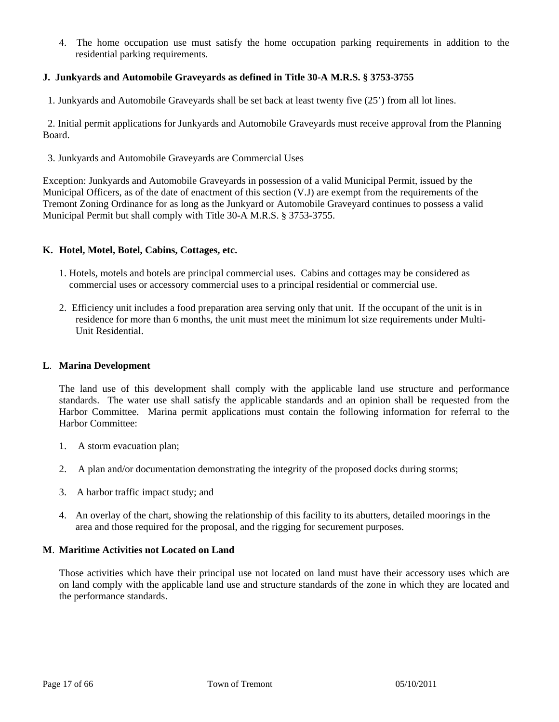4. The home occupation use must satisfy the home occupation parking requirements in addition to the residential parking requirements.

# **J. Junkyards and Automobile Graveyards as defined in Title 30-A M.R.S. § 3753-3755**

1. Junkyards and Automobile Graveyards shall be set back at least twenty five (25') from all lot lines.

 2. Initial permit applications for Junkyards and Automobile Graveyards must receive approval from the Planning Board.

3. Junkyards and Automobile Graveyards are Commercial Uses

Exception: Junkyards and Automobile Graveyards in possession of a valid Municipal Permit, issued by the Municipal Officers, as of the date of enactment of this section (V.J) are exempt from the requirements of the Tremont Zoning Ordinance for as long as the Junkyard or Automobile Graveyard continues to possess a valid Municipal Permit but shall comply with Title 30-A M.R.S. § 3753-3755.

#### **K. Hotel, Motel, Botel, Cabins, Cottages, etc.**

- 1. Hotels, motels and botels are principal commercial uses. Cabins and cottages may be considered as commercial uses or accessory commercial uses to a principal residential or commercial use.
- 2. Efficiency unit includes a food preparation area serving only that unit. If the occupant of the unit is in residence for more than 6 months, the unit must meet the minimum lot size requirements under Multi- Unit Residential.

#### **L**. **Marina Development**

 The land use of this development shall comply with the applicable land use structure and performance standards. The water use shall satisfy the applicable standards and an opinion shall be requested from the Harbor Committee. Marina permit applications must contain the following information for referral to the Harbor Committee:

- 1. A storm evacuation plan;
- 2. A plan and/or documentation demonstrating the integrity of the proposed docks during storms;
- 3. A harbor traffic impact study; and
- 4. An overlay of the chart, showing the relationship of this facility to its abutters, detailed moorings in the area and those required for the proposal, and the rigging for securement purposes.

#### **M**. **Maritime Activities not Located on Land**

 Those activities which have their principal use not located on land must have their accessory uses which are on land comply with the applicable land use and structure standards of the zone in which they are located and the performance standards.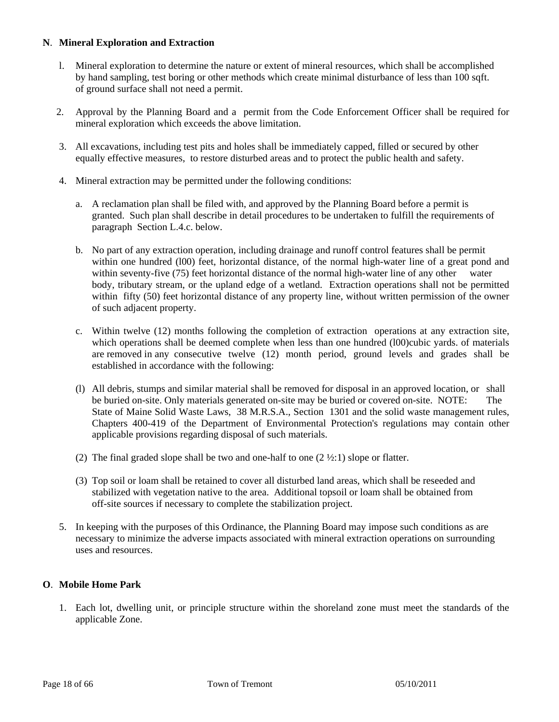# **N**. **Mineral Exploration and Extraction**

- l. Mineral exploration to determine the nature or extent of mineral resources, which shall be accomplished by hand sampling, test boring or other methods which create minimal disturbance of less than 100 sqft. of ground surface shall not need a permit.
- 2. Approval by the Planning Board and a permit from the Code Enforcement Officer shall be required for mineral exploration which exceeds the above limitation.
- 3. All excavations, including test pits and holes shall be immediately capped, filled or secured by other equally effective measures, to restore disturbed areas and to protect the public health and safety.
- 4. Mineral extraction may be permitted under the following conditions:
	- a. A reclamation plan shall be filed with, and approved by the Planning Board before a permit is granted. Such plan shall describe in detail procedures to be undertaken to fulfill the requirements of paragraph Section L.4.c. below.
	- b. No part of any extraction operation, including drainage and runoff control features shall be permit within one hundred (l00) feet, horizontal distance, of the normal high-water line of a great pond and within seventy-five (75) feet horizontal distance of the normal high-water line of any other water body, tributary stream, or the upland edge of a wetland. Extraction operations shall not be permitted within fifty (50) feet horizontal distance of any property line, without written permission of the owner of such adjacent property.
	- c. Within twelve (12) months following the completion of extraction operations at any extraction site, which operations shall be deemed complete when less than one hundred (100)cubic yards. of materials are removed in any consecutive twelve (12) month period, ground levels and grades shall be established in accordance with the following:
	- (l) All debris, stumps and similar material shall be removed for disposal in an approved location, or shall be buried on-site. Only materials generated on-site may be buried or covered on-site. NOTE: The State of Maine Solid Waste Laws, 38 M.R.S.A., Section 1301 and the solid waste management rules, Chapters 400-419 of the Department of Environmental Protection's regulations may contain other applicable provisions regarding disposal of such materials.
	- (2) The final graded slope shall be two and one-half to one  $(2 \frac{1}{2} : 1)$  slope or flatter.
	- (3) Top soil or loam shall be retained to cover all disturbed land areas, which shall be reseeded and stabilized with vegetation native to the area. Additional topsoil or loam shall be obtained from off-site sources if necessary to complete the stabilization project.
- 5. In keeping with the purposes of this Ordinance, the Planning Board may impose such conditions as are necessary to minimize the adverse impacts associated with mineral extraction operations on surrounding uses and resources.

# **O**. **Mobile Home Park**

1. Each lot, dwelling unit, or principle structure within the shoreland zone must meet the standards of the applicable Zone.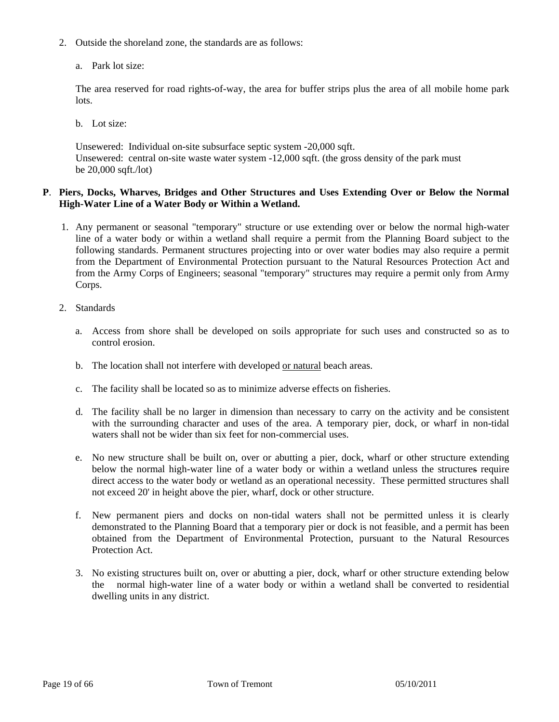- 2. Outside the shoreland zone, the standards are as follows:
	- a. Park lot size:

The area reserved for road rights-of-way, the area for buffer strips plus the area of all mobile home park lots.

b. Lot size:

 Unsewered: Individual on-site subsurface septic system -20,000 sqft. Unsewered: central on-site waste water system -12,000 sqft. (the gross density of the park must be 20,000 sqft./lot)

# **P**. **Piers, Docks, Wharves, Bridges and Other Structures and Uses Extending Over or Below the Normal High-Water Line of a Water Body or Within a Wetland.**

- 1. Any permanent or seasonal "temporary" structure or use extending over or below the normal high-water line of a water body or within a wetland shall require a permit from the Planning Board subject to the following standards. Permanent structures projecting into or over water bodies may also require a permit from the Department of Environmental Protection pursuant to the Natural Resources Protection Act and from the Army Corps of Engineers; seasonal "temporary" structures may require a permit only from Army Corps.
- 2. Standards
	- a. Access from shore shall be developed on soils appropriate for such uses and constructed so as to control erosion.
	- b. The location shall not interfere with developed or natural beach areas.
	- c. The facility shall be located so as to minimize adverse effects on fisheries.
	- d. The facility shall be no larger in dimension than necessary to carry on the activity and be consistent with the surrounding character and uses of the area. A temporary pier, dock, or wharf in non-tidal waters shall not be wider than six feet for non-commercial uses.
	- e. No new structure shall be built on, over or abutting a pier, dock, wharf or other structure extending below the normal high-water line of a water body or within a wetland unless the structures require direct access to the water body or wetland as an operational necessity. These permitted structures shall not exceed 20' in height above the pier, wharf, dock or other structure.
	- f. New permanent piers and docks on non-tidal waters shall not be permitted unless it is clearly demonstrated to the Planning Board that a temporary pier or dock is not feasible, and a permit has been obtained from the Department of Environmental Protection, pursuant to the Natural Resources Protection Act.
	- 3. No existing structures built on, over or abutting a pier, dock, wharf or other structure extending below the normal high-water line of a water body or within a wetland shall be converted to residential dwelling units in any district.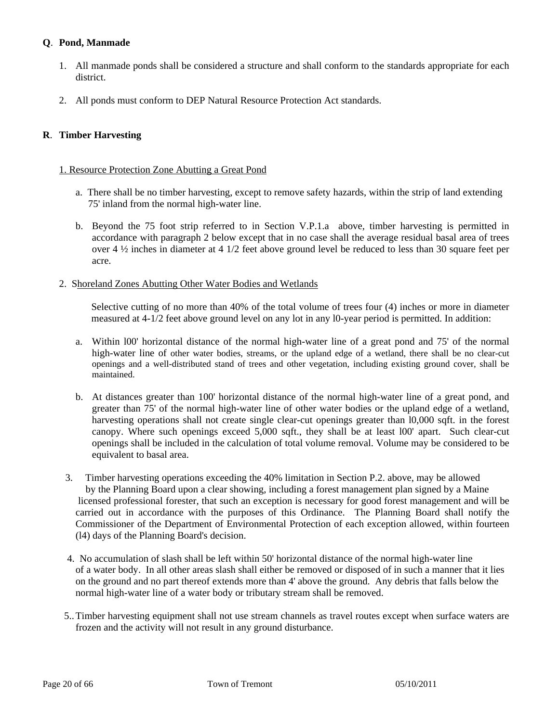# **Q**. **Pond, Manmade**

- 1. All manmade ponds shall be considered a structure and shall conform to the standards appropriate for each district.
- 2. All ponds must conform to DEP Natural Resource Protection Act standards.

# **R**. **Timber Harvesting**

#### 1. Resource Protection Zone Abutting a Great Pond

- a. There shall be no timber harvesting, except to remove safety hazards, within the strip of land extending 75' inland from the normal high-water line.
- b. Beyond the 75 foot strip referred to in Section V.P.1.a above, timber harvesting is permitted in accordance with paragraph 2 below except that in no case shall the average residual basal area of trees over 4  $\frac{1}{2}$  inches in diameter at 4 1/2 feet above ground level be reduced to less than 30 square feet per acre.

#### 2. Shoreland Zones Abutting Other Water Bodies and Wetlands

Selective cutting of no more than 40% of the total volume of trees four (4) inches or more in diameter measured at 4-1/2 feet above ground level on any lot in any l0-year period is permitted. In addition:

- a. Within l00' horizontal distance of the normal high-water line of a great pond and 75' of the normal high-water line of other water bodies, streams, or the upland edge of a wetland, there shall be no clear-cut openings and a well-distributed stand of trees and other vegetation, including existing ground cover, shall be maintained.
- b. At distances greater than 100' horizontal distance of the normal high-water line of a great pond, and greater than 75' of the normal high-water line of other water bodies or the upland edge of a wetland, harvesting operations shall not create single clear-cut openings greater than l0,000 sqft. in the forest canopy. Where such openings exceed 5,000 sqft., they shall be at least l00' apart. Such clear-cut openings shall be included in the calculation of total volume removal. Volume may be considered to be equivalent to basal area.
- 3. Timber harvesting operations exceeding the 40% limitation in Section P.2. above, may be allowed by the Planning Board upon a clear showing, including a forest management plan signed by a Maine licensed professional forester, that such an exception is necessary for good forest management and will be carried out in accordance with the purposes of this Ordinance. The Planning Board shall notify the Commissioner of the Department of Environmental Protection of each exception allowed, within fourteen (l4) days of the Planning Board's decision.
- 4. No accumulation of slash shall be left within 50' horizontal distance of the normal high-water line of a water body. In all other areas slash shall either be removed or disposed of in such a manner that it lies on the ground and no part thereof extends more than 4' above the ground. Any debris that falls below the normal high-water line of a water body or tributary stream shall be removed.
- 5.. Timber harvesting equipment shall not use stream channels as travel routes except when surface waters are frozen and the activity will not result in any ground disturbance.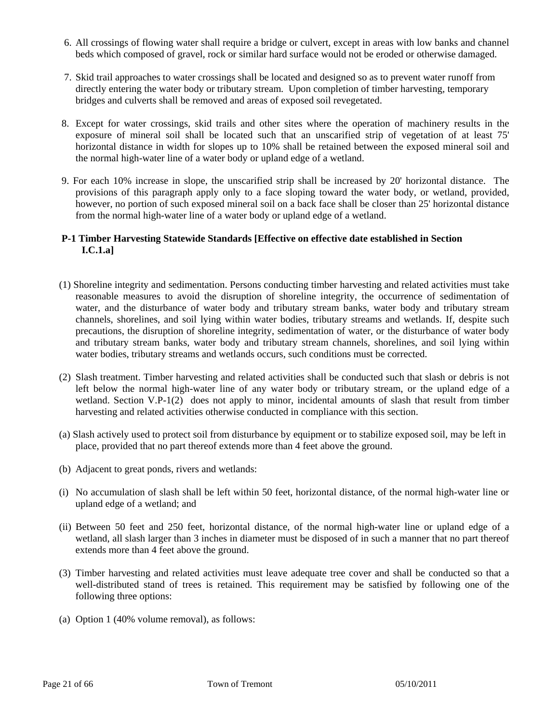- 6. All crossings of flowing water shall require a bridge or culvert, except in areas with low banks and channel beds which composed of gravel, rock or similar hard surface would not be eroded or otherwise damaged.
- 7. Skid trail approaches to water crossings shall be located and designed so as to prevent water runoff from directly entering the water body or tributary stream. Upon completion of timber harvesting, temporary bridges and culverts shall be removed and areas of exposed soil revegetated.
- 8. Except for water crossings, skid trails and other sites where the operation of machinery results in the exposure of mineral soil shall be located such that an unscarified strip of vegetation of at least 75' horizontal distance in width for slopes up to 10% shall be retained between the exposed mineral soil and the normal high-water line of a water body or upland edge of a wetland.
- 9. For each 10% increase in slope, the unscarified strip shall be increased by 20' horizontal distance. The provisions of this paragraph apply only to a face sloping toward the water body, or wetland, provided, however, no portion of such exposed mineral soil on a back face shall be closer than 25' horizontal distance from the normal high-water line of a water body or upland edge of a wetland.

# **P-1 Timber Harvesting Statewide Standards [Effective on effective date established in Section I.C.1.a]**

- (1) Shoreline integrity and sedimentation. Persons conducting timber harvesting and related activities must take reasonable measures to avoid the disruption of shoreline integrity, the occurrence of sedimentation of water, and the disturbance of water body and tributary stream banks, water body and tributary stream channels, shorelines, and soil lying within water bodies, tributary streams and wetlands. If, despite such precautions, the disruption of shoreline integrity, sedimentation of water, or the disturbance of water body and tributary stream banks, water body and tributary stream channels, shorelines, and soil lying within water bodies, tributary streams and wetlands occurs, such conditions must be corrected.
- (2) Slash treatment. Timber harvesting and related activities shall be conducted such that slash or debris is not left below the normal high-water line of any water body or tributary stream, or the upland edge of a wetland. Section V.P-1(2) does not apply to minor, incidental amounts of slash that result from timber harvesting and related activities otherwise conducted in compliance with this section.
- (a) Slash actively used to protect soil from disturbance by equipment or to stabilize exposed soil, may be left in place, provided that no part thereof extends more than 4 feet above the ground.
- (b) Adjacent to great ponds, rivers and wetlands:
- (i) No accumulation of slash shall be left within 50 feet, horizontal distance, of the normal high-water line or upland edge of a wetland; and
- (ii) Between 50 feet and 250 feet, horizontal distance, of the normal high-water line or upland edge of a wetland, all slash larger than 3 inches in diameter must be disposed of in such a manner that no part thereof extends more than 4 feet above the ground.
- (3) Timber harvesting and related activities must leave adequate tree cover and shall be conducted so that a well-distributed stand of trees is retained. This requirement may be satisfied by following one of the following three options:
- (a) Option 1 (40% volume removal), as follows: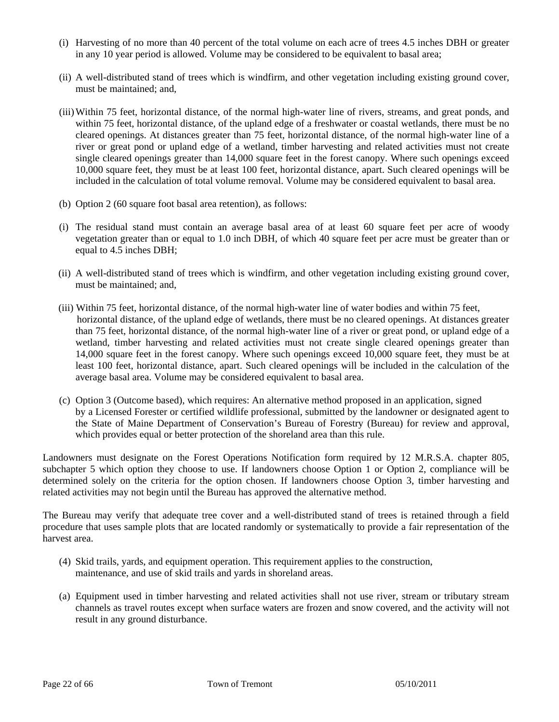- (i) Harvesting of no more than 40 percent of the total volume on each acre of trees 4.5 inches DBH or greater in any 10 year period is allowed. Volume may be considered to be equivalent to basal area;
- (ii) A well-distributed stand of trees which is windfirm, and other vegetation including existing ground cover, must be maintained; and,
- (iii) Within 75 feet, horizontal distance, of the normal high-water line of rivers, streams, and great ponds, and within 75 feet, horizontal distance, of the upland edge of a freshwater or coastal wetlands, there must be no cleared openings. At distances greater than 75 feet, horizontal distance, of the normal high-water line of a river or great pond or upland edge of a wetland, timber harvesting and related activities must not create single cleared openings greater than 14,000 square feet in the forest canopy. Where such openings exceed 10,000 square feet, they must be at least 100 feet, horizontal distance, apart. Such cleared openings will be included in the calculation of total volume removal. Volume may be considered equivalent to basal area.
- (b) Option 2 (60 square foot basal area retention), as follows:
- (i) The residual stand must contain an average basal area of at least 60 square feet per acre of woody vegetation greater than or equal to 1.0 inch DBH, of which 40 square feet per acre must be greater than or equal to 4.5 inches DBH;
- (ii) A well-distributed stand of trees which is windfirm, and other vegetation including existing ground cover, must be maintained; and,
- (iii) Within 75 feet, horizontal distance, of the normal high-water line of water bodies and within 75 feet, horizontal distance, of the upland edge of wetlands, there must be no cleared openings. At distances greater than 75 feet, horizontal distance, of the normal high-water line of a river or great pond, or upland edge of a wetland, timber harvesting and related activities must not create single cleared openings greater than 14,000 square feet in the forest canopy. Where such openings exceed 10,000 square feet, they must be at least 100 feet, horizontal distance, apart. Such cleared openings will be included in the calculation of the average basal area. Volume may be considered equivalent to basal area.
- (c) Option 3 (Outcome based), which requires: An alternative method proposed in an application, signed by a Licensed Forester or certified wildlife professional, submitted by the landowner or designated agent to the State of Maine Department of Conservation's Bureau of Forestry (Bureau) for review and approval, which provides equal or better protection of the shoreland area than this rule.

Landowners must designate on the Forest Operations Notification form required by 12 M.R.S.A. chapter 805, subchapter 5 which option they choose to use. If landowners choose Option 1 or Option 2, compliance will be determined solely on the criteria for the option chosen. If landowners choose Option 3, timber harvesting and related activities may not begin until the Bureau has approved the alternative method.

The Bureau may verify that adequate tree cover and a well-distributed stand of trees is retained through a field procedure that uses sample plots that are located randomly or systematically to provide a fair representation of the harvest area.

- (4) Skid trails, yards, and equipment operation. This requirement applies to the construction, maintenance, and use of skid trails and yards in shoreland areas.
- (a) Equipment used in timber harvesting and related activities shall not use river, stream or tributary stream channels as travel routes except when surface waters are frozen and snow covered, and the activity will not result in any ground disturbance.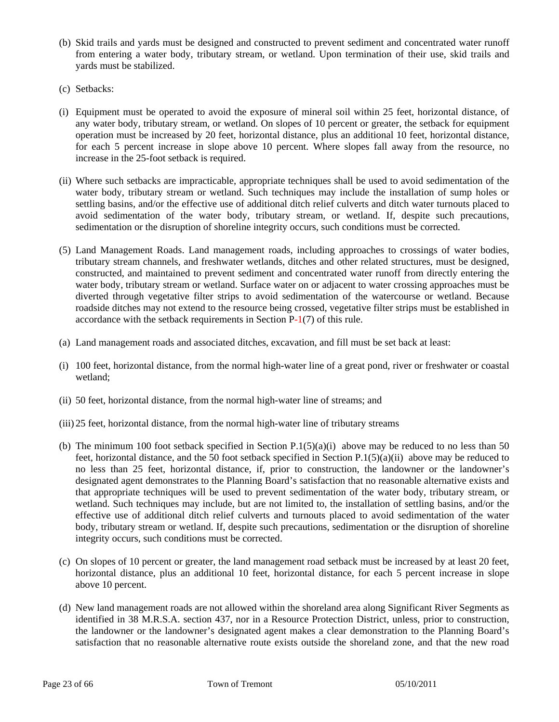- (b) Skid trails and yards must be designed and constructed to prevent sediment and concentrated water runoff from entering a water body, tributary stream, or wetland. Upon termination of their use, skid trails and yards must be stabilized.
- (c) Setbacks:
- (i) Equipment must be operated to avoid the exposure of mineral soil within 25 feet, horizontal distance, of any water body, tributary stream, or wetland. On slopes of 10 percent or greater, the setback for equipment operation must be increased by 20 feet, horizontal distance, plus an additional 10 feet, horizontal distance, for each 5 percent increase in slope above 10 percent. Where slopes fall away from the resource, no increase in the 25-foot setback is required.
- (ii) Where such setbacks are impracticable, appropriate techniques shall be used to avoid sedimentation of the water body, tributary stream or wetland. Such techniques may include the installation of sump holes or settling basins, and/or the effective use of additional ditch relief culverts and ditch water turnouts placed to avoid sedimentation of the water body, tributary stream, or wetland. If, despite such precautions, sedimentation or the disruption of shoreline integrity occurs, such conditions must be corrected.
- (5) Land Management Roads. Land management roads, including approaches to crossings of water bodies, tributary stream channels, and freshwater wetlands, ditches and other related structures, must be designed, constructed, and maintained to prevent sediment and concentrated water runoff from directly entering the water body, tributary stream or wetland. Surface water on or adjacent to water crossing approaches must be diverted through vegetative filter strips to avoid sedimentation of the watercourse or wetland. Because roadside ditches may not extend to the resource being crossed, vegetative filter strips must be established in accordance with the setback requirements in Section P-1(7) of this rule.
- (a) Land management roads and associated ditches, excavation, and fill must be set back at least:
- (i) 100 feet, horizontal distance, from the normal high-water line of a great pond, river or freshwater or coastal wetland;
- (ii) 50 feet, horizontal distance, from the normal high-water line of streams; and
- (iii) 25 feet, horizontal distance, from the normal high-water line of tributary streams
- (b) The minimum 100 foot setback specified in Section  $P(1)(5)(a)(i)$  above may be reduced to no less than 50 feet, horizontal distance, and the 50 foot setback specified in Section P.1(5)(a)(ii) above may be reduced to no less than 25 feet, horizontal distance, if, prior to construction, the landowner or the landowner's designated agent demonstrates to the Planning Board's satisfaction that no reasonable alternative exists and that appropriate techniques will be used to prevent sedimentation of the water body, tributary stream, or wetland. Such techniques may include, but are not limited to, the installation of settling basins, and/or the effective use of additional ditch relief culverts and turnouts placed to avoid sedimentation of the water body, tributary stream or wetland. If, despite such precautions, sedimentation or the disruption of shoreline integrity occurs, such conditions must be corrected.
- (c) On slopes of 10 percent or greater, the land management road setback must be increased by at least 20 feet, horizontal distance, plus an additional 10 feet, horizontal distance, for each 5 percent increase in slope above 10 percent.
- (d) New land management roads are not allowed within the shoreland area along Significant River Segments as identified in 38 M.R.S.A. section 437, nor in a Resource Protection District, unless, prior to construction, the landowner or the landowner's designated agent makes a clear demonstration to the Planning Board's satisfaction that no reasonable alternative route exists outside the shoreland zone, and that the new road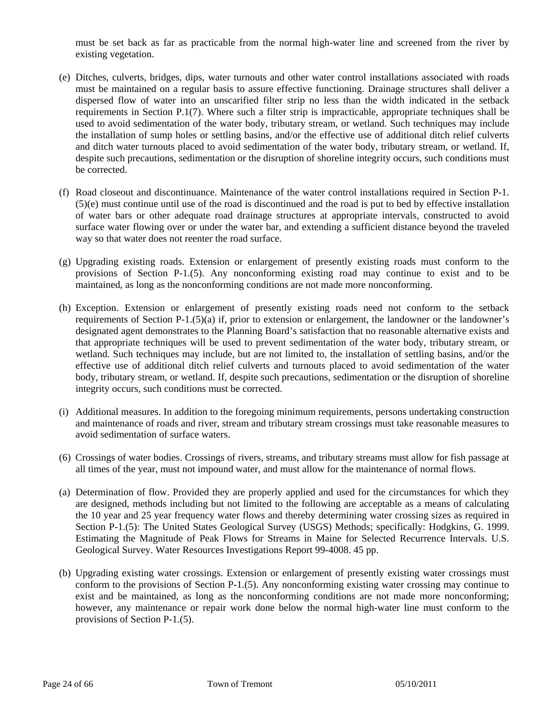must be set back as far as practicable from the normal high-water line and screened from the river by existing vegetation.

- (e) Ditches, culverts, bridges, dips, water turnouts and other water control installations associated with roads must be maintained on a regular basis to assure effective functioning. Drainage structures shall deliver a dispersed flow of water into an unscarified filter strip no less than the width indicated in the setback requirements in Section P.1(7). Where such a filter strip is impracticable, appropriate techniques shall be used to avoid sedimentation of the water body, tributary stream, or wetland. Such techniques may include the installation of sump holes or settling basins, and/or the effective use of additional ditch relief culverts and ditch water turnouts placed to avoid sedimentation of the water body, tributary stream, or wetland. If, despite such precautions, sedimentation or the disruption of shoreline integrity occurs, such conditions must be corrected.
- (f) Road closeout and discontinuance. Maintenance of the water control installations required in Section P-1. (5)(e) must continue until use of the road is discontinued and the road is put to bed by effective installation of water bars or other adequate road drainage structures at appropriate intervals, constructed to avoid surface water flowing over or under the water bar, and extending a sufficient distance beyond the traveled way so that water does not reenter the road surface.
- (g) Upgrading existing roads. Extension or enlargement of presently existing roads must conform to the provisions of Section P-1.(5). Any nonconforming existing road may continue to exist and to be maintained, as long as the nonconforming conditions are not made more nonconforming.
- (h) Exception. Extension or enlargement of presently existing roads need not conform to the setback requirements of Section P-1.(5)(a) if, prior to extension or enlargement, the landowner or the landowner's designated agent demonstrates to the Planning Board's satisfaction that no reasonable alternative exists and that appropriate techniques will be used to prevent sedimentation of the water body, tributary stream, or wetland. Such techniques may include, but are not limited to, the installation of settling basins, and/or the effective use of additional ditch relief culverts and turnouts placed to avoid sedimentation of the water body, tributary stream, or wetland. If, despite such precautions, sedimentation or the disruption of shoreline integrity occurs, such conditions must be corrected.
- (i) Additional measures. In addition to the foregoing minimum requirements, persons undertaking construction and maintenance of roads and river, stream and tributary stream crossings must take reasonable measures to avoid sedimentation of surface waters.
- (6) Crossings of water bodies. Crossings of rivers, streams, and tributary streams must allow for fish passage at all times of the year, must not impound water, and must allow for the maintenance of normal flows.
- (a) Determination of flow. Provided they are properly applied and used for the circumstances for which they are designed, methods including but not limited to the following are acceptable as a means of calculating the 10 year and 25 year frequency water flows and thereby determining water crossing sizes as required in Section P-1.(5): The United States Geological Survey (USGS) Methods; specifically: Hodgkins, G. 1999. Estimating the Magnitude of Peak Flows for Streams in Maine for Selected Recurrence Intervals. U.S. Geological Survey. Water Resources Investigations Report 99-4008. 45 pp.
- (b) Upgrading existing water crossings. Extension or enlargement of presently existing water crossings must conform to the provisions of Section P-1.(5). Any nonconforming existing water crossing may continue to exist and be maintained, as long as the nonconforming conditions are not made more nonconforming; however, any maintenance or repair work done below the normal high-water line must conform to the provisions of Section P-1.(5).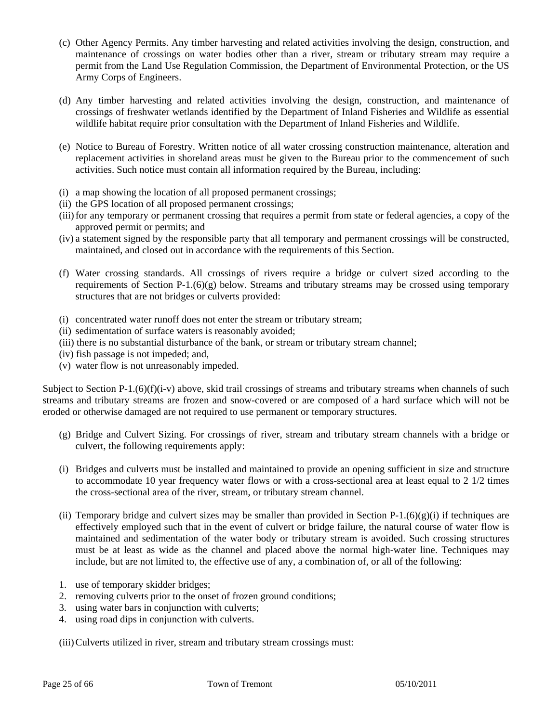- (c) Other Agency Permits. Any timber harvesting and related activities involving the design, construction, and maintenance of crossings on water bodies other than a river, stream or tributary stream may require a permit from the Land Use Regulation Commission, the Department of Environmental Protection, or the US Army Corps of Engineers.
- (d) Any timber harvesting and related activities involving the design, construction, and maintenance of crossings of freshwater wetlands identified by the Department of Inland Fisheries and Wildlife as essential wildlife habitat require prior consultation with the Department of Inland Fisheries and Wildlife.
- (e) Notice to Bureau of Forestry. Written notice of all water crossing construction maintenance, alteration and replacement activities in shoreland areas must be given to the Bureau prior to the commencement of such activities. Such notice must contain all information required by the Bureau, including:
- (i) a map showing the location of all proposed permanent crossings;
- (ii) the GPS location of all proposed permanent crossings;
- (iii) for any temporary or permanent crossing that requires a permit from state or federal agencies, a copy of the approved permit or permits; and
- (iv) a statement signed by the responsible party that all temporary and permanent crossings will be constructed, maintained, and closed out in accordance with the requirements of this Section.
- (f) Water crossing standards. All crossings of rivers require a bridge or culvert sized according to the requirements of Section P-1. $(6)(g)$  below. Streams and tributary streams may be crossed using temporary structures that are not bridges or culverts provided:
- (i) concentrated water runoff does not enter the stream or tributary stream;
- (ii) sedimentation of surface waters is reasonably avoided;
- (iii) there is no substantial disturbance of the bank, or stream or tributary stream channel;
- (iv) fish passage is not impeded; and,
- (v) water flow is not unreasonably impeded.

Subject to Section P-1.(6)(f)(i-v) above, skid trail crossings of streams and tributary streams when channels of such streams and tributary streams are frozen and snow-covered or are composed of a hard surface which will not be eroded or otherwise damaged are not required to use permanent or temporary structures.

- (g) Bridge and Culvert Sizing. For crossings of river, stream and tributary stream channels with a bridge or culvert, the following requirements apply:
- (i) Bridges and culverts must be installed and maintained to provide an opening sufficient in size and structure to accommodate 10 year frequency water flows or with a cross-sectional area at least equal to 2 1/2 times the cross-sectional area of the river, stream, or tributary stream channel.
- (ii) Temporary bridge and culvert sizes may be smaller than provided in Section P-1.(6)(g)(i) if techniques are effectively employed such that in the event of culvert or bridge failure, the natural course of water flow is maintained and sedimentation of the water body or tributary stream is avoided. Such crossing structures must be at least as wide as the channel and placed above the normal high-water line. Techniques may include, but are not limited to, the effective use of any, a combination of, or all of the following:
- 1. use of temporary skidder bridges;
- 2. removing culverts prior to the onset of frozen ground conditions;
- 3. using water bars in conjunction with culverts;
- 4. using road dips in conjunction with culverts.

(iii) Culverts utilized in river, stream and tributary stream crossings must: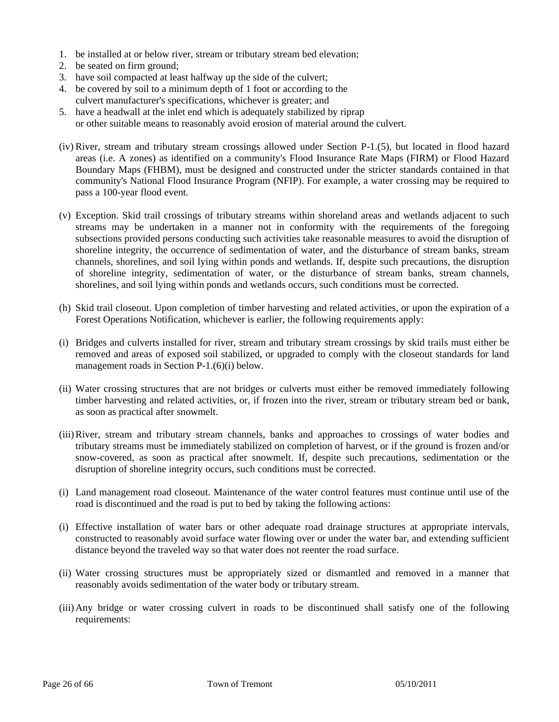- 1. be installed at or below river, stream or tributary stream bed elevation;
- 2. be seated on firm ground;
- 3. have soil compacted at least halfway up the side of the culvert;
- 4. be covered by soil to a minimum depth of 1 foot or according to the culvert manufacturer's specifications, whichever is greater; and
- 5. have a headwall at the inlet end which is adequately stabilized by riprap or other suitable means to reasonably avoid erosion of material around the culvert.
- (iv) River, stream and tributary stream crossings allowed under Section P-1.(5), but located in flood hazard areas (i.e. A zones) as identified on a community's Flood Insurance Rate Maps (FIRM) or Flood Hazard Boundary Maps (FHBM), must be designed and constructed under the stricter standards contained in that community's National Flood Insurance Program (NFIP). For example, a water crossing may be required to pass a 100-year flood event.
- (v) Exception. Skid trail crossings of tributary streams within shoreland areas and wetlands adjacent to such streams may be undertaken in a manner not in conformity with the requirements of the foregoing subsections provided persons conducting such activities take reasonable measures to avoid the disruption of shoreline integrity, the occurrence of sedimentation of water, and the disturbance of stream banks, stream channels, shorelines, and soil lying within ponds and wetlands. If, despite such precautions, the disruption of shoreline integrity, sedimentation of water, or the disturbance of stream banks, stream channels, shorelines, and soil lying within ponds and wetlands occurs, such conditions must be corrected.
- (h) Skid trail closeout. Upon completion of timber harvesting and related activities, or upon the expiration of a Forest Operations Notification, whichever is earlier, the following requirements apply:
- (i) Bridges and culverts installed for river, stream and tributary stream crossings by skid trails must either be removed and areas of exposed soil stabilized, or upgraded to comply with the closeout standards for land management roads in Section P-1.(6)(i) below.
- (ii) Water crossing structures that are not bridges or culverts must either be removed immediately following timber harvesting and related activities, or, if frozen into the river, stream or tributary stream bed or bank, as soon as practical after snowmelt.
- (iii) River, stream and tributary stream channels, banks and approaches to crossings of water bodies and tributary streams must be immediately stabilized on completion of harvest, or if the ground is frozen and/or snow-covered, as soon as practical after snowmelt. If, despite such precautions, sedimentation or the disruption of shoreline integrity occurs, such conditions must be corrected.
- (i) Land management road closeout. Maintenance of the water control features must continue until use of the road is discontinued and the road is put to bed by taking the following actions:
- (i) Effective installation of water bars or other adequate road drainage structures at appropriate intervals, constructed to reasonably avoid surface water flowing over or under the water bar, and extending sufficient distance beyond the traveled way so that water does not reenter the road surface.
- (ii) Water crossing structures must be appropriately sized or dismantled and removed in a manner that reasonably avoids sedimentation of the water body or tributary stream.
- (iii) Any bridge or water crossing culvert in roads to be discontinued shall satisfy one of the following requirements: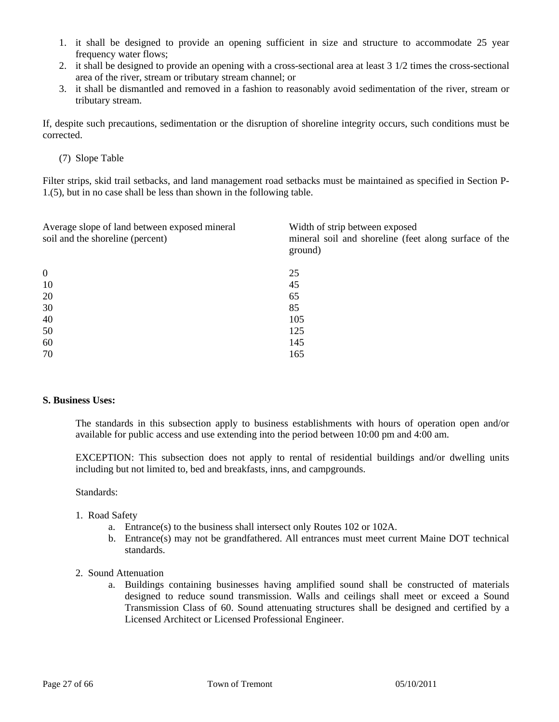- 1. it shall be designed to provide an opening sufficient in size and structure to accommodate 25 year frequency water flows;
- 2. it shall be designed to provide an opening with a cross-sectional area at least 3 1/2 times the cross-sectional area of the river, stream or tributary stream channel; or
- 3. it shall be dismantled and removed in a fashion to reasonably avoid sedimentation of the river, stream or tributary stream.

If, despite such precautions, sedimentation or the disruption of shoreline integrity occurs, such conditions must be corrected.

(7) Slope Table

Filter strips, skid trail setbacks, and land management road setbacks must be maintained as specified in Section P-1.(5), but in no case shall be less than shown in the following table.

| Average slope of land between exposed mineral<br>soil and the shoreline (percent) | Width of strip between exposed<br>mineral soil and shoreline (feet along surface of the<br>ground) |
|-----------------------------------------------------------------------------------|----------------------------------------------------------------------------------------------------|
| $\overline{0}$                                                                    | 25                                                                                                 |
| 10                                                                                | 45                                                                                                 |
| 20                                                                                | 65                                                                                                 |
| 30                                                                                | 85                                                                                                 |
| 40                                                                                | 105                                                                                                |
| 50                                                                                | 125                                                                                                |
| 60                                                                                | 145                                                                                                |
| 70                                                                                | 165                                                                                                |

#### **S. Business Uses:**

The standards in this subsection apply to business establishments with hours of operation open and/or available for public access and use extending into the period between 10:00 pm and 4:00 am.

EXCEPTION: This subsection does not apply to rental of residential buildings and/or dwelling units including but not limited to, bed and breakfasts, inns, and campgrounds.

Standards:

- 1. Road Safety
	- a. Entrance(s) to the business shall intersect only Routes 102 or 102A.
	- b. Entrance(s) may not be grandfathered. All entrances must meet current Maine DOT technical standards.
- 2. Sound Attenuation
	- a. Buildings containing businesses having amplified sound shall be constructed of materials designed to reduce sound transmission. Walls and ceilings shall meet or exceed a Sound Transmission Class of 60. Sound attenuating structures shall be designed and certified by a Licensed Architect or Licensed Professional Engineer.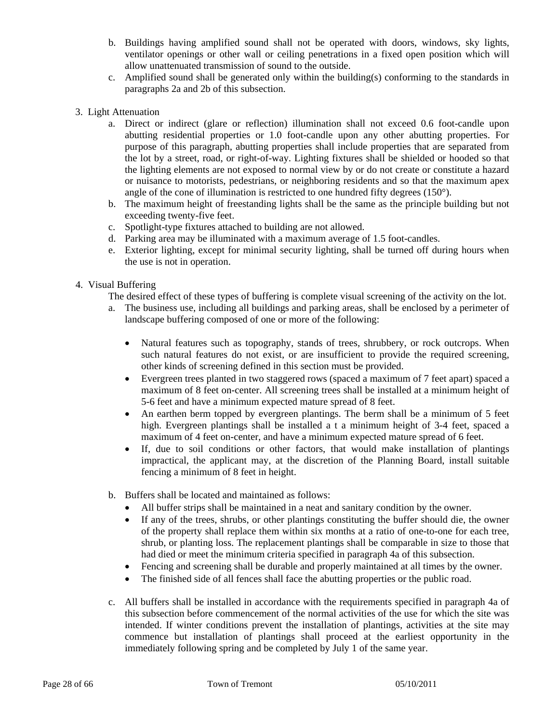- b. Buildings having amplified sound shall not be operated with doors, windows, sky lights, ventilator openings or other wall or ceiling penetrations in a fixed open position which will allow unattenuated transmission of sound to the outside.
- c. Amplified sound shall be generated only within the building(s) conforming to the standards in paragraphs 2a and 2b of this subsection.
- 3. Light Attenuation
	- a. Direct or indirect (glare or reflection) illumination shall not exceed 0.6 foot-candle upon abutting residential properties or 1.0 foot-candle upon any other abutting properties. For purpose of this paragraph, abutting properties shall include properties that are separated from the lot by a street, road, or right-of-way. Lighting fixtures shall be shielded or hooded so that the lighting elements are not exposed to normal view by or do not create or constitute a hazard or nuisance to motorists, pedestrians, or neighboring residents and so that the maximum apex angle of the cone of illumination is restricted to one hundred fifty degrees  $(150^{\circ})$ .
	- b. The maximum height of freestanding lights shall be the same as the principle building but not exceeding twenty-five feet.
	- c. Spotlight-type fixtures attached to building are not allowed.
	- d. Parking area may be illuminated with a maximum average of 1.5 foot-candles.
	- e. Exterior lighting, except for minimal security lighting, shall be turned off during hours when the use is not in operation.
- 4. Visual Buffering

The desired effect of these types of buffering is complete visual screening of the activity on the lot.

- a. The business use, including all buildings and parking areas, shall be enclosed by a perimeter of landscape buffering composed of one or more of the following:
	- Natural features such as topography, stands of trees, shrubbery, or rock outcrops. When such natural features do not exist, or are insufficient to provide the required screening, other kinds of screening defined in this section must be provided.
	- Evergreen trees planted in two staggered rows (spaced a maximum of 7 feet apart) spaced a maximum of 8 feet on-center. All screening trees shall be installed at a minimum height of 5-6 feet and have a minimum expected mature spread of 8 feet.
	- An earthen berm topped by evergreen plantings. The berm shall be a minimum of 5 feet high. Evergreen plantings shall be installed a t a minimum height of 3-4 feet, spaced a maximum of 4 feet on-center, and have a minimum expected mature spread of 6 feet.
	- If, due to soil conditions or other factors, that would make installation of plantings impractical, the applicant may, at the discretion of the Planning Board, install suitable fencing a minimum of 8 feet in height.
- b. Buffers shall be located and maintained as follows:
	- All buffer strips shall be maintained in a neat and sanitary condition by the owner.
	- If any of the trees, shrubs, or other plantings constituting the buffer should die, the owner of the property shall replace them within six months at a ratio of one-to-one for each tree, shrub, or planting loss. The replacement plantings shall be comparable in size to those that had died or meet the minimum criteria specified in paragraph 4a of this subsection.
	- Fencing and screening shall be durable and properly maintained at all times by the owner.
	- The finished side of all fences shall face the abutting properties or the public road.
- c. All buffers shall be installed in accordance with the requirements specified in paragraph 4a of this subsection before commencement of the normal activities of the use for which the site was intended. If winter conditions prevent the installation of plantings, activities at the site may commence but installation of plantings shall proceed at the earliest opportunity in the immediately following spring and be completed by July 1 of the same year.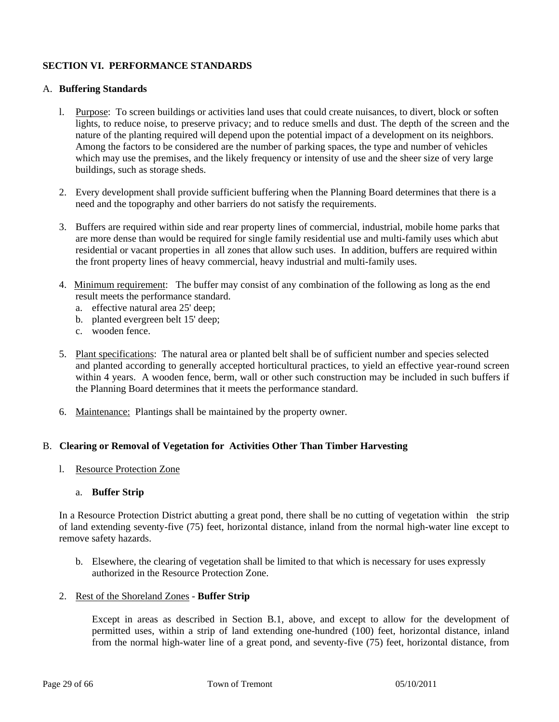# **SECTION VI. PERFORMANCE STANDARDS**

## A. **Buffering Standards**

- l. Purpose: To screen buildings or activities land uses that could create nuisances, to divert, block or soften lights, to reduce noise, to preserve privacy; and to reduce smells and dust. The depth of the screen and the nature of the planting required will depend upon the potential impact of a development on its neighbors. Among the factors to be considered are the number of parking spaces, the type and number of vehicles which may use the premises, and the likely frequency or intensity of use and the sheer size of very large buildings, such as storage sheds.
- 2. Every development shall provide sufficient buffering when the Planning Board determines that there is a need and the topography and other barriers do not satisfy the requirements.
- 3. Buffers are required within side and rear property lines of commercial, industrial, mobile home parks that are more dense than would be required for single family residential use and multi-family uses which abut residential or vacant properties in all zones that allow such uses. In addition, buffers are required within the front property lines of heavy commercial, heavy industrial and multi-family uses.
- 4. Minimum requirement: The buffer may consist of any combination of the following as long as the end result meets the performance standard.
	- a. effective natural area 25' deep;
	- b. planted evergreen belt 15' deep;
	- c. wooden fence.
- 5. Plant specifications: The natural area or planted belt shall be of sufficient number and species selected and planted according to generally accepted horticultural practices, to yield an effective year-round screen within 4 years. A wooden fence, berm, wall or other such construction may be included in such buffers if the Planning Board determines that it meets the performance standard.
- 6. Maintenance: Plantings shall be maintained by the property owner.

# B. **Clearing or Removal of Vegetation for Activities Other Than Timber Harvesting**

l. Resource Protection Zone

# a. **Buffer Strip**

In a Resource Protection District abutting a great pond, there shall be no cutting of vegetation within the strip of land extending seventy-five (75) feet, horizontal distance, inland from the normal high-water line except to remove safety hazards.

- b. Elsewhere, the clearing of vegetation shall be limited to that which is necessary for uses expressly authorized in the Resource Protection Zone.
- 2. Rest of the Shoreland Zones **Buffer Strip**

 Except in areas as described in Section B.1, above, and except to allow for the development of permitted uses, within a strip of land extending one-hundred (100) feet, horizontal distance, inland from the normal high-water line of a great pond, and seventy-five (75) feet, horizontal distance, from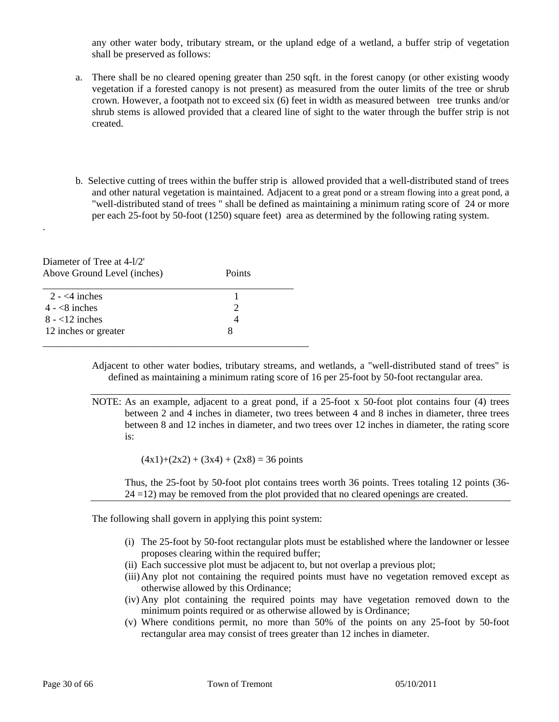any other water body, tributary stream, or the upland edge of a wetland, a buffer strip of vegetation shall be preserved as follows:

- a. There shall be no cleared opening greater than 250 sqft. in the forest canopy (or other existing woody vegetation if a forested canopy is not present) as measured from the outer limits of the tree or shrub crown. However, a footpath not to exceed six (6) feet in width as measured between tree trunks and/or shrub stems is allowed provided that a cleared line of sight to the water through the buffer strip is not created.
- b. Selective cutting of trees within the buffer strip is allowed provided that a well-distributed stand of trees and other natural vegetation is maintained. Adjacent to a great pond or a stream flowing into a great pond, a "well-distributed stand of trees " shall be defined as maintaining a minimum rating score of 24 or more per each 25-foot by 50-foot (1250) square feet) area as determined by the following rating system.

Diameter of Tree at 4-l/2' Above Ground Level (inches) Points

.

| $2 - 4$ inches       |  |
|----------------------|--|
| $4 - 8$ inches       |  |
| $8 - 12$ inches      |  |
| 12 inches or greater |  |
|                      |  |

Adjacent to other water bodies, tributary streams, and wetlands, a "well-distributed stand of trees" is defined as maintaining a minimum rating score of 16 per 25-foot by 50-foot rectangular area.

NOTE: As an example, adjacent to a great pond, if a 25-foot x 50-foot plot contains four (4) trees between 2 and 4 inches in diameter, two trees between 4 and 8 inches in diameter, three trees between 8 and 12 inches in diameter, and two trees over 12 inches in diameter, the rating score is:

 $(4x1)+(2x2) + (3x4) + (2x8) = 36$  points

 Thus, the 25-foot by 50-foot plot contains trees worth 36 points. Trees totaling 12 points (36- 24 =12) may be removed from the plot provided that no cleared openings are created.

The following shall govern in applying this point system:

- (i) The 25-foot by 50-foot rectangular plots must be established where the landowner or lessee proposes clearing within the required buffer;
- (ii) Each successive plot must be adjacent to, but not overlap a previous plot;
- (iii)Any plot not containing the required points must have no vegetation removed except as otherwise allowed by this Ordinance;
- (iv) Any plot containing the required points may have vegetation removed down to the minimum points required or as otherwise allowed by is Ordinance;
- (v) Where conditions permit, no more than 50% of the points on any 25-foot by 50-foot rectangular area may consist of trees greater than 12 inches in diameter.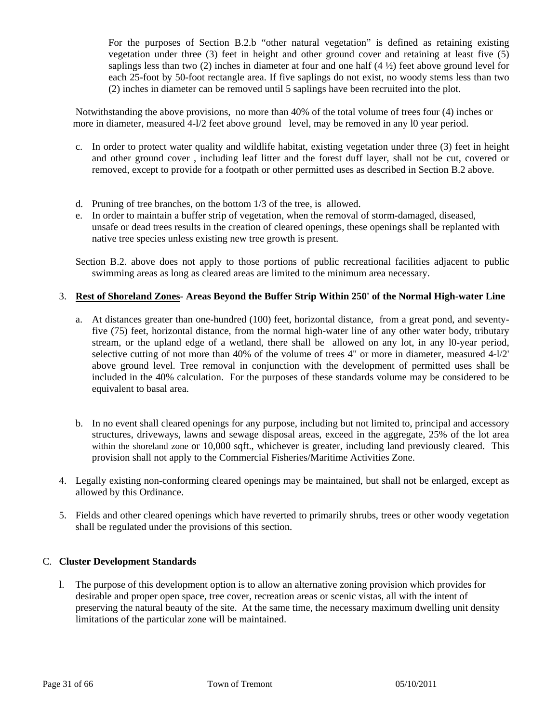For the purposes of Section B.2.b "other natural vegetation" is defined as retaining existing vegetation under three (3) feet in height and other ground cover and retaining at least five (5) saplings less than two (2) inches in diameter at four and one half  $(4 \frac{1}{2})$  feet above ground level for each 25-foot by 50-foot rectangle area. If five saplings do not exist, no woody stems less than two (2) inches in diameter can be removed until 5 saplings have been recruited into the plot.

 Notwithstanding the above provisions, no more than 40% of the total volume of trees four (4) inches or more in diameter, measured 4-l/2 feet above ground level, may be removed in any 10 year period.

- c. In order to protect water quality and wildlife habitat, existing vegetation under three (3) feet in height and other ground cover , including leaf litter and the forest duff layer, shall not be cut, covered or removed, except to provide for a footpath or other permitted uses as described in Section B.2 above.
- d. Pruning of tree branches, on the bottom 1/3 of the tree, is allowed.
- e. In order to maintain a buffer strip of vegetation, when the removal of storm-damaged, diseased, unsafe or dead trees results in the creation of cleared openings, these openings shall be replanted with native tree species unless existing new tree growth is present.
- Section B.2. above does not apply to those portions of public recreational facilities adjacent to public swimming areas as long as cleared areas are limited to the minimum area necessary.

# 3. **Rest of Shoreland Zones**- **Areas Beyond the Buffer Strip Within 250' of the Normal High-water Line**

- a. At distances greater than one-hundred (100) feet, horizontal distance, from a great pond, and seventyfive (75) feet, horizontal distance, from the normal high-water line of any other water body, tributary stream, or the upland edge of a wetland, there shall be allowed on any lot, in any l0-year period, selective cutting of not more than 40% of the volume of trees 4" or more in diameter, measured 4-l/2' above ground level. Tree removal in conjunction with the development of permitted uses shall be included in the 40% calculation. For the purposes of these standards volume may be considered to be equivalent to basal area.
- b. In no event shall cleared openings for any purpose, including but not limited to, principal and accessory structures, driveways, lawns and sewage disposal areas, exceed in the aggregate, 25% of the lot area within the shoreland zone or 10,000 sqft., whichever is greater, including land previously cleared. This provision shall not apply to the Commercial Fisheries/Maritime Activities Zone.
- 4. Legally existing non-conforming cleared openings may be maintained, but shall not be enlarged, except as allowed by this Ordinance.
- 5. Fields and other cleared openings which have reverted to primarily shrubs, trees or other woody vegetation shall be regulated under the provisions of this section.

# C. **Cluster Development Standards**

 l. The purpose of this development option is to allow an alternative zoning provision which provides for desirable and proper open space, tree cover, recreation areas or scenic vistas, all with the intent of preserving the natural beauty of the site. At the same time, the necessary maximum dwelling unit density limitations of the particular zone will be maintained.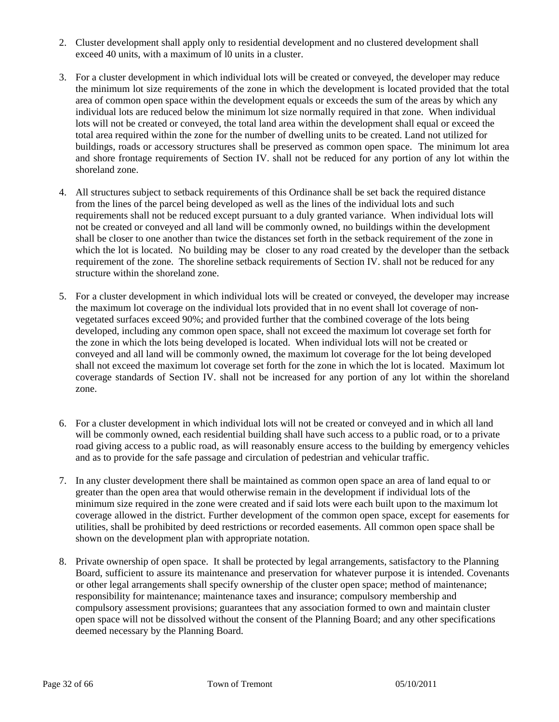- 2. Cluster development shall apply only to residential development and no clustered development shall exceed 40 units, with a maximum of l0 units in a cluster.
- 3. For a cluster development in which individual lots will be created or conveyed, the developer may reduce the minimum lot size requirements of the zone in which the development is located provided that the total area of common open space within the development equals or exceeds the sum of the areas by which any individual lots are reduced below the minimum lot size normally required in that zone. When individual lots will not be created or conveyed, the total land area within the development shall equal or exceed the total area required within the zone for the number of dwelling units to be created. Land not utilized for buildings, roads or accessory structures shall be preserved as common open space. The minimum lot area and shore frontage requirements of Section IV. shall not be reduced for any portion of any lot within the shoreland zone.
- 4. All structures subject to setback requirements of this Ordinance shall be set back the required distance from the lines of the parcel being developed as well as the lines of the individual lots and such requirements shall not be reduced except pursuant to a duly granted variance. When individual lots will not be created or conveyed and all land will be commonly owned, no buildings within the development shall be closer to one another than twice the distances set forth in the setback requirement of the zone in which the lot is located. No building may be closer to any road created by the developer than the setback requirement of the zone. The shoreline setback requirements of Section IV. shall not be reduced for any structure within the shoreland zone.
- 5. For a cluster development in which individual lots will be created or conveyed, the developer may increase the maximum lot coverage on the individual lots provided that in no event shall lot coverage of non vegetated surfaces exceed 90%; and provided further that the combined coverage of the lots being developed, including any common open space, shall not exceed the maximum lot coverage set forth for the zone in which the lots being developed is located. When individual lots will not be created or conveyed and all land will be commonly owned, the maximum lot coverage for the lot being developed shall not exceed the maximum lot coverage set forth for the zone in which the lot is located. Maximum lot coverage standards of Section IV. shall not be increased for any portion of any lot within the shoreland zone.
- 6. For a cluster development in which individual lots will not be created or conveyed and in which all land will be commonly owned, each residential building shall have such access to a public road, or to a private road giving access to a public road, as will reasonably ensure access to the building by emergency vehicles and as to provide for the safe passage and circulation of pedestrian and vehicular traffic.
- 7. In any cluster development there shall be maintained as common open space an area of land equal to or greater than the open area that would otherwise remain in the development if individual lots of the minimum size required in the zone were created and if said lots were each built upon to the maximum lot coverage allowed in the district. Further development of the common open space, except for easements for utilities, shall be prohibited by deed restrictions or recorded easements. All common open space shall be shown on the development plan with appropriate notation.
- 8. Private ownership of open space. It shall be protected by legal arrangements, satisfactory to the Planning Board, sufficient to assure its maintenance and preservation for whatever purpose it is intended. Covenants or other legal arrangements shall specify ownership of the cluster open space; method of maintenance; responsibility for maintenance; maintenance taxes and insurance; compulsory membership and compulsory assessment provisions; guarantees that any association formed to own and maintain cluster open space will not be dissolved without the consent of the Planning Board; and any other specifications deemed necessary by the Planning Board.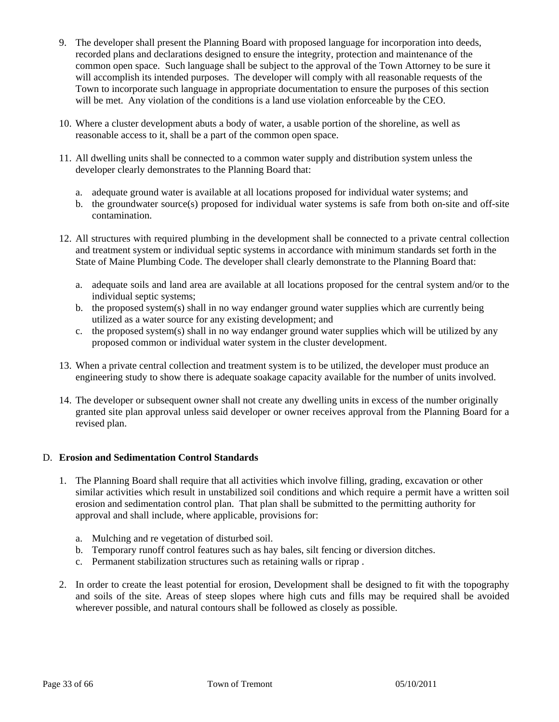- 9. The developer shall present the Planning Board with proposed language for incorporation into deeds, recorded plans and declarations designed to ensure the integrity, protection and maintenance of the common open space. Such language shall be subject to the approval of the Town Attorney to be sure it will accomplish its intended purposes. The developer will comply with all reasonable requests of the Town to incorporate such language in appropriate documentation to ensure the purposes of this section will be met. Any violation of the conditions is a land use violation enforceable by the CEO.
- 10. Where a cluster development abuts a body of water, a usable portion of the shoreline, as well as reasonable access to it, shall be a part of the common open space.
- 11. All dwelling units shall be connected to a common water supply and distribution system unless the developer clearly demonstrates to the Planning Board that:
	- a. adequate ground water is available at all locations proposed for individual water systems; and
	- b. the groundwater source(s) proposed for individual water systems is safe from both on-site and off-site contamination.
- 12. All structures with required plumbing in the development shall be connected to a private central collection and treatment system or individual septic systems in accordance with minimum standards set forth in the State of Maine Plumbing Code. The developer shall clearly demonstrate to the Planning Board that:
	- a. adequate soils and land area are available at all locations proposed for the central system and/or to the individual septic systems;
	- b. the proposed system(s) shall in no way endanger ground water supplies which are currently being utilized as a water source for any existing development; and
	- c. the proposed system(s) shall in no way endanger ground water supplies which will be utilized by any proposed common or individual water system in the cluster development.
- 13. When a private central collection and treatment system is to be utilized, the developer must produce an engineering study to show there is adequate soakage capacity available for the number of units involved.
- 14. The developer or subsequent owner shall not create any dwelling units in excess of the number originally granted site plan approval unless said developer or owner receives approval from the Planning Board for a revised plan.

# D. **Erosion and Sedimentation Control Standards**

- 1. The Planning Board shall require that all activities which involve filling, grading, excavation or other similar activities which result in unstabilized soil conditions and which require a permit have a written soil erosion and sedimentation control plan. That plan shall be submitted to the permitting authority for approval and shall include, where applicable, provisions for:
	- a. Mulching and re vegetation of disturbed soil.
	- b. Temporary runoff control features such as hay bales, silt fencing or diversion ditches.
	- c. Permanent stabilization structures such as retaining walls or riprap .
- 2. In order to create the least potential for erosion, Development shall be designed to fit with the topography and soils of the site. Areas of steep slopes where high cuts and fills may be required shall be avoided wherever possible, and natural contours shall be followed as closely as possible.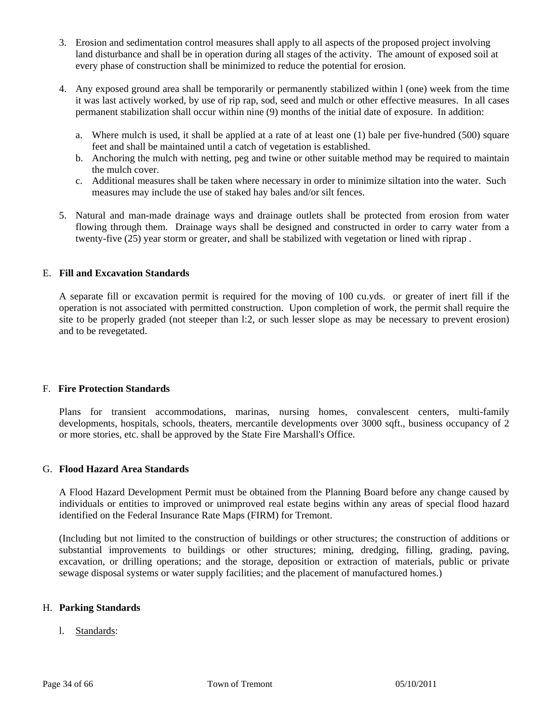- 3. Erosion and sedimentation control measures shall apply to all aspects of the proposed project involving land disturbance and shall be in operation during all stages of the activity. The amount of exposed soil at every phase of construction shall be minimized to reduce the potential for erosion.
- 4. Any exposed ground area shall be temporarily or permanently stabilized within l (one) week from the time it was last actively worked, by use of rip rap, sod, seed and mulch or other effective measures. In all cases permanent stabilization shall occur within nine (9) months of the initial date of exposure. In addition:
	- a. Where mulch is used, it shall be applied at a rate of at least one (1) bale per five-hundred (500) square feet and shall be maintained until a catch of vegetation is established.
	- b. Anchoring the mulch with netting, peg and twine or other suitable method may be required to maintain the mulch cover.
	- c. Additional measures shall be taken where necessary in order to minimize siltation into the water. Such measures may include the use of staked hay bales and/or silt fences.
- 5. Natural and man-made drainage ways and drainage outlets shall be protected from erosion from water flowing through them. Drainage ways shall be designed and constructed in order to carry water from a twenty-five (25) year storm or greater, and shall be stabilized with vegetation or lined with riprap .

# E. **Fill and Excavation Standards**

 A separate fill or excavation permit is required for the moving of 100 cu.yds. or greater of inert fill if the operation is not associated with permitted construction. Upon completion of work, the permit shall require the site to be properly graded (not steeper than l:2, or such lesser slope as may be necessary to prevent erosion) and to be revegetated.

# F. **Fire Protection Standards**

 Plans for transient accommodations, marinas, nursing homes, convalescent centers, multi-family developments, hospitals, schools, theaters, mercantile developments over 3000 sqft., business occupancy of 2 or more stories, etc. shall be approved by the State Fire Marshall's Office.

# G. **Flood Hazard Area Standards**

 A Flood Hazard Development Permit must be obtained from the Planning Board before any change caused by individuals or entities to improved or unimproved real estate begins within any areas of special flood hazard identified on the Federal Insurance Rate Maps (FIRM) for Tremont.

 (Including but not limited to the construction of buildings or other structures; the construction of additions or substantial improvements to buildings or other structures; mining, dredging, filling, grading, paving, excavation, or drilling operations; and the storage, deposition or extraction of materials, public or private sewage disposal systems or water supply facilities; and the placement of manufactured homes.)

#### H. **Parking Standards**

l. Standards: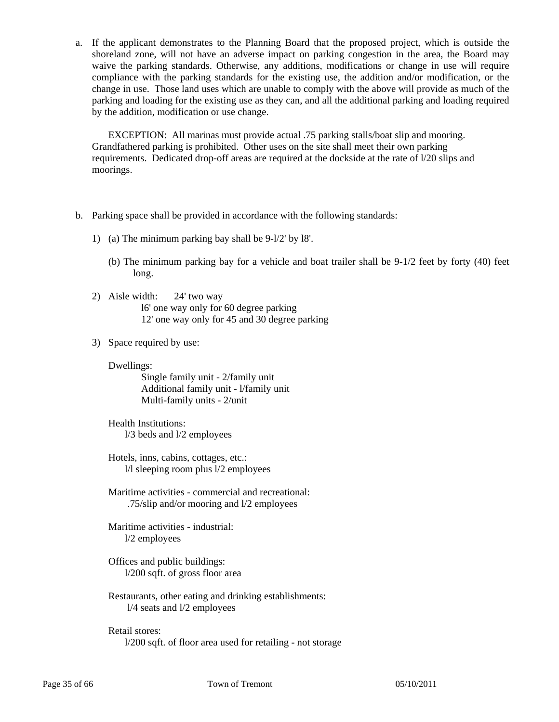a. If the applicant demonstrates to the Planning Board that the proposed project, which is outside the shoreland zone, will not have an adverse impact on parking congestion in the area, the Board may waive the parking standards. Otherwise, any additions, modifications or change in use will require compliance with the parking standards for the existing use, the addition and/or modification, or the change in use. Those land uses which are unable to comply with the above will provide as much of the parking and loading for the existing use as they can, and all the additional parking and loading required by the addition, modification or use change.

 EXCEPTION: All marinas must provide actual .75 parking stalls/boat slip and mooring. Grandfathered parking is prohibited. Other uses on the site shall meet their own parking requirements. Dedicated drop-off areas are required at the dockside at the rate of l/20 slips and moorings.

- b. Parking space shall be provided in accordance with the following standards:
	- 1) (a) The minimum parking bay shall be 9-l/2' by l8'.
		- (b) The minimum parking bay for a vehicle and boat trailer shall be 9-1/2 feet by forty (40) feet long.
	- 2) Aisle width: 24' two way l6' one way only for 60 degree parking 12' one way only for 45 and 30 degree parking
	- 3) Space required by use:
		- Dwellings:

 Single family unit - 2/family unit Additional family unit - l/family unit Multi-family units - 2/unit

- Health Institutions: l/3 beds and l/2 employees
- Hotels, inns, cabins, cottages, etc.: l/l sleeping room plus l/2 employees
- Maritime activities commercial and recreational: .75/slip and/or mooring and l/2 employees

 Maritime activities - industrial: l/2 employees

- Offices and public buildings: l/200 sqft. of gross floor area
- Restaurants, other eating and drinking establishments: l/4 seats and l/2 employees

 Retail stores: l/200 sqft. of floor area used for retailing - not storage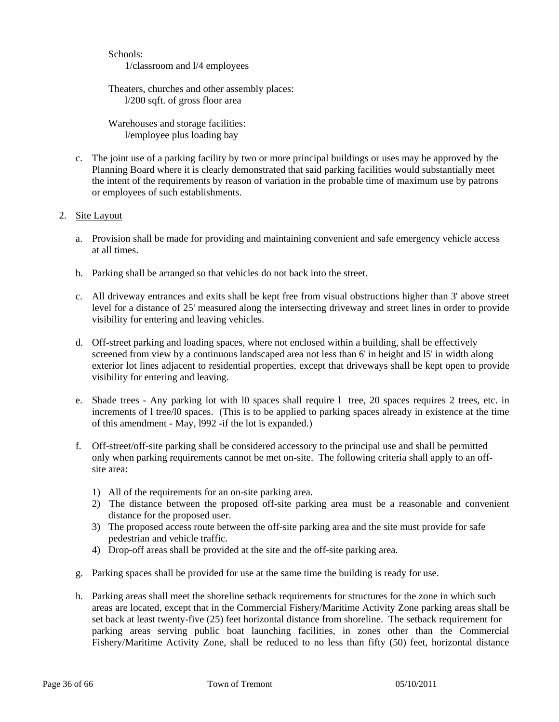Schools: 1/classroom and l/4 employees

 Theaters, churches and other assembly places: l/200 sqft. of gross floor area

 Warehouses and storage facilities: l/employee plus loading bay

 c. The joint use of a parking facility by two or more principal buildings or uses may be approved by the Planning Board where it is clearly demonstrated that said parking facilities would substantially meet the intent of the requirements by reason of variation in the probable time of maximum use by patrons or employees of such establishments.

# 2. Site Layout

- a. Provision shall be made for providing and maintaining convenient and safe emergency vehicle access at all times.
- b. Parking shall be arranged so that vehicles do not back into the street.
- c. All driveway entrances and exits shall be kept free from visual obstructions higher than 3' above street level for a distance of 25' measured along the intersecting driveway and street lines in order to provide visibility for entering and leaving vehicles.
- d. Off-street parking and loading spaces, where not enclosed within a building, shall be effectively screened from view by a continuous landscaped area not less than 6' in height and l5' in width along exterior lot lines adjacent to residential properties, except that driveways shall be kept open to provide visibility for entering and leaving.
- e. Shade trees Any parking lot with l0 spaces shall require l tree, 20 spaces requires 2 trees, etc. in increments of l tree/l0 spaces. (This is to be applied to parking spaces already in existence at the time of this amendment - May, l992 -if the lot is expanded.)
- f. Off-street/off-site parking shall be considered accessory to the principal use and shall be permitted only when parking requirements cannot be met on-site. The following criteria shall apply to an off site area:
	- 1) All of the requirements for an on-site parking area.
	- 2) The distance between the proposed off-site parking area must be a reasonable and convenient distance for the proposed user.
	- 3) The proposed access route between the off-site parking area and the site must provide for safe pedestrian and vehicle traffic.
	- 4) Drop-off areas shall be provided at the site and the off-site parking area.
- g. Parking spaces shall be provided for use at the same time the building is ready for use.
- h. Parking areas shall meet the shoreline setback requirements for structures for the zone in which such areas are located, except that in the Commercial Fishery/Maritime Activity Zone parking areas shall be set back at least twenty-five (25) feet horizontal distance from shoreline. The setback requirement for parking areas serving public boat launching facilities, in zones other than the Commercial Fishery/Maritime Activity Zone, shall be reduced to no less than fifty (50) feet, horizontal distance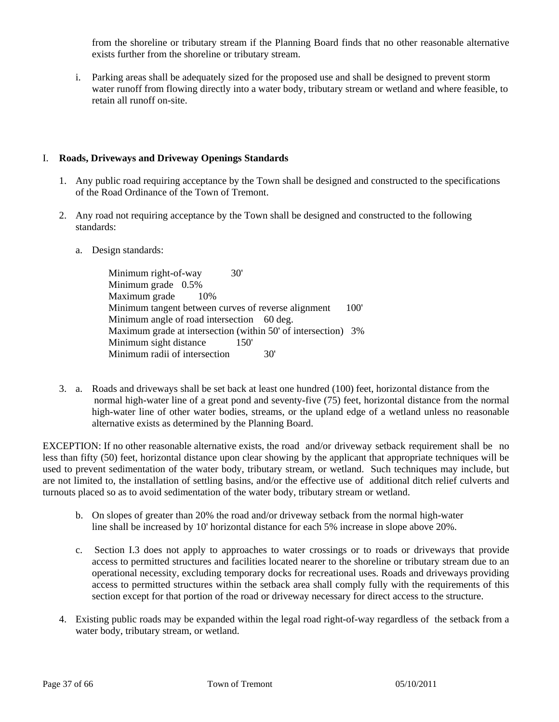from the shoreline or tributary stream if the Planning Board finds that no other reasonable alternative exists further from the shoreline or tributary stream.

 i. Parking areas shall be adequately sized for the proposed use and shall be designed to prevent storm water runoff from flowing directly into a water body, tributary stream or wetland and where feasible, to retain all runoff on-site.

# I. **Roads, Driveways and Driveway Openings Standards**

- 1. Any public road requiring acceptance by the Town shall be designed and constructed to the specifications of the Road Ordinance of the Town of Tremont.
- 2. Any road not requiring acceptance by the Town shall be designed and constructed to the following standards:
	- a. Design standards:

Minimum right-of-way 30' Minimum grade 0.5% Maximum grade 10% Minimum tangent between curves of reverse alignment 100' Minimum angle of road intersection 60 deg. Maximum grade at intersection (within 50' of intersection) 3% Minimum sight distance 150' Minimum radii of intersection 30'

3. a. Roads and driveways shall be set back at least one hundred (100) feet, horizontal distance from the normal high-water line of a great pond and seventy-five (75) feet, horizontal distance from the normal high-water line of other water bodies, streams, or the upland edge of a wetland unless no reasonable alternative exists as determined by the Planning Board.

EXCEPTION: If no other reasonable alternative exists, the road and/or driveway setback requirement shall be no less than fifty (50) feet, horizontal distance upon clear showing by the applicant that appropriate techniques will be used to prevent sedimentation of the water body, tributary stream, or wetland. Such techniques may include, but are not limited to, the installation of settling basins, and/or the effective use of additional ditch relief culverts and turnouts placed so as to avoid sedimentation of the water body, tributary stream or wetland.

- b. On slopes of greater than 20% the road and/or driveway setback from the normal high-water line shall be increased by 10' horizontal distance for each 5% increase in slope above 20%.
- c. Section I.3 does not apply to approaches to water crossings or to roads or driveways that provide access to permitted structures and facilities located nearer to the shoreline or tributary stream due to an operational necessity, excluding temporary docks for recreational uses. Roads and driveways providing access to permitted structures within the setback area shall comply fully with the requirements of this section except for that portion of the road or driveway necessary for direct access to the structure.
- 4. Existing public roads may be expanded within the legal road right-of-way regardless of the setback from a water body, tributary stream, or wetland.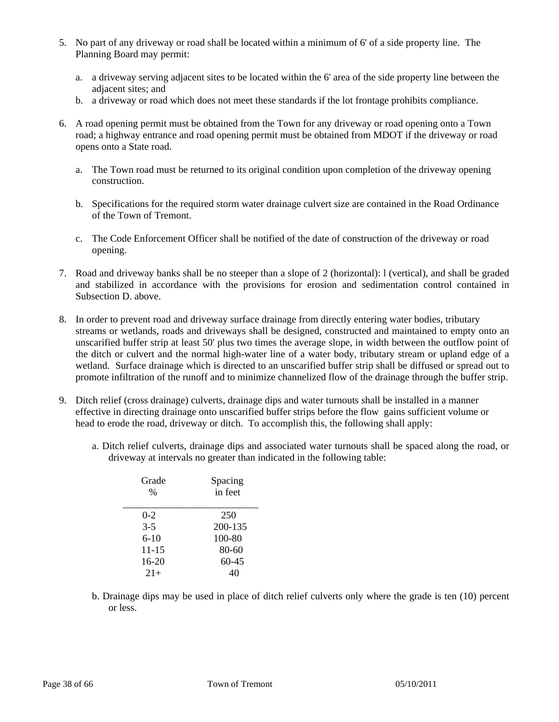- 5. No part of any driveway or road shall be located within a minimum of 6' of a side property line. The Planning Board may permit:
	- a. a driveway serving adjacent sites to be located within the 6' area of the side property line between the adjacent sites; and
	- b. a driveway or road which does not meet these standards if the lot frontage prohibits compliance.
- 6. A road opening permit must be obtained from the Town for any driveway or road opening onto a Town road; a highway entrance and road opening permit must be obtained from MDOT if the driveway or road opens onto a State road.
	- a. The Town road must be returned to its original condition upon completion of the driveway opening construction.
	- b. Specifications for the required storm water drainage culvert size are contained in the Road Ordinance of the Town of Tremont.
	- c. The Code Enforcement Officer shall be notified of the date of construction of the driveway or road opening.
- 7. Road and driveway banks shall be no steeper than a slope of 2 (horizontal): l (vertical), and shall be graded and stabilized in accordance with the provisions for erosion and sedimentation control contained in Subsection D. above.
- 8. In order to prevent road and driveway surface drainage from directly entering water bodies, tributary streams or wetlands, roads and driveways shall be designed, constructed and maintained to empty onto an unscarified buffer strip at least 50' plus two times the average slope, in width between the outflow point of the ditch or culvert and the normal high-water line of a water body, tributary stream or upland edge of a wetland. Surface drainage which is directed to an unscarified buffer strip shall be diffused or spread out to promote infiltration of the runoff and to minimize channelized flow of the drainage through the buffer strip.
- 9. Ditch relief (cross drainage) culverts, drainage dips and water turnouts shall be installed in a manner effective in directing drainage onto unscarified buffer strips before the flow gains sufficient volume or head to erode the road, driveway or ditch. To accomplish this, the following shall apply:
	- a. Ditch relief culverts, drainage dips and associated water turnouts shall be spaced along the road, or driveway at intervals no greater than indicated in the following table:

| Grade<br>$\%$ | Spacing<br>in feet |
|---------------|--------------------|
| $0 - 2$       | 250                |
| $3 - 5$       | 200-135            |
| $6 - 10$      | 100-80             |
| 11-15         | 80-60              |
| $16-20$       | $60 - 45$          |
| $21+$         | 40                 |

b. Drainage dips may be used in place of ditch relief culverts only where the grade is ten (10) percent or less.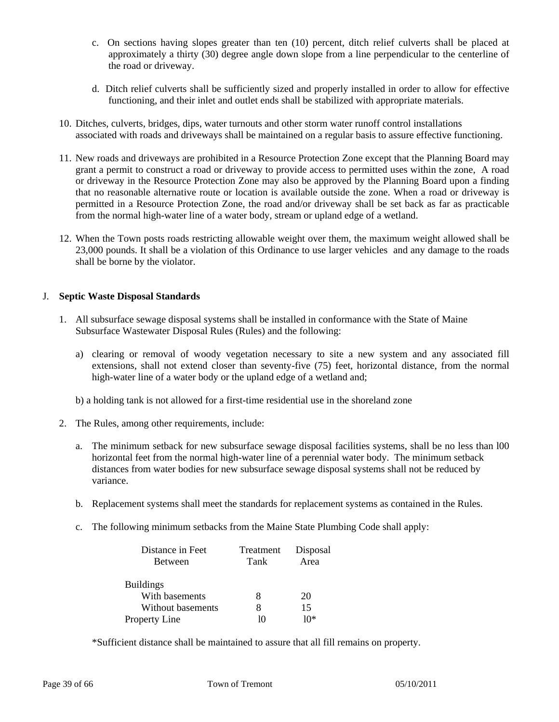- c. On sections having slopes greater than ten (10) percent, ditch relief culverts shall be placed at approximately a thirty (30) degree angle down slope from a line perpendicular to the centerline of the road or driveway.
- d. Ditch relief culverts shall be sufficiently sized and properly installed in order to allow for effective functioning, and their inlet and outlet ends shall be stabilized with appropriate materials.
- 10. Ditches, culverts, bridges, dips, water turnouts and other storm water runoff control installations associated with roads and driveways shall be maintained on a regular basis to assure effective functioning.
- 11. New roads and driveways are prohibited in a Resource Protection Zone except that the Planning Board may grant a permit to construct a road or driveway to provide access to permitted uses within the zone, A road or driveway in the Resource Protection Zone may also be approved by the Planning Board upon a finding that no reasonable alternative route or location is available outside the zone. When a road or driveway is permitted in a Resource Protection Zone, the road and/or driveway shall be set back as far as practicable from the normal high-water line of a water body, stream or upland edge of a wetland.
- 12. When the Town posts roads restricting allowable weight over them, the maximum weight allowed shall be 23,000 pounds. It shall be a violation of this Ordinance to use larger vehicles and any damage to the roads shall be borne by the violator.

# J. **Septic Waste Disposal Standards**

- 1. All subsurface sewage disposal systems shall be installed in conformance with the State of Maine Subsurface Wastewater Disposal Rules (Rules) and the following:
	- a) clearing or removal of woody vegetation necessary to site a new system and any associated fill extensions, shall not extend closer than seventy-five (75) feet, horizontal distance, from the normal high-water line of a water body or the upland edge of a wetland and;
	- b) a holding tank is not allowed for a first-time residential use in the shoreland zone
- 2. The Rules, among other requirements, include:
	- a. The minimum setback for new subsurface sewage disposal facilities systems, shall be no less than l00 horizontal feet from the normal high-water line of a perennial water body. The minimum setback distances from water bodies for new subsurface sewage disposal systems shall not be reduced by variance.
	- b. Replacement systems shall meet the standards for replacement systems as contained in the Rules.
	- c. The following minimum setbacks from the Maine State Plumbing Code shall apply:

| Distance in Feet     | Treatment | Disposal |
|----------------------|-----------|----------|
| <b>Between</b>       | Tank      | Area     |
| <b>Buildings</b>     |           |          |
| With basements       |           | 20       |
| Without basements    | 8         | 15       |
| <b>Property Line</b> |           | $10*$    |

\*Sufficient distance shall be maintained to assure that all fill remains on property.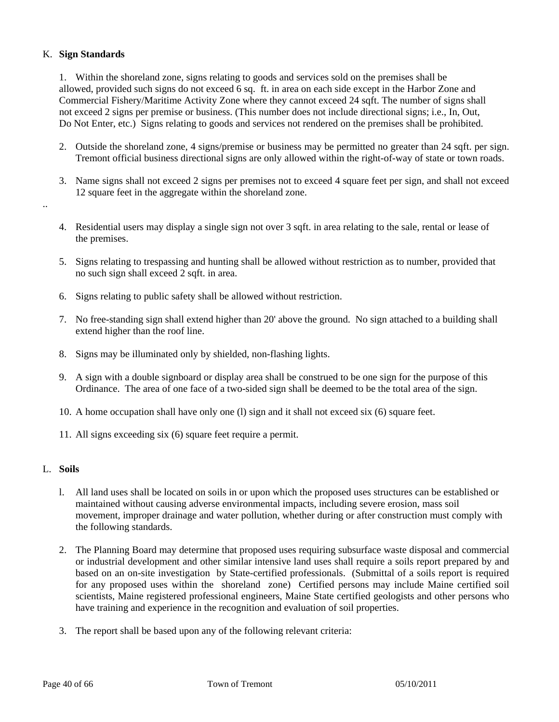# K. **Sign Standards**

 1. Within the shoreland zone, signs relating to goods and services sold on the premises shall be allowed, provided such signs do not exceed 6 sq. ft. in area on each side except in the Harbor Zone and Commercial Fishery/Maritime Activity Zone where they cannot exceed 24 sqft. The number of signs shall not exceed 2 signs per premise or business. (This number does not include directional signs; i.e., In, Out, Do Not Enter, etc.) Signs relating to goods and services not rendered on the premises shall be prohibited.

- 2. Outside the shoreland zone, 4 signs/premise or business may be permitted no greater than 24 sqft. per sign. Tremont official business directional signs are only allowed within the right-of-way of state or town roads.
- 3. Name signs shall not exceed 2 signs per premises not to exceed 4 square feet per sign, and shall not exceed 12 square feet in the aggregate within the shoreland zone.
- 4. Residential users may display a single sign not over 3 sqft. in area relating to the sale, rental or lease of the premises.
- 5. Signs relating to trespassing and hunting shall be allowed without restriction as to number, provided that no such sign shall exceed 2 sqft. in area.
- 6. Signs relating to public safety shall be allowed without restriction.
- 7. No free-standing sign shall extend higher than 20' above the ground. No sign attached to a building shall extend higher than the roof line.
- 8. Signs may be illuminated only by shielded, non-flashing lights.
- 9. A sign with a double signboard or display area shall be construed to be one sign for the purpose of this Ordinance. The area of one face of a two-sided sign shall be deemed to be the total area of the sign.
- 10. A home occupation shall have only one (l) sign and it shall not exceed six (6) square feet.
- 11. All signs exceeding six (6) square feet require a permit.

# L. **Soils**

..

- l. All land uses shall be located on soils in or upon which the proposed uses structures can be established or maintained without causing adverse environmental impacts, including severe erosion, mass soil movement, improper drainage and water pollution, whether during or after construction must comply with the following standards.
- 2. The Planning Board may determine that proposed uses requiring subsurface waste disposal and commercial or industrial development and other similar intensive land uses shall require a soils report prepared by and based on an on-site investigation by State-certified professionals. (Submittal of a soils report is required for any proposed uses within the shoreland zone) Certified persons may include Maine certified soil scientists, Maine registered professional engineers, Maine State certified geologists and other persons who have training and experience in the recognition and evaluation of soil properties.
- 3. The report shall be based upon any of the following relevant criteria: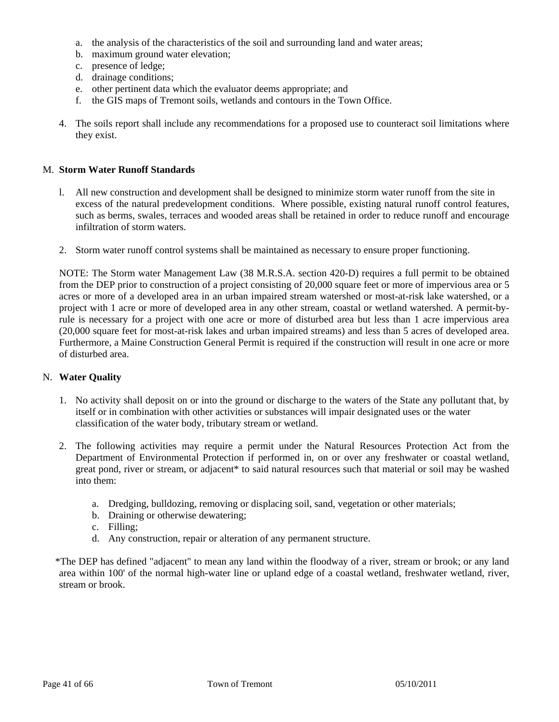- a. the analysis of the characteristics of the soil and surrounding land and water areas;
- b. maximum ground water elevation;
- c. presence of ledge;
- d. drainage conditions;
- e. other pertinent data which the evaluator deems appropriate; and
- f. the GIS maps of Tremont soils, wetlands and contours in the Town Office.
- 4. The soils report shall include any recommendations for a proposed use to counteract soil limitations where they exist.

# M. **Storm Water Runoff Standards**

- l. All new construction and development shall be designed to minimize storm water runoff from the site in excess of the natural predevelopment conditions. Where possible, existing natural runoff control features, such as berms, swales, terraces and wooded areas shall be retained in order to reduce runoff and encourage infiltration of storm waters.
- 2. Storm water runoff control systems shall be maintained as necessary to ensure proper functioning.

NOTE: The Storm water Management Law (38 M.R.S.A. section 420-D) requires a full permit to be obtained from the DEP prior to construction of a project consisting of 20,000 square feet or more of impervious area or 5 acres or more of a developed area in an urban impaired stream watershed or most-at-risk lake watershed, or a project with 1 acre or more of developed area in any other stream, coastal or wetland watershed. A permit-byrule is necessary for a project with one acre or more of disturbed area but less than 1 acre impervious area (20,000 square feet for most-at-risk lakes and urban impaired streams) and less than 5 acres of developed area. Furthermore, a Maine Construction General Permit is required if the construction will result in one acre or more of disturbed area.

#### N. **Water Quality**

- 1. No activity shall deposit on or into the ground or discharge to the waters of the State any pollutant that, by itself or in combination with other activities or substances will impair designated uses or the water classification of the water body, tributary stream or wetland.
- 2. The following activities may require a permit under the Natural Resources Protection Act from the Department of Environmental Protection if performed in, on or over any freshwater or coastal wetland, great pond, river or stream, or adjacent\* to said natural resources such that material or soil may be washed into them:
	- a. Dredging, bulldozing, removing or displacing soil, sand, vegetation or other materials;
	- b. Draining or otherwise dewatering;
	- c. Filling;
	- d. Any construction, repair or alteration of any permanent structure.
- \*The DEP has defined "adjacent" to mean any land within the floodway of a river, stream or brook; or any land area within 100' of the normal high-water line or upland edge of a coastal wetland, freshwater wetland, river, stream or brook.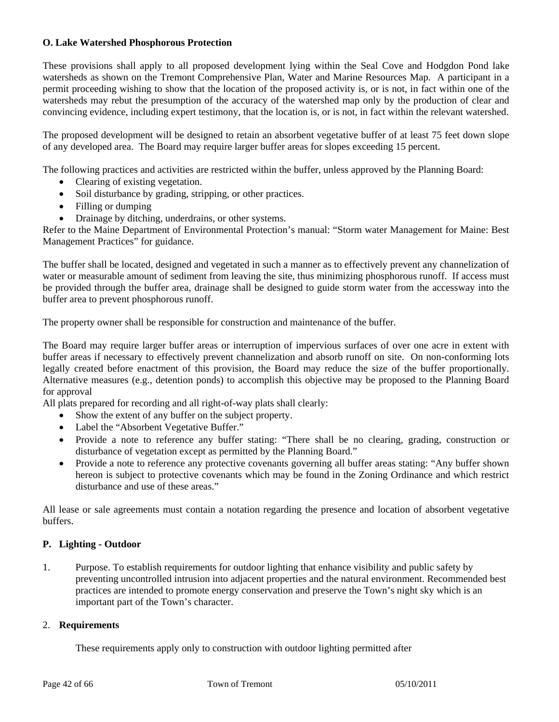# **O. Lake Watershed Phosphorous Protection**

These provisions shall apply to all proposed development lying within the Seal Cove and Hodgdon Pond lake watersheds as shown on the Tremont Comprehensive Plan, Water and Marine Resources Map. A participant in a permit proceeding wishing to show that the location of the proposed activity is, or is not, in fact within one of the watersheds may rebut the presumption of the accuracy of the watershed map only by the production of clear and convincing evidence, including expert testimony, that the location is, or is not, in fact within the relevant watershed.

The proposed development will be designed to retain an absorbent vegetative buffer of at least 75 feet down slope of any developed area. The Board may require larger buffer areas for slopes exceeding 15 percent.

The following practices and activities are restricted within the buffer, unless approved by the Planning Board:

- Clearing of existing vegetation.
- Soil disturbance by grading, stripping, or other practices.
- Filling or dumping
- Drainage by ditching, underdrains, or other systems.

Refer to the Maine Department of Environmental Protection's manual: "Storm water Management for Maine: Best Management Practices" for guidance.

The buffer shall be located, designed and vegetated in such a manner as to effectively prevent any channelization of water or measurable amount of sediment from leaving the site, thus minimizing phosphorous runoff. If access must be provided through the buffer area, drainage shall be designed to guide storm water from the accessway into the buffer area to prevent phosphorous runoff.

The property owner shall be responsible for construction and maintenance of the buffer.

The Board may require larger buffer areas or interruption of impervious surfaces of over one acre in extent with buffer areas if necessary to effectively prevent channelization and absorb runoff on site. On non-conforming lots legally created before enactment of this provision, the Board may reduce the size of the buffer proportionally. Alternative measures (e.g., detention ponds) to accomplish this objective may be proposed to the Planning Board for approval

All plats prepared for recording and all right-of-way plats shall clearly:

- Show the extent of any buffer on the subject property.
- Label the "Absorbent Vegetative Buffer."
- Provide a note to reference any buffer stating: "There shall be no clearing, grading, construction or disturbance of vegetation except as permitted by the Planning Board."
- Provide a note to reference any protective covenants governing all buffer areas stating: "Any buffer shown hereon is subject to protective covenants which may be found in the Zoning Ordinance and which restrict disturbance and use of these areas."

All lease or sale agreements must contain a notation regarding the presence and location of absorbent vegetative buffers.

# **P. Lighting - Outdoor**

1. Purpose. To establish requirements for outdoor lighting that enhance visibility and public safety by preventing uncontrolled intrusion into adjacent properties and the natural environment. Recommended best practices are intended to promote energy conservation and preserve the Town's night sky which is an important part of the Town's character.

# 2. **Requirements**

These requirements apply only to construction with outdoor lighting permitted after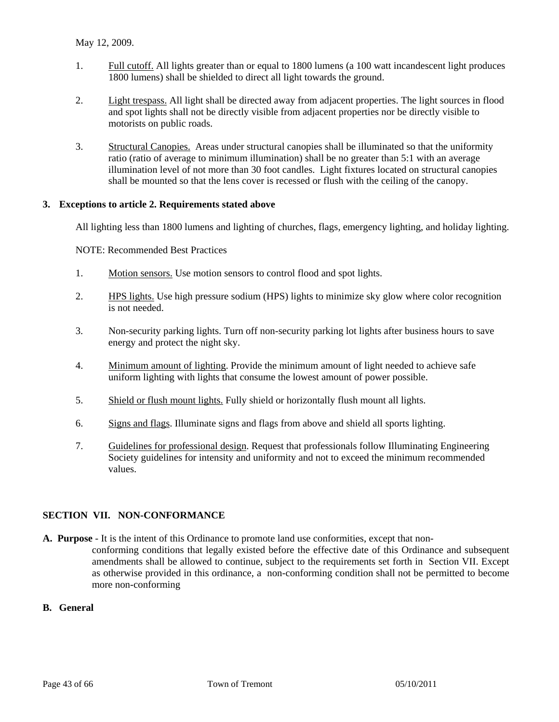- 1. Full cutoff. All lights greater than or equal to 1800 lumens (a 100 watt incandescent light produces 1800 lumens) shall be shielded to direct all light towards the ground.
- 2. Light trespass. All light shall be directed away from adjacent properties. The light sources in flood and spot lights shall not be directly visible from adjacent properties nor be directly visible to motorists on public roads.
- 3. Structural Canopies. Areas under structural canopies shall be illuminated so that the uniformity ratio (ratio of average to minimum illumination) shall be no greater than 5:1 with an average illumination level of not more than 30 foot candles. Light fixtures located on structural canopies shall be mounted so that the lens cover is recessed or flush with the ceiling of the canopy.

# **3. Exceptions to article 2. Requirements stated above**

All lighting less than 1800 lumens and lighting of churches, flags, emergency lighting, and holiday lighting.

NOTE: Recommended Best Practices

- 1. Motion sensors. Use motion sensors to control flood and spot lights.
- 2. HPS lights. Use high pressure sodium (HPS) lights to minimize sky glow where color recognition is not needed.
- 3. Non-security parking lights. Turn off non-security parking lot lights after business hours to save energy and protect the night sky.
- 4. Minimum amount of lighting. Provide the minimum amount of light needed to achieve safe uniform lighting with lights that consume the lowest amount of power possible.
- 5. Shield or flush mount lights. Fully shield or horizontally flush mount all lights.
- 6. Signs and flags. Illuminate signs and flags from above and shield all sports lighting.
- 7. Guidelines for professional design. Request that professionals follow Illuminating Engineering Society guidelines for intensity and uniformity and not to exceed the minimum recommended values.

#### **SECTION VII. NON-CONFORMANCE**

**A. Purpose** - It is the intent of this Ordinance to promote land use conformities, except that nonconforming conditions that legally existed before the effective date of this Ordinance and subsequent amendments shall be allowed to continue, subject to the requirements set forth in Section VII. Except as otherwise provided in this ordinance, a non-conforming condition shall not be permitted to become more non-conforming

#### **B. General**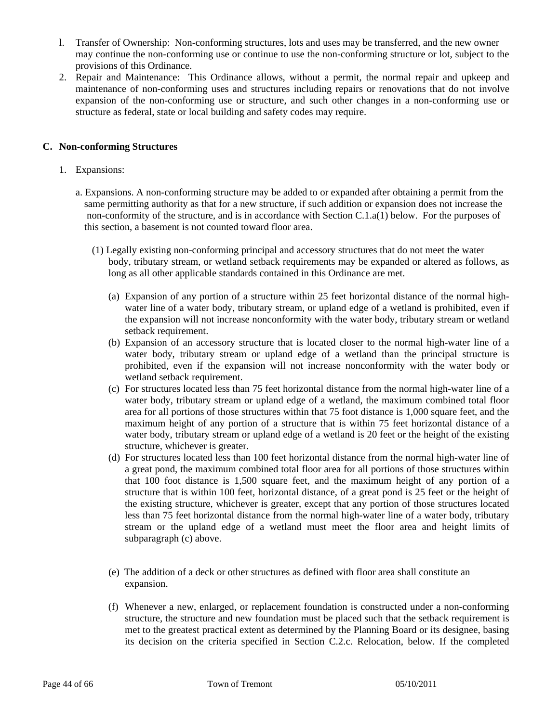- l. Transfer of Ownership: Non-conforming structures, lots and uses may be transferred, and the new owner may continue the non-conforming use or continue to use the non-conforming structure or lot, subject to the provisions of this Ordinance.
- 2. Repair and Maintenance: This Ordinance allows, without a permit, the normal repair and upkeep and maintenance of non-conforming uses and structures including repairs or renovations that do not involve expansion of the non-conforming use or structure, and such other changes in a non-conforming use or structure as federal, state or local building and safety codes may require.

# **C. Non-conforming Structures**

#### 1. Expansions:

- a. Expansions. A non-conforming structure may be added to or expanded after obtaining a permit from the same permitting authority as that for a new structure, if such addition or expansion does not increase the non-conformity of the structure, and is in accordance with Section C.1.a(1) below. For the purposes of this section, a basement is not counted toward floor area.
	- (1) Legally existing non-conforming principal and accessory structures that do not meet the water body, tributary stream, or wetland setback requirements may be expanded or altered as follows, as long as all other applicable standards contained in this Ordinance are met.
		- (a) Expansion of any portion of a structure within 25 feet horizontal distance of the normal highwater line of a water body, tributary stream, or upland edge of a wetland is prohibited, even if the expansion will not increase nonconformity with the water body, tributary stream or wetland setback requirement.
		- (b) Expansion of an accessory structure that is located closer to the normal high-water line of a water body, tributary stream or upland edge of a wetland than the principal structure is prohibited, even if the expansion will not increase nonconformity with the water body or wetland setback requirement.
		- (c) For structures located less than 75 feet horizontal distance from the normal high-water line of a water body, tributary stream or upland edge of a wetland, the maximum combined total floor area for all portions of those structures within that 75 foot distance is 1,000 square feet, and the maximum height of any portion of a structure that is within 75 feet horizontal distance of a water body, tributary stream or upland edge of a wetland is 20 feet or the height of the existing structure, whichever is greater.
		- (d) For structures located less than 100 feet horizontal distance from the normal high-water line of a great pond, the maximum combined total floor area for all portions of those structures within that 100 foot distance is 1,500 square feet, and the maximum height of any portion of a structure that is within 100 feet, horizontal distance, of a great pond is 25 feet or the height of the existing structure, whichever is greater, except that any portion of those structures located less than 75 feet horizontal distance from the normal high-water line of a water body, tributary stream or the upland edge of a wetland must meet the floor area and height limits of subparagraph (c) above.
		- (e) The addition of a deck or other structures as defined with floor area shall constitute an expansion.
		- (f) Whenever a new, enlarged, or replacement foundation is constructed under a non-conforming structure, the structure and new foundation must be placed such that the setback requirement is met to the greatest practical extent as determined by the Planning Board or its designee, basing its decision on the criteria specified in Section C.2.c. Relocation, below. If the completed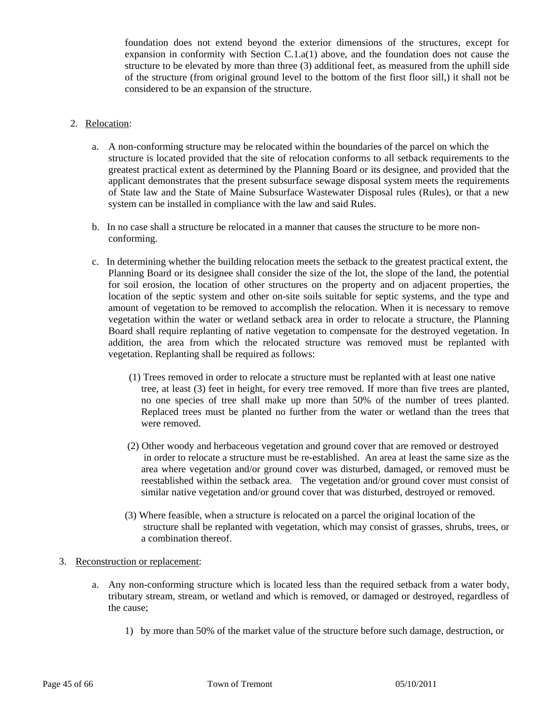foundation does not extend beyond the exterior dimensions of the structures, except for expansion in conformity with Section C.1.a(1) above, and the foundation does not cause the structure to be elevated by more than three (3) additional feet, as measured from the uphill side of the structure (from original ground level to the bottom of the first floor sill,) it shall not be considered to be an expansion of the structure.

# 2. Relocation:

- a. A non-conforming structure may be relocated within the boundaries of the parcel on which the structure is located provided that the site of relocation conforms to all setback requirements to the greatest practical extent as determined by the Planning Board or its designee, and provided that the applicant demonstrates that the present subsurface sewage disposal system meets the requirements of State law and the State of Maine Subsurface Wastewater Disposal rules (Rules), or that a new system can be installed in compliance with the law and said Rules.
- b. In no case shall a structure be relocated in a manner that causes the structure to be more nonconforming.
- c. In determining whether the building relocation meets the setback to the greatest practical extent, the Planning Board or its designee shall consider the size of the lot, the slope of the land, the potential for soil erosion, the location of other structures on the property and on adjacent properties, the location of the septic system and other on-site soils suitable for septic systems, and the type and amount of vegetation to be removed to accomplish the relocation. When it is necessary to remove vegetation within the water or wetland setback area in order to relocate a structure, the Planning Board shall require replanting of native vegetation to compensate for the destroyed vegetation. In addition, the area from which the relocated structure was removed must be replanted with vegetation. Replanting shall be required as follows:
	- (1) Trees removed in order to relocate a structure must be replanted with at least one native tree, at least (3) feet in height, for every tree removed. If more than five trees are planted, no one species of tree shall make up more than 50% of the number of trees planted. Replaced trees must be planted no further from the water or wetland than the trees that were removed.
	- (2) Other woody and herbaceous vegetation and ground cover that are removed or destroyed in order to relocate a structure must be re-established. An area at least the same size as the area where vegetation and/or ground cover was disturbed, damaged, or removed must be reestablished within the setback area. The vegetation and/or ground cover must consist of similar native vegetation and/or ground cover that was disturbed, destroyed or removed.
	- (3) Where feasible, when a structure is relocated on a parcel the original location of the structure shall be replanted with vegetation, which may consist of grasses, shrubs, trees, or a combination thereof.

# 3. Reconstruction or replacement:

- a. Any non-conforming structure which is located less than the required setback from a water body, tributary stream, stream, or wetland and which is removed, or damaged or destroyed, regardless of the cause;
	- 1) by more than 50% of the market value of the structure before such damage, destruction, or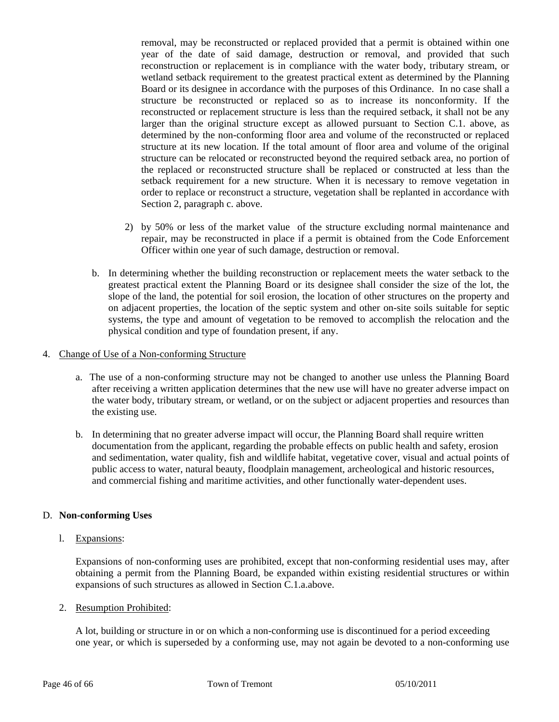removal, may be reconstructed or replaced provided that a permit is obtained within one year of the date of said damage, destruction or removal, and provided that such reconstruction or replacement is in compliance with the water body, tributary stream, or wetland setback requirement to the greatest practical extent as determined by the Planning Board or its designee in accordance with the purposes of this Ordinance. In no case shall a structure be reconstructed or replaced so as to increase its nonconformity. If the reconstructed or replacement structure is less than the required setback, it shall not be any larger than the original structure except as allowed pursuant to Section C.1. above, as determined by the non-conforming floor area and volume of the reconstructed or replaced structure at its new location. If the total amount of floor area and volume of the original structure can be relocated or reconstructed beyond the required setback area, no portion of the replaced or reconstructed structure shall be replaced or constructed at less than the setback requirement for a new structure. When it is necessary to remove vegetation in order to replace or reconstruct a structure, vegetation shall be replanted in accordance with Section 2, paragraph c. above.

- 2) by 50% or less of the market value of the structure excluding normal maintenance and repair, may be reconstructed in place if a permit is obtained from the Code Enforcement Officer within one year of such damage, destruction or removal.
- b. In determining whether the building reconstruction or replacement meets the water setback to the greatest practical extent the Planning Board or its designee shall consider the size of the lot, the slope of the land, the potential for soil erosion, the location of other structures on the property and on adjacent properties, the location of the septic system and other on-site soils suitable for septic systems, the type and amount of vegetation to be removed to accomplish the relocation and the physical condition and type of foundation present, if any.

#### 4. Change of Use of a Non-conforming Structure

- a. The use of a non-conforming structure may not be changed to another use unless the Planning Board after receiving a written application determines that the new use will have no greater adverse impact on the water body, tributary stream, or wetland, or on the subject or adjacent properties and resources than the existing use.
- b. In determining that no greater adverse impact will occur, the Planning Board shall require written documentation from the applicant, regarding the probable effects on public health and safety, erosion and sedimentation, water quality, fish and wildlife habitat, vegetative cover, visual and actual points of public access to water, natural beauty, floodplain management, archeological and historic resources, and commercial fishing and maritime activities, and other functionally water-dependent uses.

# D. **Non-conforming Uses**

# l. Expansions:

 Expansions of non-conforming uses are prohibited, except that non-conforming residential uses may, after obtaining a permit from the Planning Board, be expanded within existing residential structures or within expansions of such structures as allowed in Section C.1.a.above.

# 2. Resumption Prohibited:

 A lot, building or structure in or on which a non-conforming use is discontinued for a period exceeding one year, or which is superseded by a conforming use, may not again be devoted to a non-conforming use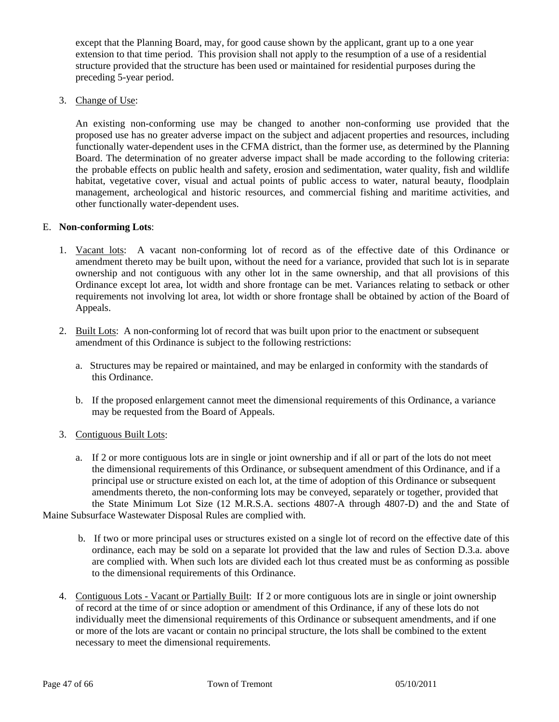except that the Planning Board, may, for good cause shown by the applicant, grant up to a one year extension to that time period. This provision shall not apply to the resumption of a use of a residential structure provided that the structure has been used or maintained for residential purposes during the preceding 5-year period.

3. Change of Use:

An existing non-conforming use may be changed to another non-conforming use provided that the proposed use has no greater adverse impact on the subject and adjacent properties and resources, including functionally water-dependent uses in the CFMA district, than the former use, as determined by the Planning Board. The determination of no greater adverse impact shall be made according to the following criteria: the probable effects on public health and safety, erosion and sedimentation, water quality, fish and wildlife habitat, vegetative cover, visual and actual points of public access to water, natural beauty, floodplain management, archeological and historic resources, and commercial fishing and maritime activities, and other functionally water-dependent uses.

# E. **Non-conforming Lots**:

- 1. Vacant lots: A vacant non-conforming lot of record as of the effective date of this Ordinance or amendment thereto may be built upon, without the need for a variance, provided that such lot is in separate ownership and not contiguous with any other lot in the same ownership, and that all provisions of this Ordinance except lot area, lot width and shore frontage can be met. Variances relating to setback or other requirements not involving lot area, lot width or shore frontage shall be obtained by action of the Board of Appeals.
- 2. Built Lots: A non-conforming lot of record that was built upon prior to the enactment or subsequent amendment of this Ordinance is subject to the following restrictions:
	- a. Structures may be repaired or maintained, and may be enlarged in conformity with the standards of this Ordinance.
	- b. If the proposed enlargement cannot meet the dimensional requirements of this Ordinance, a variance may be requested from the Board of Appeals.
- 3. Contiguous Built Lots:
- a. If 2 or more contiguous lots are in single or joint ownership and if all or part of the lots do not meet the dimensional requirements of this Ordinance, or subsequent amendment of this Ordinance, and if a principal use or structure existed on each lot, at the time of adoption of this Ordinance or subsequent amendments thereto, the non-conforming lots may be conveyed, separately or together, provided that the State Minimum Lot Size (12 M.R.S.A. sections 4807-A through 4807-D) and the and State of Maine Subsurface Wastewater Disposal Rules are complied with.
	- b. If two or more principal uses or structures existed on a single lot of record on the effective date of this ordinance, each may be sold on a separate lot provided that the law and rules of Section D.3.a. above are complied with. When such lots are divided each lot thus created must be as conforming as possible to the dimensional requirements of this Ordinance.
	- 4. Contiguous Lots Vacant or Partially Built: If 2 or more contiguous lots are in single or joint ownership of record at the time of or since adoption or amendment of this Ordinance, if any of these lots do not individually meet the dimensional requirements of this Ordinance or subsequent amendments, and if one or more of the lots are vacant or contain no principal structure, the lots shall be combined to the extent necessary to meet the dimensional requirements.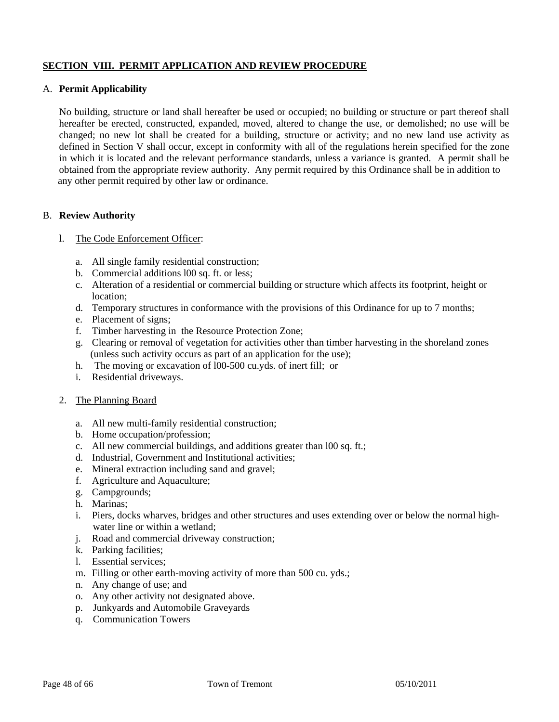# **SECTION VIII. PERMIT APPLICATION AND REVIEW PROCEDURE**

## A. **Permit Applicability**

 No building, structure or land shall hereafter be used or occupied; no building or structure or part thereof shall hereafter be erected, constructed, expanded, moved, altered to change the use, or demolished; no use will be changed; no new lot shall be created for a building, structure or activity; and no new land use activity as defined in Section V shall occur, except in conformity with all of the regulations herein specified for the zone in which it is located and the relevant performance standards, unless a variance is granted. A permit shall be obtained from the appropriate review authority. Any permit required by this Ordinance shall be in addition to any other permit required by other law or ordinance.

#### B. **Review Authority**

- l. The Code Enforcement Officer:
	- a. All single family residential construction;
	- b. Commercial additions l00 sq. ft. or less;
	- c. Alteration of a residential or commercial building or structure which affects its footprint, height or location;
	- d. Temporary structures in conformance with the provisions of this Ordinance for up to 7 months;
	- e. Placement of signs;
	- f. Timber harvesting in the Resource Protection Zone;
	- g. Clearing or removal of vegetation for activities other than timber harvesting in the shoreland zones (unless such activity occurs as part of an application for the use);
	- h. The moving or excavation of l00-500 cu.yds. of inert fill; or
	- i. Residential driveways.
- 2. The Planning Board
	- a. All new multi-family residential construction;
	- b. Home occupation/profession;
	- c. All new commercial buildings, and additions greater than l00 sq. ft.;
	- d. Industrial, Government and Institutional activities;
	- e. Mineral extraction including sand and gravel;
	- f. Agriculture and Aquaculture;
	- g. Campgrounds;
	- h. Marinas;
	- i. Piers, docks wharves, bridges and other structures and uses extending over or below the normal high water line or within a wetland;
	- j. Road and commercial driveway construction;
	- k. Parking facilities;
	- l. Essential services;
	- m. Filling or other earth-moving activity of more than 500 cu. yds.;
	- n. Any change of use; and
	- o. Any other activity not designated above.
	- p. Junkyards and Automobile Graveyards
	- q. Communication Towers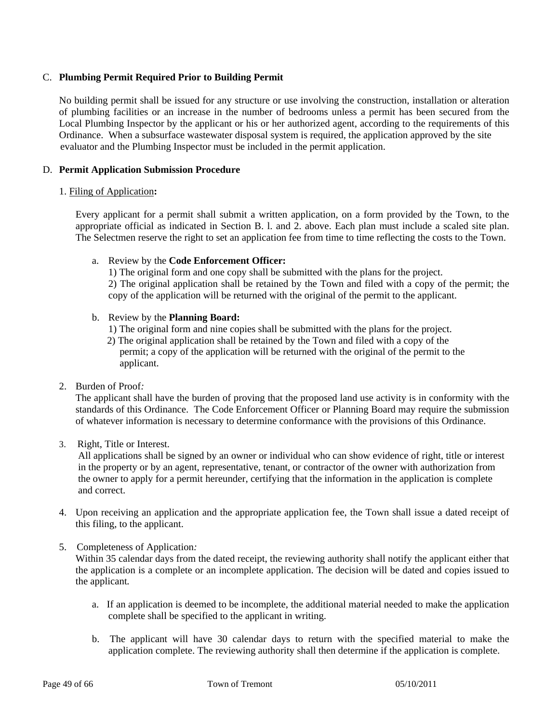# C. **Plumbing Permit Required Prior to Building Permit**

 No building permit shall be issued for any structure or use involving the construction, installation or alteration of plumbing facilities or an increase in the number of bedrooms unless a permit has been secured from the Local Plumbing Inspector by the applicant or his or her authorized agent, according to the requirements of this Ordinance. When a subsurface wastewater disposal system is required, the application approved by the site evaluator and the Plumbing Inspector must be included in the permit application.

#### D. **Permit Application Submission Procedure**

#### 1. Filing of Application**:**

 Every applicant for a permit shall submit a written application, on a form provided by the Town, to the appropriate official as indicated in Section B. l. and 2. above. Each plan must include a scaled site plan. The Selectmen reserve the right to set an application fee from time to time reflecting the costs to the Town.

#### a. Review by the **Code Enforcement Officer:**

1) The original form and one copy shall be submitted with the plans for the project. 2) The original application shall be retained by the Town and filed with a copy of the permit; the copy of the application will be returned with the original of the permit to the applicant.

#### b. Review by the **Planning Board:**

- 1) The original form and nine copies shall be submitted with the plans for the project.
- 2) The original application shall be retained by the Town and filed with a copy of the permit; a copy of the application will be returned with the original of the permit to the applicant.
- 2. Burden of Proof*:*

The applicant shall have the burden of proving that the proposed land use activity is in conformity with the standards of this Ordinance. The Code Enforcement Officer or Planning Board may require the submission of whatever information is necessary to determine conformance with the provisions of this Ordinance.

3. Right, Title or Interest.

 All applications shall be signed by an owner or individual who can show evidence of right, title or interest in the property or by an agent, representative, tenant, or contractor of the owner with authorization from the owner to apply for a permit hereunder, certifying that the information in the application is complete and correct.

- 4. Upon receiving an application and the appropriate application fee, the Town shall issue a dated receipt of this filing, to the applicant.
- 5. Completeness of Application*:*

Within 35 calendar days from the dated receipt, the reviewing authority shall notify the applicant either that the application is a complete or an incomplete application. The decision will be dated and copies issued to the applicant*.* 

- a. If an application is deemed to be incomplete, the additional material needed to make the application complete shall be specified to the applicant in writing.
- b. The applicant will have 30 calendar days to return with the specified material to make the application complete. The reviewing authority shall then determine if the application is complete.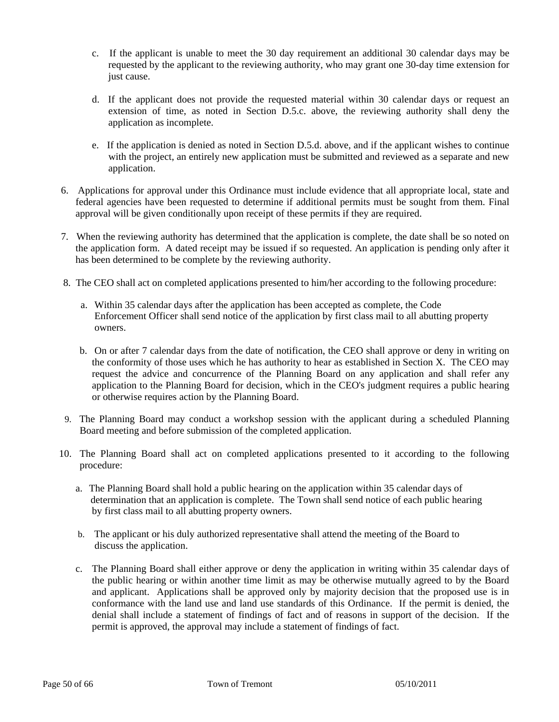- c. If the applicant is unable to meet the 30 day requirement an additional 30 calendar days may be requested by the applicant to the reviewing authority, who may grant one 30-day time extension for just cause.
- d. If the applicant does not provide the requested material within 30 calendar days or request an extension of time, as noted in Section D.5.c. above, the reviewing authority shall deny the application as incomplete.
- e. If the application is denied as noted in Section D.5.d. above, and if the applicant wishes to continue with the project, an entirely new application must be submitted and reviewed as a separate and new application.
- 6. Applications for approval under this Ordinance must include evidence that all appropriate local, state and federal agencies have been requested to determine if additional permits must be sought from them. Final approval will be given conditionally upon receipt of these permits if they are required.
- 7. When the reviewing authority has determined that the application is complete, the date shall be so noted on the application form. A dated receipt may be issued if so requested. An application is pending only after it has been determined to be complete by the reviewing authority.
- 8. The CEO shall act on completed applications presented to him/her according to the following procedure:
	- a. Within 35 calendar days after the application has been accepted as complete, the Code Enforcement Officer shall send notice of the application by first class mail to all abutting property owners.
	- b. On or after 7 calendar days from the date of notification, the CEO shall approve or deny in writing on the conformity of those uses which he has authority to hear as established in Section X. The CEO may request the advice and concurrence of the Planning Board on any application and shall refer any application to the Planning Board for decision, which in the CEO's judgment requires a public hearing or otherwise requires action by the Planning Board.
- 9. The Planning Board may conduct a workshop session with the applicant during a scheduled Planning Board meeting and before submission of the completed application.
- 10. The Planning Board shall act on completed applications presented to it according to the following procedure:
	- a. The Planning Board shall hold a public hearing on the application within 35 calendar days of determination that an application is complete. The Town shall send notice of each public hearing by first class mail to all abutting property owners.
	- b. The applicant or his duly authorized representative shall attend the meeting of the Board to discuss the application.
	- c. The Planning Board shall either approve or deny the application in writing within 35 calendar days of the public hearing or within another time limit as may be otherwise mutually agreed to by the Board and applicant. Applications shall be approved only by majority decision that the proposed use is in conformance with the land use and land use standards of this Ordinance. If the permit is denied, the denial shall include a statement of findings of fact and of reasons in support of the decision. If the permit is approved, the approval may include a statement of findings of fact.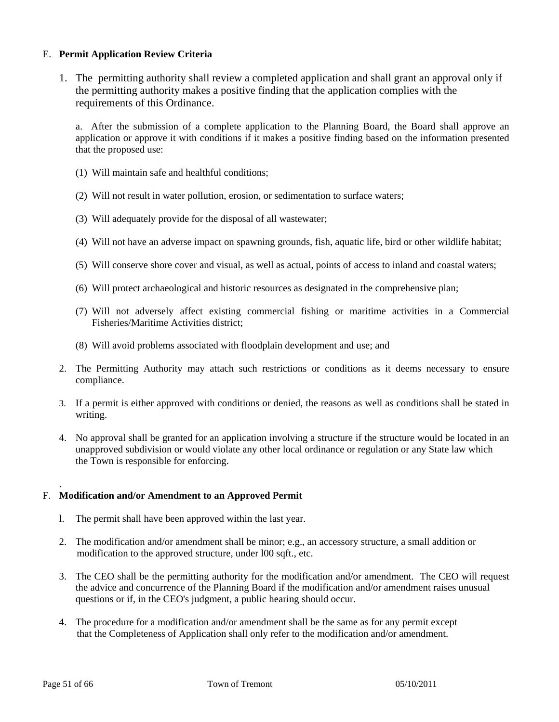# E. **Permit Application Review Criteria**

1. The permitting authority shall review a completed application and shall grant an approval only if the permitting authority makes a positive finding that the application complies with the requirements of this Ordinance.

a. After the submission of a complete application to the Planning Board, the Board shall approve an application or approve it with conditions if it makes a positive finding based on the information presented that the proposed use:

- (1) Will maintain safe and healthful conditions;
- (2) Will not result in water pollution, erosion, or sedimentation to surface waters;
- (3) Will adequately provide for the disposal of all wastewater;
- (4) Will not have an adverse impact on spawning grounds, fish, aquatic life, bird or other wildlife habitat;
- (5) Will conserve shore cover and visual, as well as actual, points of access to inland and coastal waters;
- (6) Will protect archaeological and historic resources as designated in the comprehensive plan;
- (7) Will not adversely affect existing commercial fishing or maritime activities in a Commercial Fisheries/Maritime Activities district;
- (8) Will avoid problems associated with floodplain development and use; and
- 2. The Permitting Authority may attach such restrictions or conditions as it deems necessary to ensure compliance.
- 3. If a permit is either approved with conditions or denied, the reasons as well as conditions shall be stated in writing.
- 4. No approval shall be granted for an application involving a structure if the structure would be located in an unapproved subdivision or would violate any other local ordinance or regulation or any State law which the Town is responsible for enforcing.

# F. **Modification and/or Amendment to an Approved Permit**

- l. The permit shall have been approved within the last year.
- 2. The modification and/or amendment shall be minor; e.g., an accessory structure, a small addition or modification to the approved structure, under l00 sqft., etc.
- 3. The CEO shall be the permitting authority for the modification and/or amendment. The CEO will request the advice and concurrence of the Planning Board if the modification and/or amendment raises unusual questions or if, in the CEO's judgment, a public hearing should occur.
- 4. The procedure for a modification and/or amendment shall be the same as for any permit except that the Completeness of Application shall only refer to the modification and/or amendment.

.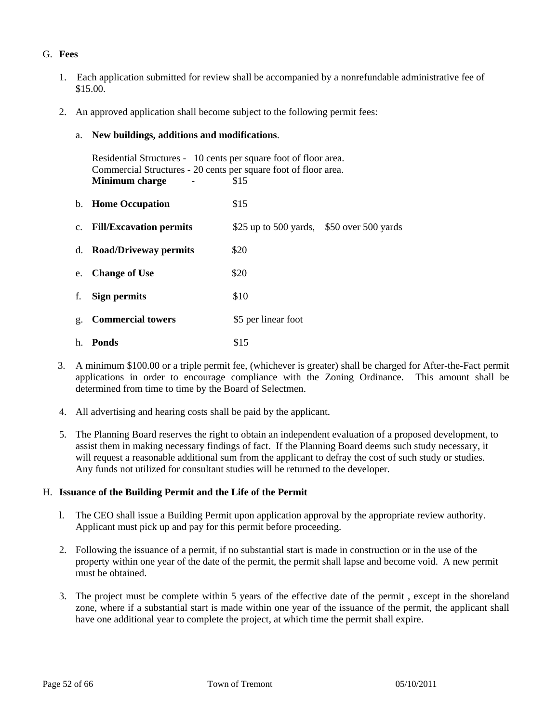# G. **Fees**

- 1. Each application submitted for review shall be accompanied by a nonrefundable administrative fee of \$15.00.
- 2. An approved application shall become subject to the following permit fees:
	- a. **New buildings, additions and modifications**.

|    | Residential Structures - 10 cents per square foot of floor area.<br>Commercial Structures - 20 cents per square foot of floor area.<br>\$15<br>Minimum charge |                                            |  |
|----|---------------------------------------------------------------------------------------------------------------------------------------------------------------|--------------------------------------------|--|
|    | b. Home Occupation                                                                                                                                            | \$15                                       |  |
|    | c. Fill/Excavation permits                                                                                                                                    | \$25 up to 500 yards, $$50$ over 500 yards |  |
|    | d. Road/Driveway permits                                                                                                                                      | \$20                                       |  |
| e. | <b>Change of Use</b>                                                                                                                                          | \$20                                       |  |
| f. | Sign permits                                                                                                                                                  | \$10                                       |  |
| g. | <b>Commercial towers</b>                                                                                                                                      | \$5 per linear foot                        |  |
|    | h. <b>Ponds</b>                                                                                                                                               | \$15                                       |  |

- 3. A minimum \$100.00 or a triple permit fee, (whichever is greater) shall be charged for After-the-Fact permit applications in order to encourage compliance with the Zoning Ordinance. This amount shall be determined from time to time by the Board of Selectmen.
- 4. All advertising and hearing costs shall be paid by the applicant.
- 5. The Planning Board reserves the right to obtain an independent evaluation of a proposed development, to assist them in making necessary findings of fact. If the Planning Board deems such study necessary, it will request a reasonable additional sum from the applicant to defray the cost of such study or studies. Any funds not utilized for consultant studies will be returned to the developer.

# H. **Issuance of the Building Permit and the Life of the Permit**

- l. The CEO shall issue a Building Permit upon application approval by the appropriate review authority. Applicant must pick up and pay for this permit before proceeding.
- 2. Following the issuance of a permit, if no substantial start is made in construction or in the use of the property within one year of the date of the permit, the permit shall lapse and become void. A new permit must be obtained.
- 3. The project must be complete within 5 years of the effective date of the permit , except in the shoreland zone, where if a substantial start is made within one year of the issuance of the permit, the applicant shall have one additional year to complete the project, at which time the permit shall expire.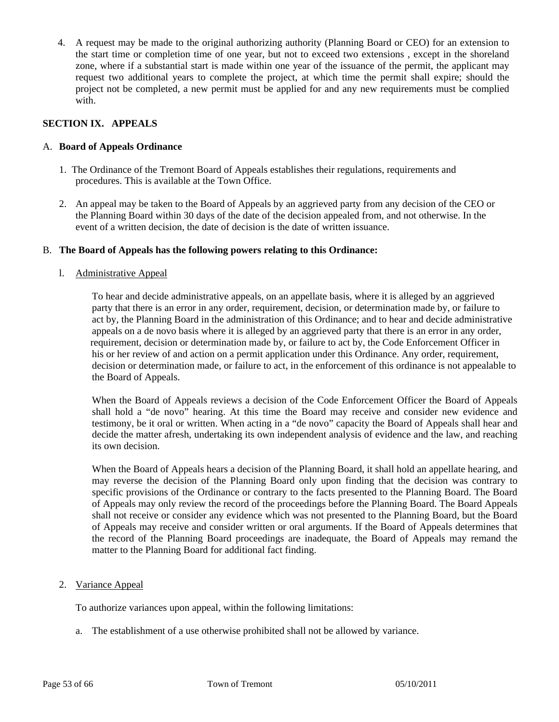4. A request may be made to the original authorizing authority (Planning Board or CEO) for an extension to the start time or completion time of one year, but not to exceed two extensions , except in the shoreland zone, where if a substantial start is made within one year of the issuance of the permit, the applicant may request two additional years to complete the project, at which time the permit shall expire; should the project not be completed, a new permit must be applied for and any new requirements must be complied with.

# **SECTION IX. APPEALS**

## A. **Board of Appeals Ordinance**

- 1. The Ordinance of the Tremont Board of Appeals establishes their regulations, requirements and procedures. This is available at the Town Office.
- 2. An appeal may be taken to the Board of Appeals by an aggrieved party from any decision of the CEO or the Planning Board within 30 days of the date of the decision appealed from, and not otherwise. In the event of a written decision, the date of decision is the date of written issuance.

## B. **The Board of Appeals has the following powers relating to this Ordinance:**

#### l. Administrative Appeal

To hear and decide administrative appeals, on an appellate basis, where it is alleged by an aggrieved party that there is an error in any order, requirement, decision, or determination made by, or failure to act by, the Planning Board in the administration of this Ordinance; and to hear and decide administrative appeals on a de novo basis where it is alleged by an aggrieved party that there is an error in any order, requirement, decision or determination made by, or failure to act by, the Code Enforcement Officer in his or her review of and action on a permit application under this Ordinance. Any order, requirement, decision or determination made, or failure to act, in the enforcement of this ordinance is not appealable to the Board of Appeals.

When the Board of Appeals reviews a decision of the Code Enforcement Officer the Board of Appeals shall hold a "de novo" hearing. At this time the Board may receive and consider new evidence and testimony, be it oral or written. When acting in a "de novo" capacity the Board of Appeals shall hear and decide the matter afresh, undertaking its own independent analysis of evidence and the law, and reaching its own decision.

When the Board of Appeals hears a decision of the Planning Board, it shall hold an appellate hearing, and may reverse the decision of the Planning Board only upon finding that the decision was contrary to specific provisions of the Ordinance or contrary to the facts presented to the Planning Board. The Board of Appeals may only review the record of the proceedings before the Planning Board. The Board Appeals shall not receive or consider any evidence which was not presented to the Planning Board, but the Board of Appeals may receive and consider written or oral arguments. If the Board of Appeals determines that the record of the Planning Board proceedings are inadequate, the Board of Appeals may remand the matter to the Planning Board for additional fact finding.

2. Variance Appeal

To authorize variances upon appeal, within the following limitations:

a. The establishment of a use otherwise prohibited shall not be allowed by variance.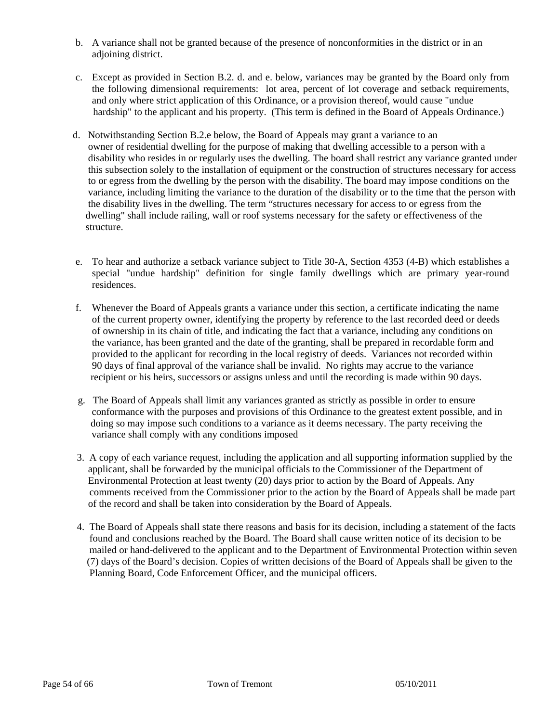- b. A variance shall not be granted because of the presence of nonconformities in the district or in an adjoining district.
- c. Except as provided in Section B.2. d. and e. below, variances may be granted by the Board only from the following dimensional requirements: lot area, percent of lot coverage and setback requirements, and only where strict application of this Ordinance, or a provision thereof, would cause "undue hardship" to the applicant and his property. (This term is defined in the Board of Appeals Ordinance.)
- d. Notwithstanding Section B.2.e below, the Board of Appeals may grant a variance to an owner of residential dwelling for the purpose of making that dwelling accessible to a person with a disability who resides in or regularly uses the dwelling. The board shall restrict any variance granted under this subsection solely to the installation of equipment or the construction of structures necessary for access to or egress from the dwelling by the person with the disability. The board may impose conditions on the variance, including limiting the variance to the duration of the disability or to the time that the person with the disability lives in the dwelling. The term "structures necessary for access to or egress from the dwelling" shall include railing, wall or roof systems necessary for the safety or effectiveness of the structure.
- e. To hear and authorize a setback variance subject to Title 30-A, Section 4353 (4-B) which establishes a special "undue hardship" definition for single family dwellings which are primary year-round residences.
- f. Whenever the Board of Appeals grants a variance under this section, a certificate indicating the name of the current property owner, identifying the property by reference to the last recorded deed or deeds of ownership in its chain of title, and indicating the fact that a variance, including any conditions on the variance, has been granted and the date of the granting, shall be prepared in recordable form and provided to the applicant for recording in the local registry of deeds. Variances not recorded within 90 days of final approval of the variance shall be invalid. No rights may accrue to the variance recipient or his heirs, successors or assigns unless and until the recording is made within 90 days.
- g. The Board of Appeals shall limit any variances granted as strictly as possible in order to ensure conformance with the purposes and provisions of this Ordinance to the greatest extent possible, and in doing so may impose such conditions to a variance as it deems necessary. The party receiving the variance shall comply with any conditions imposed
- 3. A copy of each variance request, including the application and all supporting information supplied by the applicant, shall be forwarded by the municipal officials to the Commissioner of the Department of Environmental Protection at least twenty (20) days prior to action by the Board of Appeals. Any comments received from the Commissioner prior to the action by the Board of Appeals shall be made part of the record and shall be taken into consideration by the Board of Appeals.
- 4. The Board of Appeals shall state there reasons and basis for its decision, including a statement of the facts found and conclusions reached by the Board. The Board shall cause written notice of its decision to be mailed or hand-delivered to the applicant and to the Department of Environmental Protection within seven (7) days of the Board's decision. Copies of written decisions of the Board of Appeals shall be given to the Planning Board, Code Enforcement Officer, and the municipal officers.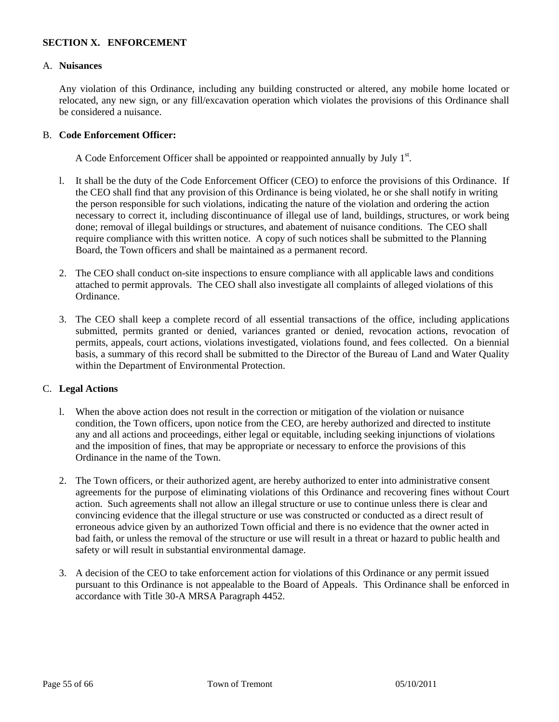# **SECTION X. ENFORCEMENT**

#### A. **Nuisances**

 Any violation of this Ordinance, including any building constructed or altered, any mobile home located or relocated, any new sign, or any fill/excavation operation which violates the provisions of this Ordinance shall be considered a nuisance.

## B. **Code Enforcement Officer:**

A Code Enforcement Officer shall be appointed or reappointed annually by July  $1<sup>st</sup>$ .

- l. It shall be the duty of the Code Enforcement Officer (CEO) to enforce the provisions of this Ordinance. If the CEO shall find that any provision of this Ordinance is being violated, he or she shall notify in writing the person responsible for such violations, indicating the nature of the violation and ordering the action necessary to correct it, including discontinuance of illegal use of land, buildings, structures, or work being done; removal of illegal buildings or structures, and abatement of nuisance conditions. The CEO shall require compliance with this written notice. A copy of such notices shall be submitted to the Planning Board, the Town officers and shall be maintained as a permanent record.
- 2. The CEO shall conduct on-site inspections to ensure compliance with all applicable laws and conditions attached to permit approvals. The CEO shall also investigate all complaints of alleged violations of this Ordinance.
- 3. The CEO shall keep a complete record of all essential transactions of the office, including applications submitted, permits granted or denied, variances granted or denied, revocation actions, revocation of permits, appeals, court actions, violations investigated, violations found, and fees collected. On a biennial basis, a summary of this record shall be submitted to the Director of the Bureau of Land and Water Quality within the Department of Environmental Protection.

# C. **Legal Actions**

- l. When the above action does not result in the correction or mitigation of the violation or nuisance condition, the Town officers, upon notice from the CEO, are hereby authorized and directed to institute any and all actions and proceedings, either legal or equitable, including seeking injunctions of violations and the imposition of fines, that may be appropriate or necessary to enforce the provisions of this Ordinance in the name of the Town.
- 2. The Town officers, or their authorized agent, are hereby authorized to enter into administrative consent agreements for the purpose of eliminating violations of this Ordinance and recovering fines without Court action. Such agreements shall not allow an illegal structure or use to continue unless there is clear and convincing evidence that the illegal structure or use was constructed or conducted as a direct result of erroneous advice given by an authorized Town official and there is no evidence that the owner acted in bad faith, or unless the removal of the structure or use will result in a threat or hazard to public health and safety or will result in substantial environmental damage.
- 3. A decision of the CEO to take enforcement action for violations of this Ordinance or any permit issued pursuant to this Ordinance is not appealable to the Board of Appeals. This Ordinance shall be enforced in accordance with Title 30-A MRSA Paragraph 4452.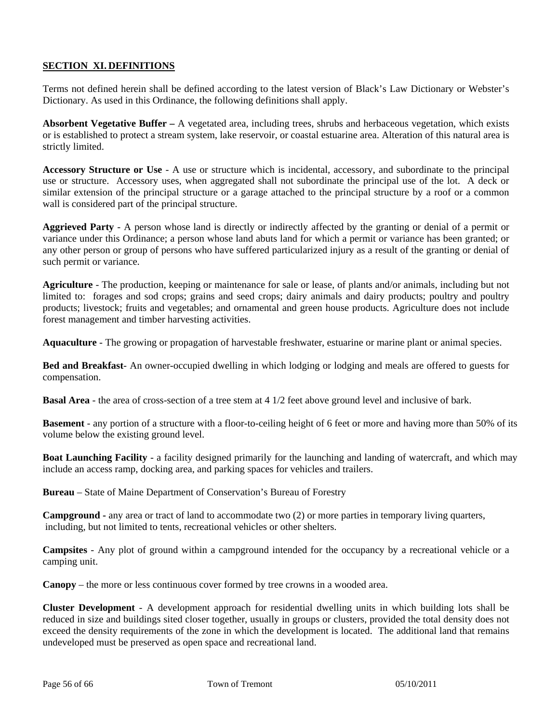# **SECTION XI. DEFINITIONS**

Terms not defined herein shall be defined according to the latest version of Black's Law Dictionary or Webster's Dictionary. As used in this Ordinance, the following definitions shall apply.

**Absorbent Vegetative Buffer –** A vegetated area, including trees, shrubs and herbaceous vegetation, which exists or is established to protect a stream system, lake reservoir, or coastal estuarine area. Alteration of this natural area is strictly limited.

**Accessory Structure or Use** - A use or structure which is incidental, accessory, and subordinate to the principal use or structure. Accessory uses, when aggregated shall not subordinate the principal use of the lot. A deck or similar extension of the principal structure or a garage attached to the principal structure by a roof or a common wall is considered part of the principal structure.

**Aggrieved Party** - A person whose land is directly or indirectly affected by the granting or denial of a permit or variance under this Ordinance; a person whose land abuts land for which a permit or variance has been granted; or any other person or group of persons who have suffered particularized injury as a result of the granting or denial of such permit or variance.

**Agriculture** - The production, keeping or maintenance for sale or lease, of plants and/or animals, including but not limited to: forages and sod crops; grains and seed crops; dairy animals and dairy products; poultry and poultry products; livestock; fruits and vegetables; and ornamental and green house products. Agriculture does not include forest management and timber harvesting activities.

**Aquaculture** - The growing or propagation of harvestable freshwater, estuarine or marine plant or animal species.

**Bed and Breakfast**- An owner-occupied dwelling in which lodging or lodging and meals are offered to guests for compensation.

**Basal Area** - the area of cross-section of a tree stem at 4 1/2 feet above ground level and inclusive of bark.

**Basement** - any portion of a structure with a floor-to-ceiling height of 6 feet or more and having more than 50% of its volume below the existing ground level.

**Boat Launching Facility** - a facility designed primarily for the launching and landing of watercraft, and which may include an access ramp, docking area, and parking spaces for vehicles and trailers.

**Bureau** – State of Maine Department of Conservation's Bureau of Forestry

**Campground -** any area or tract of land to accommodate two (2) or more parties in temporary living quarters, including, but not limited to tents, recreational vehicles or other shelters.

**Campsites** - Any plot of ground within a campground intended for the occupancy by a recreational vehicle or a camping unit.

**Canopy** – the more or less continuous cover formed by tree crowns in a wooded area.

**Cluster Development** - A development approach for residential dwelling units in which building lots shall be reduced in size and buildings sited closer together, usually in groups or clusters, provided the total density does not exceed the density requirements of the zone in which the development is located. The additional land that remains undeveloped must be preserved as open space and recreational land.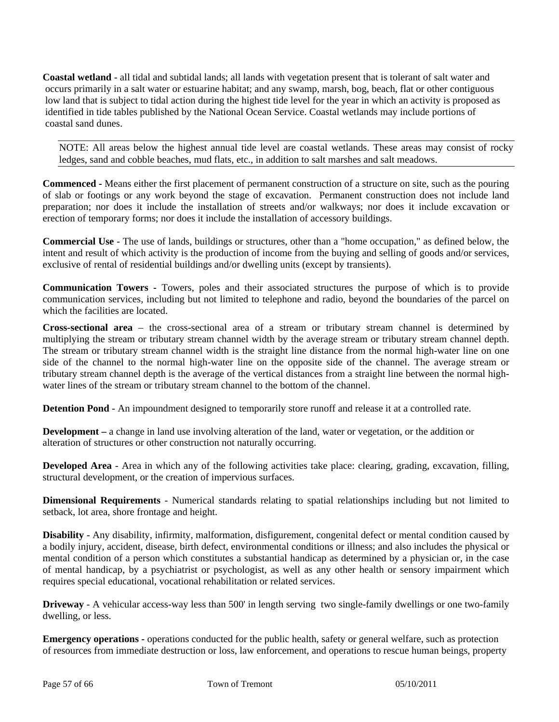**Coastal wetland** - all tidal and subtidal lands; all lands with vegetation present that is tolerant of salt water and occurs primarily in a salt water or estuarine habitat; and any swamp, marsh, bog, beach, flat or other contiguous low land that is subject to tidal action during the highest tide level for the year in which an activity is proposed as identified in tide tables published by the National Ocean Service. Coastal wetlands may include portions of coastal sand dunes.

NOTE: All areas below the highest annual tide level are coastal wetlands. These areas may consist of rocky ledges, sand and cobble beaches, mud flats, etc., in addition to salt marshes and salt meadows.

**Commenced -** Means either the first placement of permanent construction of a structure on site, such as the pouring of slab or footings or any work beyond the stage of excavation. Permanent construction does not include land preparation; nor does it include the installation of streets and/or walkways; nor does it include excavation or erection of temporary forms; nor does it include the installation of accessory buildings.

**Commercial Use** - The use of lands, buildings or structures, other than a "home occupation," as defined below, the intent and result of which activity is the production of income from the buying and selling of goods and/or services, exclusive of rental of residential buildings and/or dwelling units (except by transients).

**Communication Towers -** Towers, poles and their associated structures the purpose of which is to provide communication services, including but not limited to telephone and radio, beyond the boundaries of the parcel on which the facilities are located.

**Cross-sectional area** – the cross-sectional area of a stream or tributary stream channel is determined by multiplying the stream or tributary stream channel width by the average stream or tributary stream channel depth. The stream or tributary stream channel width is the straight line distance from the normal high-water line on one side of the channel to the normal high-water line on the opposite side of the channel. The average stream or tributary stream channel depth is the average of the vertical distances from a straight line between the normal highwater lines of the stream or tributary stream channel to the bottom of the channel.

**Detention Pond** - An impoundment designed to temporarily store runoff and release it at a controlled rate.

**Development** – a change in land use involving alteration of the land, water or vegetation, or the addition or alteration of structures or other construction not naturally occurring.

**Developed Area** - Area in which any of the following activities take place: clearing, grading, excavation, filling, structural development, or the creation of impervious surfaces.

**Dimensional Requirements** - Numerical standards relating to spatial relationships including but not limited to setback, lot area, shore frontage and height.

**Disability** - Any disability, infirmity, malformation, disfigurement, congenital defect or mental condition caused by a bodily injury, accident, disease, birth defect, environmental conditions or illness; and also includes the physical or mental condition of a person which constitutes a substantial handicap as determined by a physician or, in the case of mental handicap, by a psychiatrist or psychologist, as well as any other health or sensory impairment which requires special educational, vocational rehabilitation or related services.

**Driveway** - A vehicular access-way less than 500' in length serving two single-family dwellings or one two-family dwelling, or less.

**Emergency operations -** operations conducted for the public health, safety or general welfare, such as protection of resources from immediate destruction or loss, law enforcement, and operations to rescue human beings, property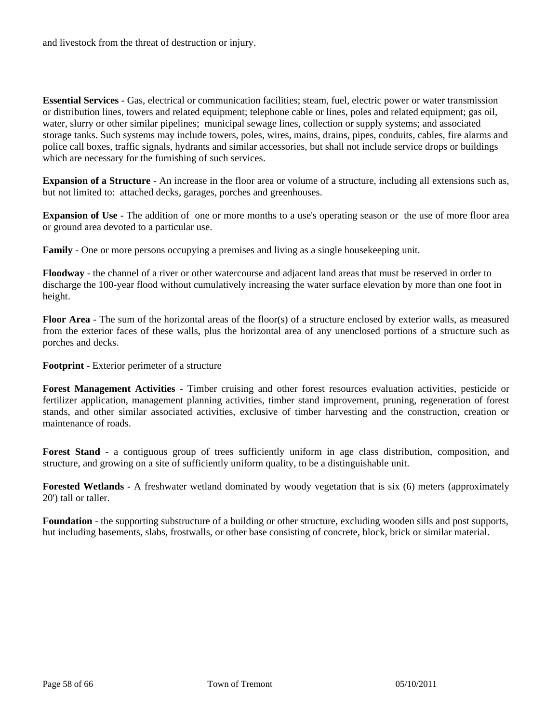and livestock from the threat of destruction or injury.

**Essential Services** - Gas, electrical or communication facilities; steam, fuel, electric power or water transmission or distribution lines, towers and related equipment; telephone cable or lines, poles and related equipment; gas oil, water, slurry or other similar pipelines; municipal sewage lines, collection or supply systems; and associated storage tanks. Such systems may include towers, poles, wires, mains, drains, pipes, conduits, cables, fire alarms and police call boxes, traffic signals, hydrants and similar accessories, but shall not include service drops or buildings which are necessary for the furnishing of such services.

**Expansion of a Structure** - An increase in the floor area or volume of a structure, including all extensions such as, but not limited to: attached decks, garages, porches and greenhouses.

**Expansion of Use** - The addition of one or more months to a use's operating season or the use of more floor area or ground area devoted to a particular use.

**Family** - One or more persons occupying a premises and living as a single housekeeping unit.

**Floodway** - the channel of a river or other watercourse and adjacent land areas that must be reserved in order to discharge the 100-year flood without cumulatively increasing the water surface elevation by more than one foot in height.

**Floor Area** - The sum of the horizontal areas of the floor(s) of a structure enclosed by exterior walls, as measured from the exterior faces of these walls, plus the horizontal area of any unenclosed portions of a structure such as porches and decks.

**Footprint** - Exterior perimeter of a structure

**Forest Management Activities** - Timber cruising and other forest resources evaluation activities, pesticide or fertilizer application, management planning activities, timber stand improvement, pruning, regeneration of forest stands, and other similar associated activities, exclusive of timber harvesting and the construction, creation or maintenance of roads.

Forest Stand - a contiguous group of trees sufficiently uniform in age class distribution, composition, and structure, and growing on a site of sufficiently uniform quality, to be a distinguishable unit.

**Forested Wetlands** - A freshwater wetland dominated by woody vegetation that is six (6) meters (approximately 20') tall or taller.

**Foundation** - the supporting substructure of a building or other structure, excluding wooden sills and post supports, but including basements, slabs, frostwalls, or other base consisting of concrete, block, brick or similar material.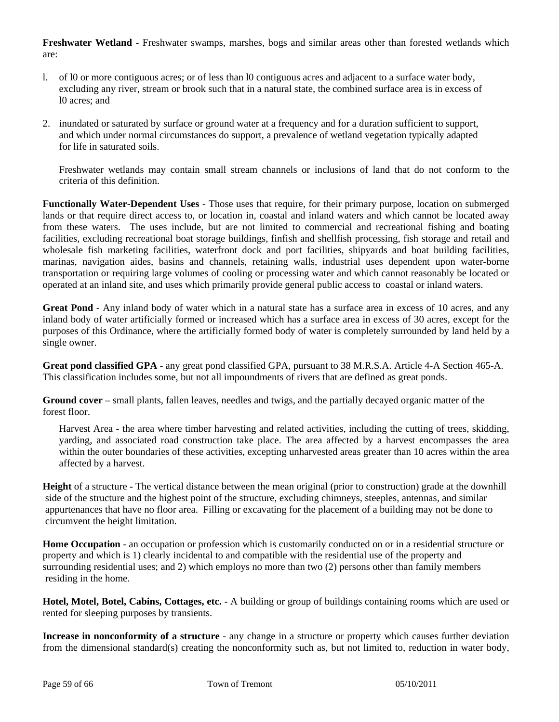**Freshwater Wetland** - Freshwater swamps, marshes, bogs and similar areas other than forested wetlands which are:

- l. of l0 or more contiguous acres; or of less than l0 contiguous acres and adjacent to a surface water body, excluding any river, stream or brook such that in a natural state, the combined surface area is in excess of l0 acres; and
- 2. inundated or saturated by surface or ground water at a frequency and for a duration sufficient to support, and which under normal circumstances do support, a prevalence of wetland vegetation typically adapted for life in saturated soils.

 Freshwater wetlands may contain small stream channels or inclusions of land that do not conform to the criteria of this definition.

**Functionally Water-Dependent Uses** - Those uses that require, for their primary purpose, location on submerged lands or that require direct access to, or location in, coastal and inland waters and which cannot be located away from these waters. The uses include, but are not limited to commercial and recreational fishing and boating facilities, excluding recreational boat storage buildings, finfish and shellfish processing, fish storage and retail and wholesale fish marketing facilities, waterfront dock and port facilities, shipyards and boat building facilities, marinas, navigation aides, basins and channels, retaining walls, industrial uses dependent upon water-borne transportation or requiring large volumes of cooling or processing water and which cannot reasonably be located or operated at an inland site, and uses which primarily provide general public access to coastal or inland waters.

**Great Pond** - Any inland body of water which in a natural state has a surface area in excess of 10 acres, and any inland body of water artificially formed or increased which has a surface area in excess of 30 acres, except for the purposes of this Ordinance, where the artificially formed body of water is completely surrounded by land held by a single owner.

**Great pond classified GPA** - any great pond classified GPA, pursuant to 38 M.R.S.A. Article 4-A Section 465-A. This classification includes some, but not all impoundments of rivers that are defined as great ponds.

**Ground cover** – small plants, fallen leaves, needles and twigs, and the partially decayed organic matter of the forest floor.

Harvest Area - the area where timber harvesting and related activities, including the cutting of trees, skidding, yarding, and associated road construction take place. The area affected by a harvest encompasses the area within the outer boundaries of these activities, excepting unharvested areas greater than 10 acres within the area affected by a harvest.

**Height** of a structure - The vertical distance between the mean original (prior to construction) grade at the downhill side of the structure and the highest point of the structure, excluding chimneys, steeples, antennas, and similar appurtenances that have no floor area. Filling or excavating for the placement of a building may not be done to circumvent the height limitation.

**Home Occupation** - an occupation or profession which is customarily conducted on or in a residential structure or property and which is 1) clearly incidental to and compatible with the residential use of the property and surrounding residential uses; and 2) which employs no more than two (2) persons other than family members residing in the home.

**Hotel, Motel, Botel, Cabins, Cottages, etc.** - A building or group of buildings containing rooms which are used or rented for sleeping purposes by transients.

**Increase in nonconformity of a structure** - any change in a structure or property which causes further deviation from the dimensional standard(s) creating the nonconformity such as, but not limited to, reduction in water body,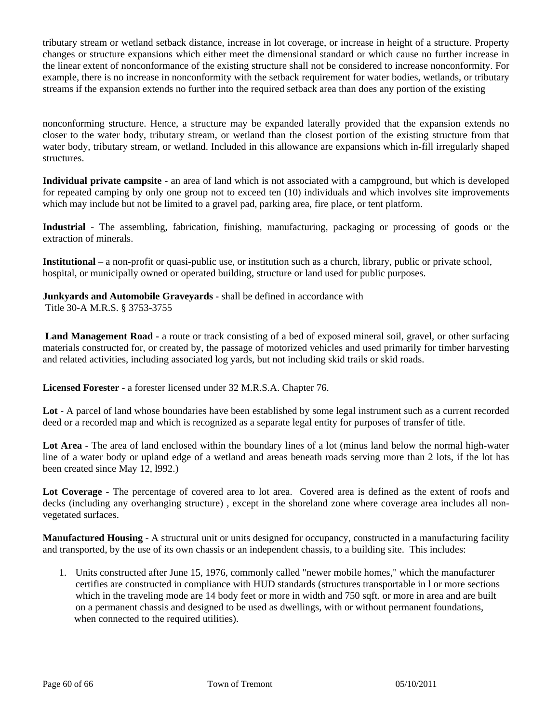tributary stream or wetland setback distance, increase in lot coverage, or increase in height of a structure. Property changes or structure expansions which either meet the dimensional standard or which cause no further increase in the linear extent of nonconformance of the existing structure shall not be considered to increase nonconformity. For example, there is no increase in nonconformity with the setback requirement for water bodies, wetlands, or tributary streams if the expansion extends no further into the required setback area than does any portion of the existing

nonconforming structure. Hence, a structure may be expanded laterally provided that the expansion extends no closer to the water body, tributary stream, or wetland than the closest portion of the existing structure from that water body, tributary stream, or wetland. Included in this allowance are expansions which in-fill irregularly shaped structures.

**Individual private campsite** - an area of land which is not associated with a campground, but which is developed for repeated camping by only one group not to exceed ten (10) individuals and which involves site improvements which may include but not be limited to a gravel pad, parking area, fire place, or tent platform.

**Industrial** - The assembling, fabrication, finishing, manufacturing, packaging or processing of goods or the extraction of minerals.

**Institutional** – a non-profit or quasi-public use, or institution such as a church, library, public or private school, hospital, or municipally owned or operated building, structure or land used for public purposes.

**Junkyards and Automobile Graveyards** - shall be defined in accordance with Title 30-A M.R.S. § 3753-3755

 **Land Management Road -** a route or track consisting of a bed of exposed mineral soil, gravel, or other surfacing materials constructed for, or created by, the passage of motorized vehicles and used primarily for timber harvesting and related activities, including associated log yards, but not including skid trails or skid roads.

**Licensed Forester** - a forester licensed under 32 M.R.S.A. Chapter 76.

**Lot** - A parcel of land whose boundaries have been established by some legal instrument such as a current recorded deed or a recorded map and which is recognized as a separate legal entity for purposes of transfer of title.

**Lot Area** - The area of land enclosed within the boundary lines of a lot (minus land below the normal high-water line of a water body or upland edge of a wetland and areas beneath roads serving more than 2 lots, if the lot has been created since May 12, l992.)

**Lot Coverage** - The percentage of covered area to lot area. Covered area is defined as the extent of roofs and decks (including any overhanging structure) , except in the shoreland zone where coverage area includes all nonvegetated surfaces.

**Manufactured Housing** - A structural unit or units designed for occupancy, constructed in a manufacturing facility and transported, by the use of its own chassis or an independent chassis, to a building site. This includes:

 1. Units constructed after June 15, 1976, commonly called "newer mobile homes," which the manufacturer certifies are constructed in compliance with HUD standards (structures transportable in l or more sections which in the traveling mode are 14 body feet or more in width and 750 sqft. or more in area and are built on a permanent chassis and designed to be used as dwellings, with or without permanent foundations, when connected to the required utilities).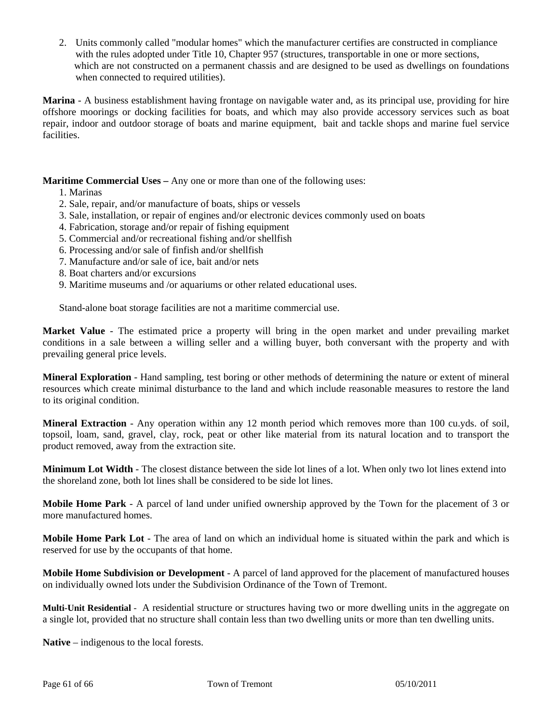2. Units commonly called "modular homes" which the manufacturer certifies are constructed in compliance with the rules adopted under Title 10, Chapter 957 (structures, transportable in one or more sections, which are not constructed on a permanent chassis and are designed to be used as dwellings on foundations when connected to required utilities).

**Marina** - A business establishment having frontage on navigable water and, as its principal use, providing for hire offshore moorings or docking facilities for boats, and which may also provide accessory services such as boat repair, indoor and outdoor storage of boats and marine equipment, bait and tackle shops and marine fuel service facilities.

**Maritime Commercial Uses – Any one or more than one of the following uses:** 

1. Marinas

- 2. Sale, repair, and/or manufacture of boats, ships or vessels
- 3. Sale, installation, or repair of engines and/or electronic devices commonly used on boats
- 4. Fabrication, storage and/or repair of fishing equipment
- 5. Commercial and/or recreational fishing and/or shellfish
- 6. Processing and/or sale of finfish and/or shellfish
- 7. Manufacture and/or sale of ice, bait and/or nets
- 8. Boat charters and/or excursions
- 9. Maritime museums and /or aquariums or other related educational uses.

Stand-alone boat storage facilities are not a maritime commercial use.

**Market Value** - The estimated price a property will bring in the open market and under prevailing market conditions in a sale between a willing seller and a willing buyer, both conversant with the property and with prevailing general price levels.

**Mineral Exploration** - Hand sampling, test boring or other methods of determining the nature or extent of mineral resources which create minimal disturbance to the land and which include reasonable measures to restore the land to its original condition.

**Mineral Extraction** - Any operation within any 12 month period which removes more than 100 cu.yds. of soil, topsoil, loam, sand, gravel, clay, rock, peat or other like material from its natural location and to transport the product removed, away from the extraction site.

**Minimum Lot Width** - The closest distance between the side lot lines of a lot. When only two lot lines extend into the shoreland zone, both lot lines shall be considered to be side lot lines.

**Mobile Home Park** - A parcel of land under unified ownership approved by the Town for the placement of 3 or more manufactured homes.

**Mobile Home Park Lot** - The area of land on which an individual home is situated within the park and which is reserved for use by the occupants of that home.

**Mobile Home Subdivision or Development** - A parcel of land approved for the placement of manufactured houses on individually owned lots under the Subdivision Ordinance of the Town of Tremont.

**Multi-Unit Residential** - A residential structure or structures having two or more dwelling units in the aggregate on a single lot, provided that no structure shall contain less than two dwelling units or more than ten dwelling units.

**Native** – indigenous to the local forests.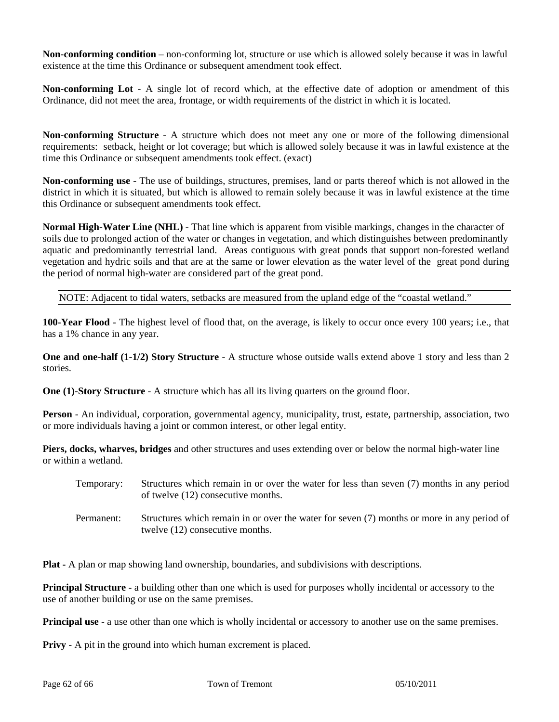**Non-conforming condition** – non-conforming lot, structure or use which is allowed solely because it was in lawful existence at the time this Ordinance or subsequent amendment took effect.

**Non-conforming Lot** - A single lot of record which, at the effective date of adoption or amendment of this Ordinance, did not meet the area, frontage, or width requirements of the district in which it is located.

**Non-conforming Structure** - A structure which does not meet any one or more of the following dimensional requirements: setback, height or lot coverage; but which is allowed solely because it was in lawful existence at the time this Ordinance or subsequent amendments took effect. (exact)

**Non-conforming use** - The use of buildings, structures, premises, land or parts thereof which is not allowed in the district in which it is situated, but which is allowed to remain solely because it was in lawful existence at the time this Ordinance or subsequent amendments took effect.

**Normal High-Water Line (NHL)** - That line which is apparent from visible markings, changes in the character of soils due to prolonged action of the water or changes in vegetation, and which distinguishes between predominantly aquatic and predominantly terrestrial land. Areas contiguous with great ponds that support non-forested wetland vegetation and hydric soils and that are at the same or lower elevation as the water level of the great pond during the period of normal high-water are considered part of the great pond.

NOTE: Adjacent to tidal waters, setbacks are measured from the upland edge of the "coastal wetland."

**100-Year Flood** - The highest level of flood that, on the average, is likely to occur once every 100 years; i.e., that has a 1% chance in any year.

**One and one-half (1-1/2) Story Structure** - A structure whose outside walls extend above 1 story and less than 2 stories.

**One (1)-Story Structure** - A structure which has all its living quarters on the ground floor.

**Person** - An individual, corporation, governmental agency, municipality, trust, estate, partnership, association, two or more individuals having a joint or common interest, or other legal entity.

**Piers, docks, wharves, bridges** and other structures and uses extending over or below the normal high-water line or within a wetland.

- Temporary: Structures which remain in or over the water for less than seven (7) months in any period of twelve (12) consecutive months.
- Permanent: Structures which remain in or over the water for seven (7) months or more in any period of twelve (12) consecutive months.

**Plat -** A plan or map showing land ownership, boundaries, and subdivisions with descriptions.

**Principal Structure** - a building other than one which is used for purposes wholly incidental or accessory to the use of another building or use on the same premises.

**Principal use** - a use other than one which is wholly incidental or accessory to another use on the same premises.

**Privy** - A pit in the ground into which human excrement is placed.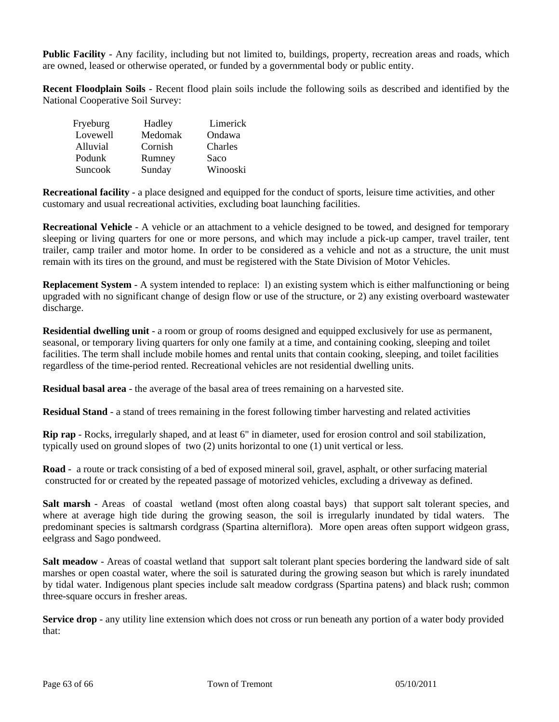**Public Facility** - Any facility, including but not limited to, buildings, property, recreation areas and roads, which are owned, leased or otherwise operated, or funded by a governmental body or public entity.

**Recent Floodplain Soils** - Recent flood plain soils include the following soils as described and identified by the National Cooperative Soil Survey:

| Fryeburg | Hadley  | Limerick |
|----------|---------|----------|
| Lovewell | Medomak | Ondawa   |
| Alluvial | Cornish | Charles  |
| Podunk   | Rumney  | Saco     |
| Suncook  | Sunday  | Winooski |

**Recreational facility** - a place designed and equipped for the conduct of sports, leisure time activities, and other customary and usual recreational activities, excluding boat launching facilities.

**Recreational Vehicle** - A vehicle or an attachment to a vehicle designed to be towed, and designed for temporary sleeping or living quarters for one or more persons, and which may include a pick-up camper, travel trailer, tent trailer, camp trailer and motor home. In order to be considered as a vehicle and not as a structure, the unit must remain with its tires on the ground, and must be registered with the State Division of Motor Vehicles.

**Replacement System** - A system intended to replace: 1) an existing system which is either malfunctioning or being upgraded with no significant change of design flow or use of the structure, or 2) any existing overboard wastewater discharge.

**Residential dwelling unit** - a room or group of rooms designed and equipped exclusively for use as permanent, seasonal, or temporary living quarters for only one family at a time, and containing cooking, sleeping and toilet facilities. The term shall include mobile homes and rental units that contain cooking, sleeping, and toilet facilities regardless of the time-period rented. Recreational vehicles are not residential dwelling units.

**Residual basal area** - the average of the basal area of trees remaining on a harvested site.

**Residual Stand** - a stand of trees remaining in the forest following timber harvesting and related activities

**Rip rap** - Rocks, irregularly shaped, and at least 6" in diameter, used for erosion control and soil stabilization, typically used on ground slopes of two (2) units horizontal to one (1) unit vertical or less.

**Road** - a route or track consisting of a bed of exposed mineral soil, gravel, asphalt, or other surfacing material constructed for or created by the repeated passage of motorized vehicles, excluding a driveway as defined.

**Salt marsh** - Areas of coastal wetland (most often along coastal bays) that support salt tolerant species, and where at average high tide during the growing season, the soil is irregularly inundated by tidal waters. The predominant species is saltmarsh cordgrass (Spartina alterniflora). More open areas often support widgeon grass, eelgrass and Sago pondweed.

**Salt meadow** - Areas of coastal wetland that support salt tolerant plant species bordering the landward side of salt marshes or open coastal water, where the soil is saturated during the growing season but which is rarely inundated by tidal water. Indigenous plant species include salt meadow cordgrass (Spartina patens) and black rush; common three-square occurs in fresher areas.

**Service drop** - any utility line extension which does not cross or run beneath any portion of a water body provided that: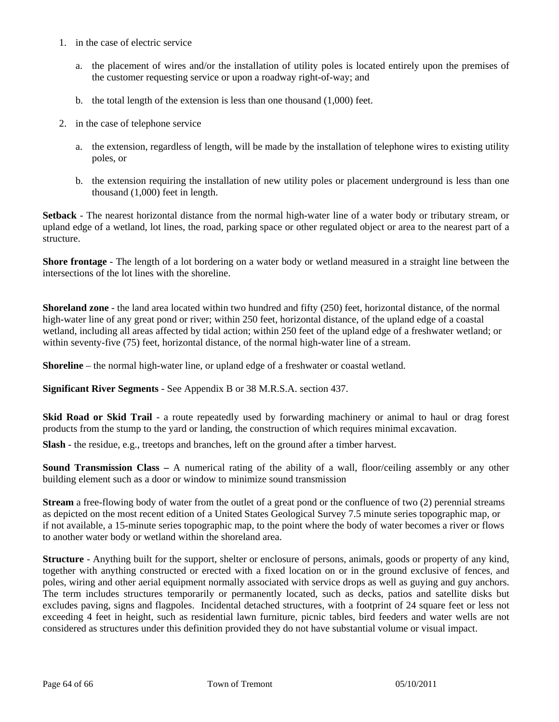- 1. in the case of electric service
	- a. the placement of wires and/or the installation of utility poles is located entirely upon the premises of the customer requesting service or upon a roadway right-of-way; and
	- b. the total length of the extension is less than one thousand (1,000) feet.
- 2. in the case of telephone service
	- a. the extension, regardless of length, will be made by the installation of telephone wires to existing utility poles, or
	- b. the extension requiring the installation of new utility poles or placement underground is less than one thousand (1,000) feet in length.

**Setback** - The nearest horizontal distance from the normal high-water line of a water body or tributary stream, or upland edge of a wetland, lot lines, the road, parking space or other regulated object or area to the nearest part of a structure.

**Shore frontage** - The length of a lot bordering on a water body or wetland measured in a straight line between the intersections of the lot lines with the shoreline.

**Shoreland zone** - the land area located within two hundred and fifty (250) feet, horizontal distance, of the normal high-water line of any great pond or river; within 250 feet, horizontal distance, of the upland edge of a coastal wetland, including all areas affected by tidal action; within 250 feet of the upland edge of a freshwater wetland; or within seventy-five (75) feet, horizontal distance, of the normal high-water line of a stream.

**Shoreline** – the normal high-water line, or upland edge of a freshwater or coastal wetland.

**Significant River Segments** - See Appendix B or 38 M.R.S.A. section 437.

**Skid Road or Skid Trail** - a route repeatedly used by forwarding machinery or animal to haul or drag forest products from the stump to the yard or landing, the construction of which requires minimal excavation.

**Slash** - the residue, e.g., treetops and branches, left on the ground after a timber harvest.

**Sound Transmission Class –** A numerical rating of the ability of a wall, floor/ceiling assembly or any other building element such as a door or window to minimize sound transmission

**Stream** a free-flowing body of water from the outlet of a great pond or the confluence of two (2) perennial streams as depicted on the most recent edition of a United States Geological Survey 7.5 minute series topographic map, or if not available, a 15-minute series topographic map, to the point where the body of water becomes a river or flows to another water body or wetland within the shoreland area.

**Structure** - Anything built for the support, shelter or enclosure of persons, animals, goods or property of any kind, together with anything constructed or erected with a fixed location on or in the ground exclusive of fences, and poles, wiring and other aerial equipment normally associated with service drops as well as guying and guy anchors. The term includes structures temporarily or permanently located, such as decks, patios and satellite disks but excludes paving, signs and flagpoles. Incidental detached structures, with a footprint of 24 square feet or less not exceeding 4 feet in height, such as residential lawn furniture, picnic tables, bird feeders and water wells are not considered as structures under this definition provided they do not have substantial volume or visual impact.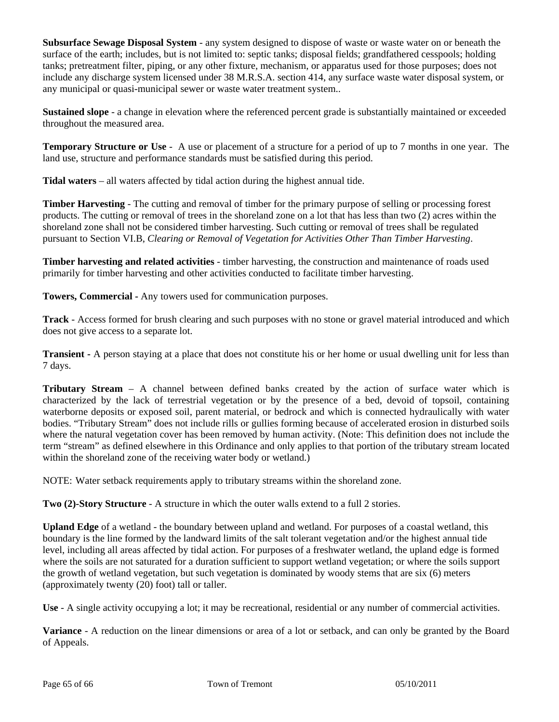**Subsurface Sewage Disposal System** - any system designed to dispose of waste or waste water on or beneath the surface of the earth; includes, but is not limited to: septic tanks; disposal fields; grandfathered cesspools; holding tanks; pretreatment filter, piping, or any other fixture, mechanism, or apparatus used for those purposes; does not include any discharge system licensed under 38 M.R.S.A. section 414, any surface waste water disposal system, or any municipal or quasi-municipal sewer or waste water treatment system..

**Sustained slope** - a change in elevation where the referenced percent grade is substantially maintained or exceeded throughout the measured area.

**Temporary Structure or Use** - A use or placement of a structure for a period of up to 7 months in one year. The land use, structure and performance standards must be satisfied during this period.

**Tidal waters** – all waters affected by tidal action during the highest annual tide.

**Timber Harvesting** - The cutting and removal of timber for the primary purpose of selling or processing forest products. The cutting or removal of trees in the shoreland zone on a lot that has less than two (2) acres within the shoreland zone shall not be considered timber harvesting. Such cutting or removal of trees shall be regulated pursuant to Section VI.B, *Clearing or Removal of Vegetation for Activities Other Than Timber Harvesting*.

**Timber harvesting and related activities** - timber harvesting, the construction and maintenance of roads used primarily for timber harvesting and other activities conducted to facilitate timber harvesting.

**Towers, Commercial -** Any towers used for communication purposes.

**Track** - Access formed for brush clearing and such purposes with no stone or gravel material introduced and which does not give access to a separate lot.

**Transient -** A person staying at a place that does not constitute his or her home or usual dwelling unit for less than 7 days.

**Tributary Stream** – A channel between defined banks created by the action of surface water which is characterized by the lack of terrestrial vegetation or by the presence of a bed, devoid of topsoil, containing waterborne deposits or exposed soil, parent material, or bedrock and which is connected hydraulically with water bodies. "Tributary Stream" does not include rills or gullies forming because of accelerated erosion in disturbed soils where the natural vegetation cover has been removed by human activity. (Note: This definition does not include the term "stream" as defined elsewhere in this Ordinance and only applies to that portion of the tributary stream located within the shoreland zone of the receiving water body or wetland.)

NOTE: Water setback requirements apply to tributary streams within the shoreland zone.

**Two (2)-Story Structure** - A structure in which the outer walls extend to a full 2 stories.

**Upland Edge** of a wetland - the boundary between upland and wetland. For purposes of a coastal wetland, this boundary is the line formed by the landward limits of the salt tolerant vegetation and/or the highest annual tide level, including all areas affected by tidal action. For purposes of a freshwater wetland, the upland edge is formed where the soils are not saturated for a duration sufficient to support wetland vegetation; or where the soils support the growth of wetland vegetation, but such vegetation is dominated by woody stems that are six (6) meters (approximately twenty (20) foot) tall or taller.

**Use** - A single activity occupying a lot; it may be recreational, residential or any number of commercial activities.

**Variance** - A reduction on the linear dimensions or area of a lot or setback, and can only be granted by the Board of Appeals.